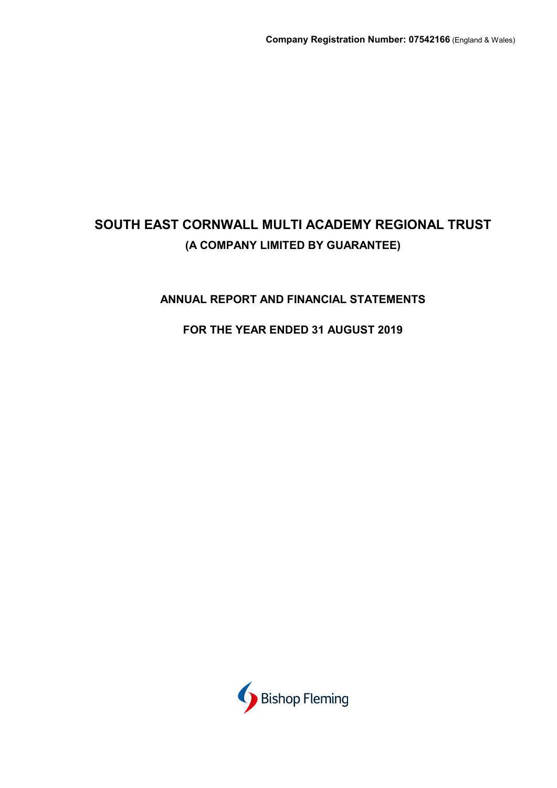# **ANNUAL REPORT AND FINANCIAL STATEMENTS**

# **FOR THE YEAR ENDED 31 AUGUST 2019**

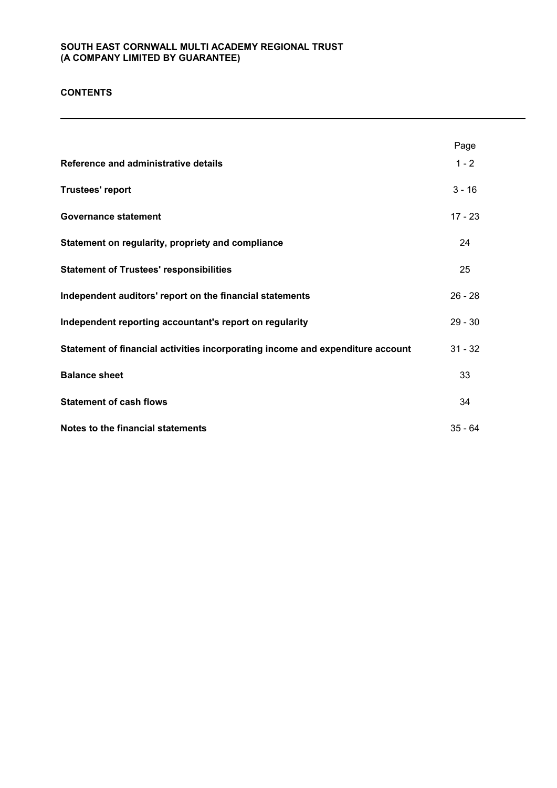# **CONTENTS**

|                                                                                | Page      |
|--------------------------------------------------------------------------------|-----------|
| Reference and administrative details                                           | $1 - 2$   |
| <b>Trustees' report</b>                                                        | $3 - 16$  |
| <b>Governance statement</b>                                                    | $17 - 23$ |
| Statement on regularity, propriety and compliance                              | 24        |
| <b>Statement of Trustees' responsibilities</b>                                 | 25        |
| Independent auditors' report on the financial statements                       | $26 - 28$ |
| Independent reporting accountant's report on regularity                        | $29 - 30$ |
| Statement of financial activities incorporating income and expenditure account | $31 - 32$ |
| <b>Balance sheet</b>                                                           | 33        |
| <b>Statement of cash flows</b>                                                 | 34        |
| Notes to the financial statements                                              | $35 - 64$ |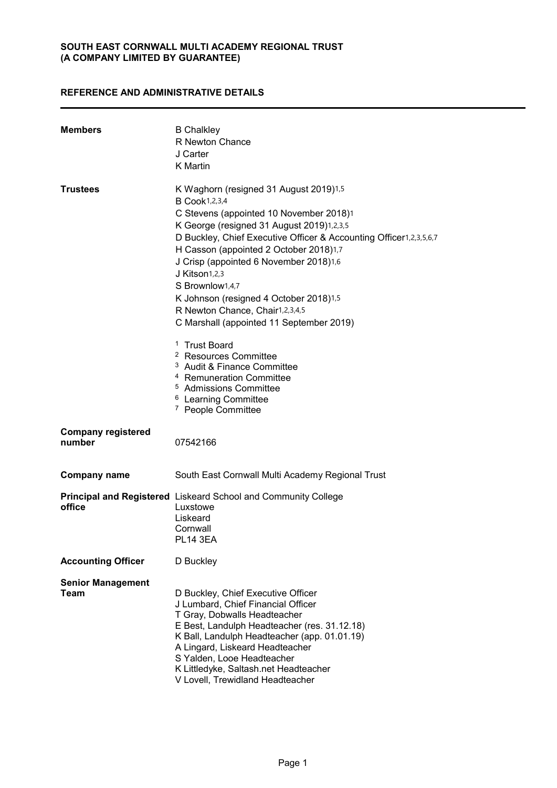# **REFERENCE AND ADMINISTRATIVE DETAILS**

| <b>Members</b>                      | <b>B</b> Chalkley<br>R Newton Chance<br>J Carter<br><b>K</b> Martin                                                                                                                                                                                                                                                                                                                                                                                                                       |
|-------------------------------------|-------------------------------------------------------------------------------------------------------------------------------------------------------------------------------------------------------------------------------------------------------------------------------------------------------------------------------------------------------------------------------------------------------------------------------------------------------------------------------------------|
| <b>Trustees</b>                     | K Waghorn (resigned 31 August 2019)1,5<br><b>B</b> Cook1,2,3,4<br>C Stevens (appointed 10 November 2018)1<br>K George (resigned 31 August 2019)1,2,3,5<br>D Buckley, Chief Executive Officer & Accounting Officer1,2,3,5,6,7<br>H Casson (appointed 2 October 2018)1,7<br>J Crisp (appointed 6 November 2018)1,6<br>J Kitson <sub>1,2,3</sub><br>S Brownlow1,4,7<br>K Johnson (resigned 4 October 2018)1,5<br>R Newton Chance, Chair1,2,3,4,5<br>C Marshall (appointed 11 September 2019) |
|                                     | <sup>1</sup> Trust Board<br><sup>2</sup> Resources Committee<br><sup>3</sup> Audit & Finance Committee<br><sup>4</sup> Remuneration Committee<br><sup>5</sup> Admissions Committee<br><sup>6</sup> Learning Committee<br><sup>7</sup> People Committee                                                                                                                                                                                                                                    |
| <b>Company registered</b><br>number | 07542166                                                                                                                                                                                                                                                                                                                                                                                                                                                                                  |
| <b>Company name</b>                 | South East Cornwall Multi Academy Regional Trust                                                                                                                                                                                                                                                                                                                                                                                                                                          |
| office                              | Principal and Registered Liskeard School and Community College<br>Luxstowe<br>Liskeard<br>Cornwall<br><b>PL14 3EA</b>                                                                                                                                                                                                                                                                                                                                                                     |
| <b>Accounting Officer</b>           | D Buckley                                                                                                                                                                                                                                                                                                                                                                                                                                                                                 |
| <b>Senior Management</b><br>Team    | D Buckley, Chief Executive Officer<br>J Lumbard, Chief Financial Officer<br>T Gray, Dobwalls Headteacher<br>E Best, Landulph Headteacher (res. 31.12.18)<br>K Ball, Landulph Headteacher (app. 01.01.19)<br>A Lingard, Liskeard Headteacher<br>S Yalden, Looe Headteacher<br>K Littledyke, Saltash.net Headteacher<br>V Lovell, Trewidland Headteacher                                                                                                                                    |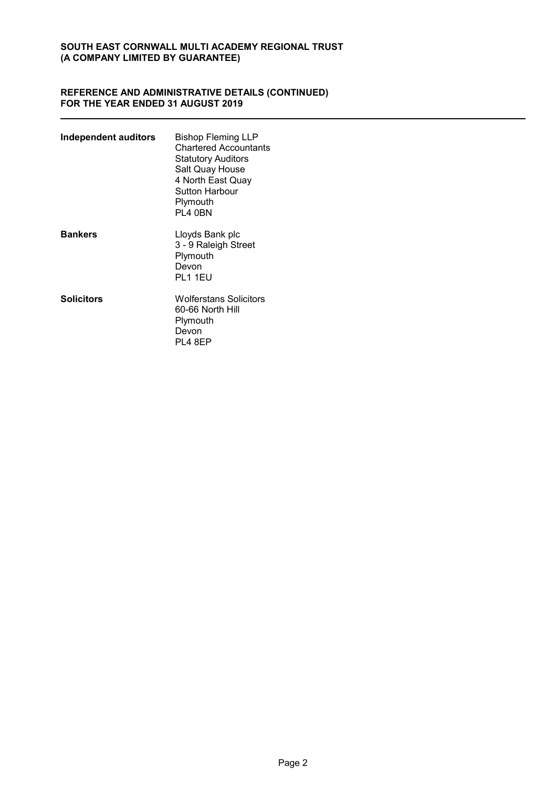### **REFERENCE AND ADMINISTRATIVE DETAILS (CONTINUED) FOR THE YEAR ENDED 31 AUGUST 2019**

| Independent auditors | Bishop Fleming LLP<br><b>Chartered Accountants</b><br><b>Statutory Auditors</b><br>Salt Quay House<br>4 North East Quay<br>Sutton Harbour<br>Plymouth<br>PL4 0BN |
|----------------------|------------------------------------------------------------------------------------------------------------------------------------------------------------------|
| <b>Bankers</b>       | Lloyds Bank plc<br>3 - 9 Raleigh Street<br>Plymouth<br>Devon<br><b>PL1 1EU</b>                                                                                   |
| <b>Solicitors</b>    | Wolferstans Solicitors<br>60-66 North Hill<br>Plymouth<br>Devon<br><b>PL4 8EP</b>                                                                                |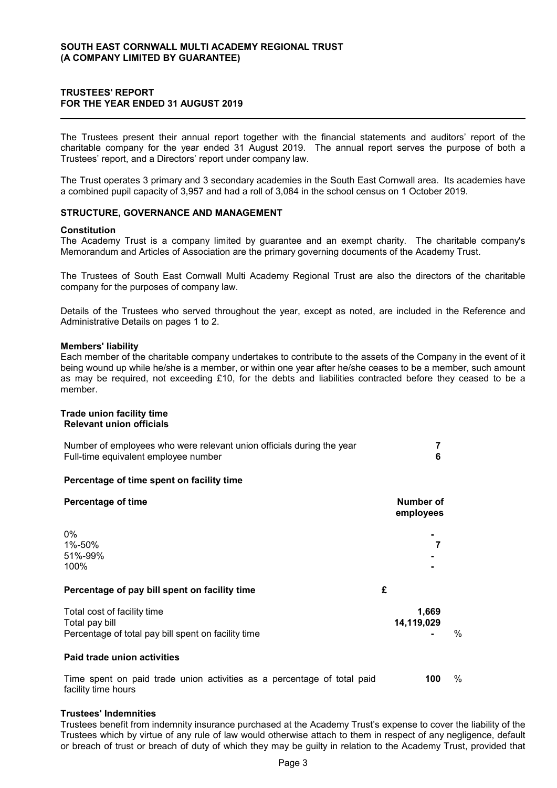#### **TRUSTEES' REPORT FOR THE YEAR ENDED 31 AUGUST 2019**

The Trustees present their annual report together with the financial statements and auditors' report of the charitable company for the year ended 31 August 2019. The annual report serves the purpose of both a Trustees' report, and a Directors' report under company law.

The Trust operates 3 primary and 3 secondary academies in the South East Cornwall area. Its academies have a combined pupil capacity of 3,957 and had a roll of 3,084 in the school census on 1 October 2019.

#### **STRUCTURE, GOVERNANCE AND MANAGEMENT**

#### **Constitution**

The Academy Trust is a company limited by guarantee and an exempt charity. The charitable company's Memorandum and Articles of Association are the primary governing documents of the Academy Trust.

The Trustees of South East Cornwall Multi Academy Regional Trust are also the directors of the charitable company for the purposes of company law.

Details of the Trustees who served throughout the year, except as noted, are included in the Reference and Administrative Details on pages 1 to 2.

#### **Members' liability**

Each member of the charitable company undertakes to contribute to the assets of the Company in the event of it being wound up while he/she is a member, or within one year after he/she ceases to be a member, such amount as may be required, not exceeding £10, for the debts and liabilities contracted before they ceased to be a member.

#### **Trade union facility time Relevant union officials**

| Number of employees who were relevant union officials during the year |  |
|-----------------------------------------------------------------------|--|
| Full-time equivalent employee number                                  |  |

#### **Percentage of time spent on facility time**

| <b>Percentage of time</b>                                                                            |   | Number of<br>employees |      |
|------------------------------------------------------------------------------------------------------|---|------------------------|------|
| 0%<br>1%-50%<br>51%-99%<br>100%                                                                      |   | 7                      |      |
| Percentage of pay bill spent on facility time                                                        | £ |                        |      |
| Total cost of facility time<br>Total pay bill<br>Percentage of total pay bill spent on facility time |   | 1,669<br>14,119,029    | $\%$ |
| Paid trade union activities                                                                          |   |                        |      |
| Time spent on paid trade union activities as a percentage of total paid<br>facility time hours       |   | 100                    | $\%$ |

#### **Trustees' Indemnities**

Trustees benefit from indemnity insurance purchased at the Academy Trust's expense to cover the liability of the Trustees which by virtue of any rule of law would otherwise attach to them in respect of any negligence, default or breach of trust or breach of duty of which they may be guilty in relation to the Academy Trust, provided that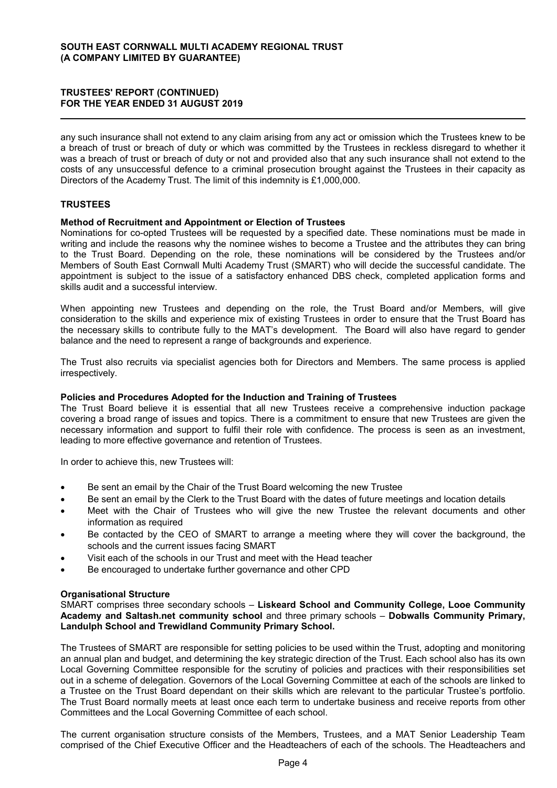any such insurance shall not extend to any claim arising from any act or omission which the Trustees knew to be a breach of trust or breach of duty or which was committed by the Trustees in reckless disregard to whether it was a breach of trust or breach of duty or not and provided also that any such insurance shall not extend to the costs of any unsuccessful defence to a criminal prosecution brought against the Trustees in their capacity as Directors of the Academy Trust. The limit of this indemnity is £1,000,000.

# **TRUSTEES**

#### **Method of Recruitment and Appointment or Election of Trustees**

Nominations for co-opted Trustees will be requested by a specified date. These nominations must be made in writing and include the reasons why the nominee wishes to become a Trustee and the attributes they can bring to the Trust Board. Depending on the role, these nominations will be considered by the Trustees and/or Members of South East Cornwall Multi Academy Trust (SMART) who will decide the successful candidate. The appointment is subject to the issue of a satisfactory enhanced DBS check, completed application forms and skills audit and a successful interview.

When appointing new Trustees and depending on the role, the Trust Board and/or Members, will give consideration to the skills and experience mix of existing Trustees in order to ensure that the Trust Board has the necessary skills to contribute fully to the MAT's development. The Board will also have regard to gender balance and the need to represent a range of backgrounds and experience.

The Trust also recruits via specialist agencies both for Directors and Members. The same process is applied irrespectively.

#### **Policies and Procedures Adopted for the Induction and Training of Trustees**

The Trust Board believe it is essential that all new Trustees receive a comprehensive induction package covering a broad range of issues and topics. There is a commitment to ensure that new Trustees are given the necessary information and support to fulfil their role with confidence. The process is seen as an investment, leading to more effective governance and retention of Trustees.

In order to achieve this, new Trustees will:

- Be sent an email by the Chair of the Trust Board welcoming the new Trustee
- Be sent an email by the Clerk to the Trust Board with the dates of future meetings and location details
- Meet with the Chair of Trustees who will give the new Trustee the relevant documents and other information as required
- Be contacted by the CEO of SMART to arrange a meeting where they will cover the background, the schools and the current issues facing SMART
- Visit each of the schools in our Trust and meet with the Head teacher
- Be encouraged to undertake further governance and other CPD

#### **Organisational Structure**

SMART comprises three secondary schools – **Liskeard School and Community College, Looe Community Academy and Saltash.net community school** and three primary schools – **Dobwalls Community Primary, Landulph School and Trewidland Community Primary School.** 

The Trustees of SMART are responsible for setting policies to be used within the Trust, adopting and monitoring an annual plan and budget, and determining the key strategic direction of the Trust. Each school also has its own Local Governing Committee responsible for the scrutiny of policies and practices with their responsibilities set out in a scheme of delegation. Governors of the Local Governing Committee at each of the schools are linked to a Trustee on the Trust Board dependant on their skills which are relevant to the particular Trustee's portfolio. The Trust Board normally meets at least once each term to undertake business and receive reports from other Committees and the Local Governing Committee of each school.

The current organisation structure consists of the Members, Trustees, and a MAT Senior Leadership Team comprised of the Chief Executive Officer and the Headteachers of each of the schools. The Headteachers and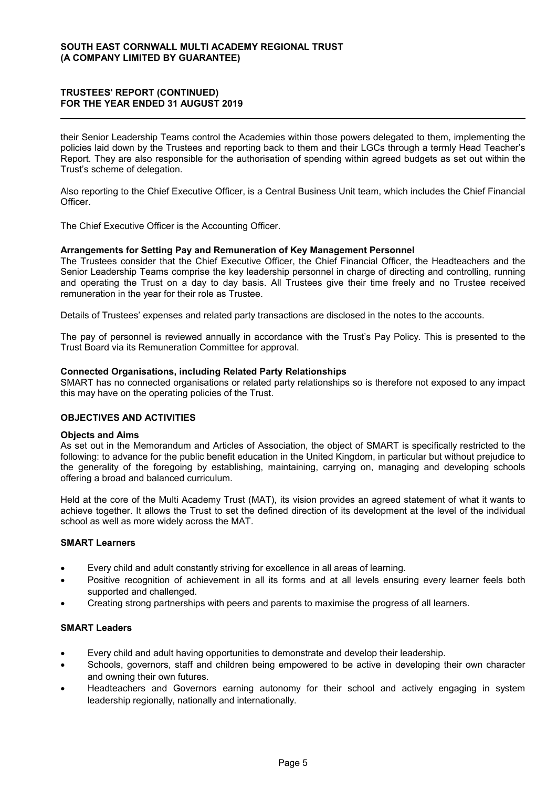their Senior Leadership Teams control the Academies within those powers delegated to them, implementing the policies laid down by the Trustees and reporting back to them and their LGCs through a termly Head Teacher's Report. They are also responsible for the authorisation of spending within agreed budgets as set out within the Trust's scheme of delegation.

Also reporting to the Chief Executive Officer, is a Central Business Unit team, which includes the Chief Financial Officer.

The Chief Executive Officer is the Accounting Officer.

#### **Arrangements for Setting Pay and Remuneration of Key Management Personnel**

The Trustees consider that the Chief Executive Officer, the Chief Financial Officer, the Headteachers and the Senior Leadership Teams comprise the key leadership personnel in charge of directing and controlling, running and operating the Trust on a day to day basis. All Trustees give their time freely and no Trustee received remuneration in the year for their role as Trustee.

Details of Trustees' expenses and related party transactions are disclosed in the notes to the accounts.

The pay of personnel is reviewed annually in accordance with the Trust's Pay Policy. This is presented to the Trust Board via its Remuneration Committee for approval.

### **Connected Organisations, including Related Party Relationships**

SMART has no connected organisations or related party relationships so is therefore not exposed to any impact this may have on the operating policies of the Trust.

# **OBJECTIVES AND ACTIVITIES**

#### **Objects and Aims**

As set out in the Memorandum and Articles of Association, the object of SMART is specifically restricted to the following: to advance for the public benefit education in the United Kingdom, in particular but without prejudice to the generality of the foregoing by establishing, maintaining, carrying on, managing and developing schools offering a broad and balanced curriculum.

Held at the core of the Multi Academy Trust (MAT), its vision provides an agreed statement of what it wants to achieve together. It allows the Trust to set the defined direction of its development at the level of the individual school as well as more widely across the MAT.

#### **SMART Learners**

- Every child and adult constantly striving for excellence in all areas of learning.
- Positive recognition of achievement in all its forms and at all levels ensuring every learner feels both supported and challenged.
- Creating strong partnerships with peers and parents to maximise the progress of all learners.

#### **SMART Leaders**

- Every child and adult having opportunities to demonstrate and develop their leadership.
- Schools, governors, staff and children being empowered to be active in developing their own character and owning their own futures.
- Headteachers and Governors earning autonomy for their school and actively engaging in system leadership regionally, nationally and internationally.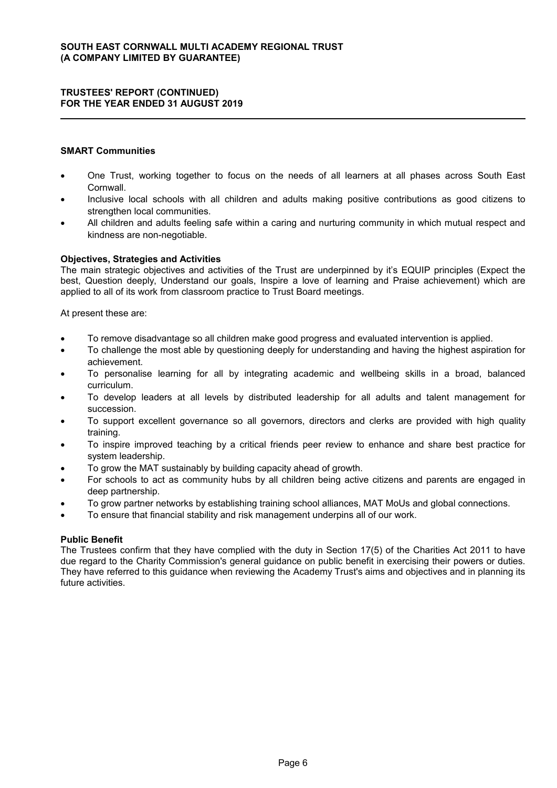# **SMART Communities**

- One Trust, working together to focus on the needs of all learners at all phases across South East **Cornwall**
- Inclusive local schools with all children and adults making positive contributions as good citizens to strengthen local communities.
- All children and adults feeling safe within a caring and nurturing community in which mutual respect and kindness are non-negotiable.

### **Objectives, Strategies and Activities**

The main strategic objectives and activities of the Trust are underpinned by it's EQUIP principles (Expect the best, Question deeply, Understand our goals, Inspire a love of learning and Praise achievement) which are applied to all of its work from classroom practice to Trust Board meetings.

At present these are:

- To remove disadvantage so all children make good progress and evaluated intervention is applied.
- To challenge the most able by questioning deeply for understanding and having the highest aspiration for achievement.
- To personalise learning for all by integrating academic and wellbeing skills in a broad, balanced curriculum.
- To develop leaders at all levels by distributed leadership for all adults and talent management for succession.
- To support excellent governance so all governors, directors and clerks are provided with high quality training.
- To inspire improved teaching by a critical friends peer review to enhance and share best practice for system leadership.
- To grow the MAT sustainably by building capacity ahead of growth.
- For schools to act as community hubs by all children being active citizens and parents are engaged in deep partnership.
- To grow partner networks by establishing training school alliances, MAT MoUs and global connections.
- To ensure that financial stability and risk management underpins all of our work.

#### **Public Benefit**

The Trustees confirm that they have complied with the duty in Section 17(5) of the Charities Act 2011 to have due regard to the Charity Commission's general guidance on public benefit in exercising their powers or duties. They have referred to this guidance when reviewing the Academy Trust's aims and objectives and in planning its future activities.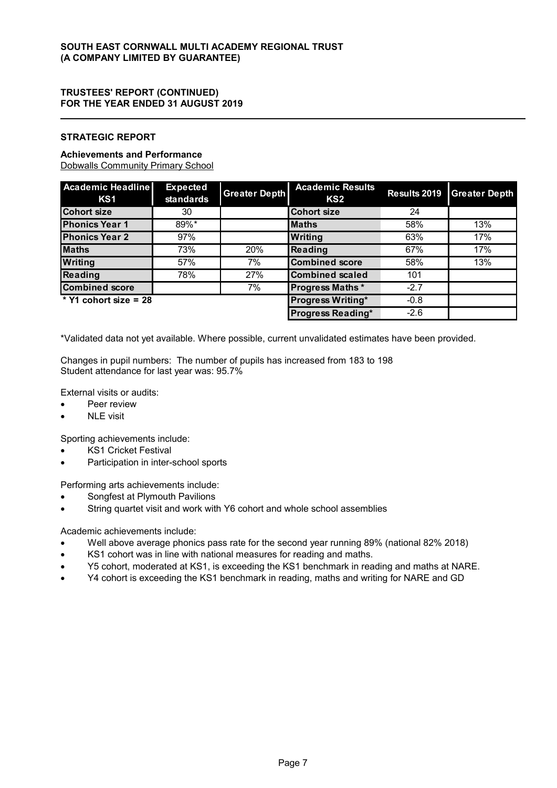# **STRATEGIC REPORT**

### **Achievements and Performance**

Dobwalls Community Primary School

| <b>Academic Headline</b><br>KS1 | <b>Expected</b><br>standards | <b>Greater Depth</b> | <b>Academic Results</b><br>KS <sub>2</sub> | Results 2019 | <b>Greater Depth</b> |
|---------------------------------|------------------------------|----------------------|--------------------------------------------|--------------|----------------------|
| <b>Cohort size</b>              | 30                           |                      | <b>Cohort size</b>                         | 24           |                      |
| <b>Phonics Year 1</b>           | 89%*                         |                      | <b>Maths</b>                               | 58%          | 13%                  |
| <b>Phonics Year 2</b>           | 97%                          |                      | Writing                                    | 63%          | 17%                  |
| <b>Maths</b>                    | 73%                          | 20%                  | Reading                                    | 67%          | 17%                  |
| Writing                         | 57%                          | 7%                   | <b>Combined score</b>                      | 58%          | 13%                  |
| Reading                         | 78%                          | 27%                  | <b>Combined scaled</b>                     | 101          |                      |
| <b>Combined score</b>           |                              | 7%                   | <b>Progress Maths*</b>                     | $-2.7$       |                      |
| * $Y1$ cohort size = 28         |                              |                      | <b>Progress Writing*</b>                   | $-0.8$       |                      |
|                                 |                              |                      | <b>Progress Reading*</b>                   | $-2.6$       |                      |

\*Validated data not yet available. Where possible, current unvalidated estimates have been provided.

Changes in pupil numbers: The number of pupils has increased from 183 to 198 Student attendance for last year was: 95.7%

External visits or audits:

- Peer review
- NLE visit

Sporting achievements include:

- KS1 Cricket Festival
- Participation in inter-school sports

Performing arts achievements include:

- Songfest at Plymouth Pavilions
- String quartet visit and work with Y6 cohort and whole school assemblies

Academic achievements include:

- Well above average phonics pass rate for the second year running 89% (national 82% 2018)
- KS1 cohort was in line with national measures for reading and maths.
- Y5 cohort, moderated at KS1, is exceeding the KS1 benchmark in reading and maths at NARE.
- Y4 cohort is exceeding the KS1 benchmark in reading, maths and writing for NARE and GD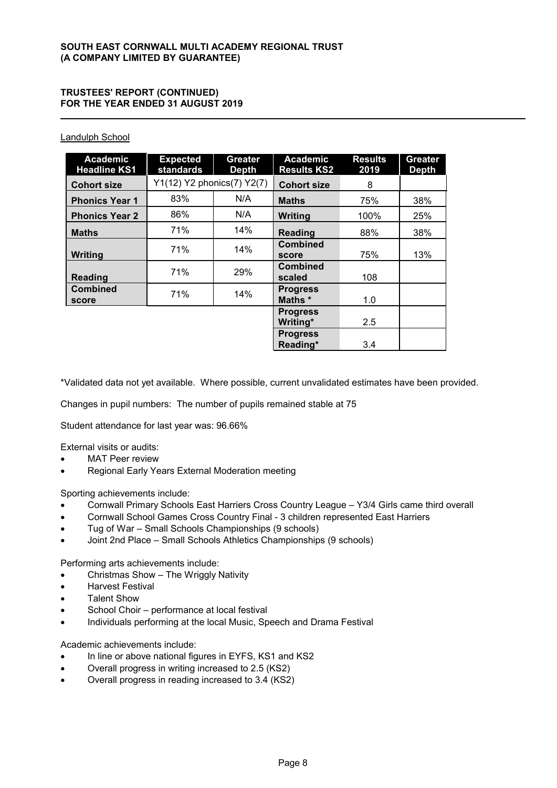# Landulph School

| <b>Academic</b><br><b>Headline KS1</b> | <b>Expected</b><br>standards | <b>Greater</b><br><b>Depth</b> | <b>Academic</b><br><b>Results KS2</b> | <b>Results</b><br>2019 | <b>Greater</b><br><b>Depth</b> |
|----------------------------------------|------------------------------|--------------------------------|---------------------------------------|------------------------|--------------------------------|
| <b>Cohort size</b>                     | Y1(12) Y2 phonics(7) Y2(7)   |                                | <b>Cohort size</b>                    | 8                      |                                |
| <b>Phonics Year 1</b>                  | 83%                          | N/A                            | <b>Maths</b>                          | 75%                    | 38%                            |
| <b>Phonics Year 2</b>                  | 86%                          | N/A                            | Writing                               | 100%                   | 25%                            |
| <b>Maths</b>                           | 71%                          | 14%                            | Reading                               | 88%                    | 38%                            |
| Writing                                | 71%                          | 14%                            | <b>Combined</b><br>score              | 75%                    | 13%                            |
| <b>Reading</b>                         | 71%                          | 29%                            | <b>Combined</b><br>scaled             | 108                    |                                |
| <b>Combined</b><br>score               | 71%                          | 14%                            | <b>Progress</b><br>Maths *            | 1.0                    |                                |
|                                        |                              |                                | <b>Progress</b><br>Writing*           | 2.5                    |                                |
|                                        |                              |                                | <b>Progress</b><br>Reading*           | 3.4                    |                                |

\*Validated data not yet available. Where possible, current unvalidated estimates have been provided.

Changes in pupil numbers: The number of pupils remained stable at 75

Student attendance for last year was: 96.66%

External visits or audits:

- MAT Peer review
- Regional Early Years External Moderation meeting

Sporting achievements include:

- Cornwall Primary Schools East Harriers Cross Country League Y3/4 Girls came third overall
- Cornwall School Games Cross Country Final 3 children represented East Harriers
- Tug of War Small Schools Championships (9 schools)
- Joint 2nd Place Small Schools Athletics Championships (9 schools)

Performing arts achievements include:

- Christmas Show The Wriggly Nativity
- Harvest Festival
- Talent Show
- School Choir performance at local festival
- Individuals performing at the local Music, Speech and Drama Festival

Academic achievements include:

- In line or above national figures in EYFS, KS1 and KS2
- Overall progress in writing increased to 2.5 (KS2)
- Overall progress in reading increased to 3.4 (KS2)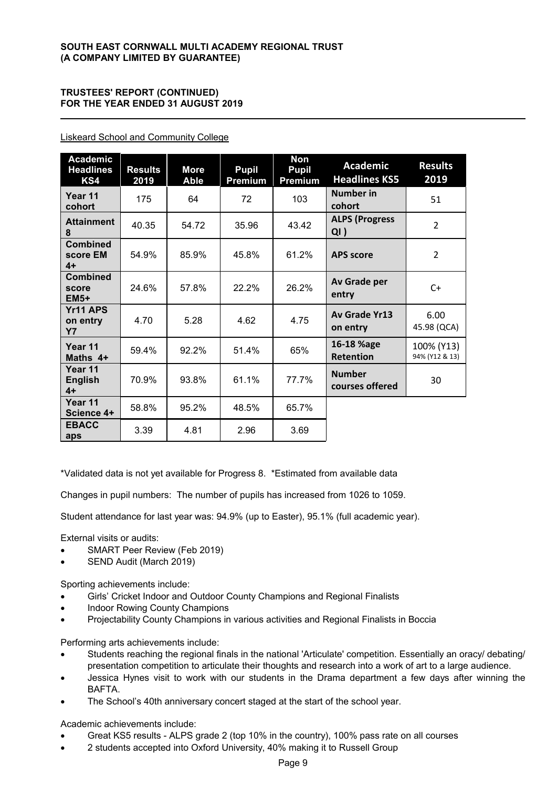| <b>Academic</b><br><b>Headlines</b><br>KS4 | <b>Results</b><br>2019 | <b>More</b><br><b>Able</b> | <b>Pupil</b><br>Premium | <b>Non</b><br><b>Pupil</b><br>Premium | <b>Academic</b><br><b>Headlines KS5</b> | <b>Results</b><br>2019       |
|--------------------------------------------|------------------------|----------------------------|-------------------------|---------------------------------------|-----------------------------------------|------------------------------|
| Year 11<br>cohort                          | 175                    | 64                         | 72                      | 103                                   | <b>Number in</b><br>cohort              | 51                           |
| <b>Attainment</b><br>8                     | 40.35                  | 54.72                      | 35.96                   | 43.42                                 | <b>ALPS (Progress</b><br>QI)            | $\mathcal{P}$                |
| <b>Combined</b><br>score EM<br>$4+$        | 54.9%                  | 85.9%                      | 45.8%                   | 61.2%                                 | <b>APS</b> score                        | $\overline{2}$               |
| <b>Combined</b><br>score<br>$EM5+$         | 24.6%                  | 57.8%                      | 22.2%                   | 26.2%                                 | Av Grade per<br>entry                   | $C+$                         |
| Yr11 APS<br>on entry<br><b>Y7</b>          | 4.70                   | 5.28                       | 4.62                    | 4.75                                  | Av Grade Yr13<br>on entry               | 6.00<br>45.98 (QCA)          |
| Year 11<br>Maths 4+                        | 59.4%                  | 92.2%                      | 51.4%                   | 65%                                   | 16-18 %age<br><b>Retention</b>          | 100% (Y13)<br>94% (Y12 & 13) |
| Year 11<br><b>English</b><br>$4+$          | 70.9%                  | 93.8%                      | 61.1%                   | 77.7%                                 | <b>Number</b><br>courses offered        | 30                           |
| Year 11<br>Science 4+                      | 58.8%                  | 95.2%                      | 48.5%                   | 65.7%                                 |                                         |                              |
| <b>EBACC</b><br>aps                        | 3.39                   | 4.81                       | 2.96                    | 3.69                                  |                                         |                              |

Liskeard School and Community College

\*Validated data is not yet available for Progress 8. \*Estimated from available data

Changes in pupil numbers: The number of pupils has increased from 1026 to 1059.

Student attendance for last year was: 94.9% (up to Easter), 95.1% (full academic year).

External visits or audits:

- SMART Peer Review (Feb 2019)
- SEND Audit (March 2019)

Sporting achievements include:

- Girls' Cricket Indoor and Outdoor County Champions and Regional Finalists
- Indoor Rowing County Champions
- Projectability County Champions in various activities and Regional Finalists in Boccia

Performing arts achievements include:

- Students reaching the regional finals in the national 'Articulate' competition. Essentially an oracy/ debating/ presentation competition to articulate their thoughts and research into a work of art to a large audience.
- Jessica Hynes visit to work with our students in the Drama department a few days after winning the BAFTA.
- The School's 40th anniversary concert staged at the start of the school year.

Academic achievements include:

- Great KS5 results ALPS grade 2 (top 10% in the country), 100% pass rate on all courses
- 2 students accepted into Oxford University, 40% making it to Russell Group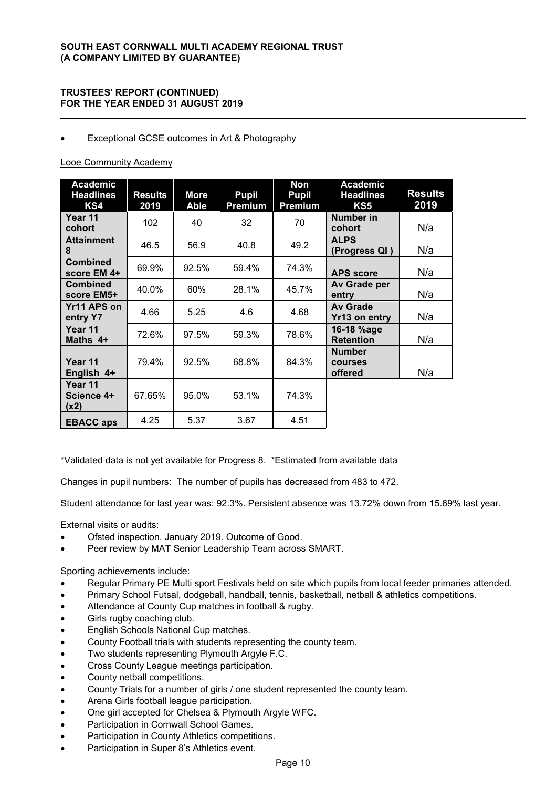# Exceptional GCSE outcomes in Art & Photography

# Looe Community Academy

| <b>Academic</b><br><b>Headlines</b><br>KS4 | <b>Results</b><br>2019 | <b>More</b><br><b>Able</b> | <b>Pupil</b><br>Premium | Non<br><b>Pupil</b><br><b>Premium</b> | <b>Academic</b><br><b>Headlines</b><br>KS5 | <b>Results</b><br>2019 |
|--------------------------------------------|------------------------|----------------------------|-------------------------|---------------------------------------|--------------------------------------------|------------------------|
| Year 11<br>cohort                          | 102                    | 40                         | 32                      | 70                                    | <b>Number in</b><br>cohort                 | N/a                    |
| <b>Attainment</b><br>8                     | 46.5                   | 56.9                       | 40.8                    | 49.2                                  | <b>ALPS</b><br>(Progress QI)               | N/a                    |
| <b>Combined</b><br>score EM 4+             | 69.9%                  | 92.5%                      | 59.4%                   | 74.3%                                 | <b>APS score</b>                           | N/a                    |
| <b>Combined</b><br>score EM5+              | 40.0%                  | 60%                        | 28.1%                   | 45.7%                                 | Av Grade per<br>entry                      | N/a                    |
| Yr11 APS on<br>entry Y7                    | 4.66                   | 5.25                       | 4.6                     | 4.68                                  | <b>Av Grade</b><br>Yr13 on entry           | N/a                    |
| Year 11<br>Maths 4+                        | 72.6%                  | 97.5%                      | 59.3%                   | 78.6%                                 | 16-18 %age<br><b>Retention</b>             | N/a                    |
| Year 11<br>English 4+                      | 79.4%                  | 92.5%                      | 68.8%                   | 84.3%                                 | <b>Number</b><br>courses<br>offered        | N/a                    |
| Year 11<br>Science 4+<br>(x2)              | 67.65%                 | 95.0%                      | 53.1%                   | 74.3%                                 |                                            |                        |
| <b>EBACC aps</b>                           | 4.25                   | 5.37                       | 3.67                    | 4.51                                  |                                            |                        |

\*Validated data is not yet available for Progress 8. \*Estimated from available data

Changes in pupil numbers: The number of pupils has decreased from 483 to 472.

Student attendance for last year was: 92.3%. Persistent absence was 13.72% down from 15.69% last year.

External visits or audits:

- Ofsted inspection. January 2019. Outcome of Good.
- Peer review by MAT Senior Leadership Team across SMART.

Sporting achievements include:

- Regular Primary PE Multi sport Festivals held on site which pupils from local feeder primaries attended.
- Primary School Futsal, dodgeball, handball, tennis, basketball, netball & athletics competitions.
- Attendance at County Cup matches in football & rugby.
- Girls rugby coaching club.
- English Schools National Cup matches.
- County Football trials with students representing the county team.
- Two students representing Plymouth Argyle F.C.
- Cross County League meetings participation.
- County netball competitions.
- County Trials for a number of girls / one student represented the county team.
- Arena Girls football league participation.
- One girl accepted for Chelsea & Plymouth Argyle WFC.
- Participation in Cornwall School Games.
- Participation in County Athletics competitions.
- Participation in Super 8's Athletics event.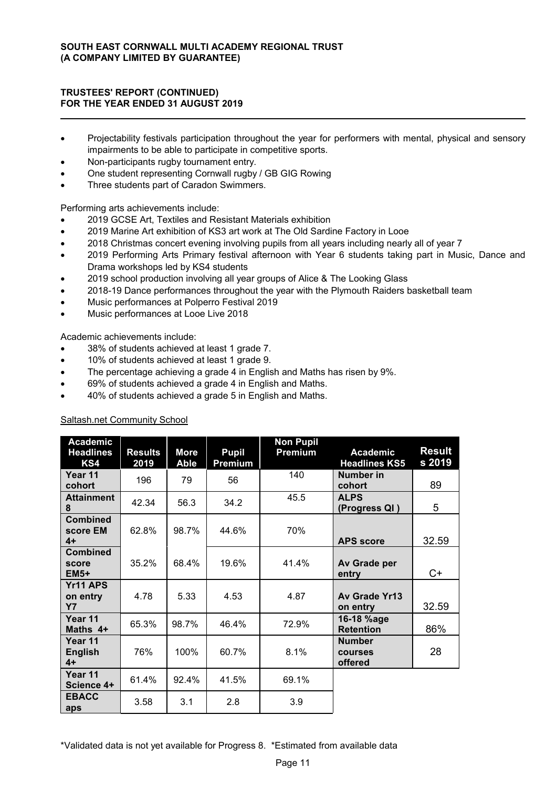- Projectability festivals participation throughout the year for performers with mental, physical and sensory impairments to be able to participate in competitive sports.
- Non-participants rugby tournament entry.
- One student representing Cornwall rugby / GB GIG Rowing
- Three students part of Caradon Swimmers.

Performing arts achievements include:

- 2019 GCSE Art, Textiles and Resistant Materials exhibition
- 2019 Marine Art exhibition of KS3 art work at The Old Sardine Factory in Looe
- 2018 Christmas concert evening involving pupils from all years including nearly all of year 7
- 2019 Performing Arts Primary festival afternoon with Year 6 students taking part in Music, Dance and Drama workshops led by KS4 students
- 2019 school production involving all year groups of Alice & The Looking Glass
- 2018-19 Dance performances throughout the year with the Plymouth Raiders basketball team
- Music performances at Polperro Festival 2019
- Music performances at Looe Live 2018

Academic achievements include:

- 38% of students achieved at least 1 grade 7.
- 10% of students achieved at least 1 grade 9.
- The percentage achieving a grade 4 in English and Maths has risen by 9%.
- 69% of students achieved a grade 4 in English and Maths.
- 40% of students achieved a grade 5 in English and Maths.

| <b>Academic</b><br><b>Headlines</b><br>KS4 | <b>Results</b><br>2019 | <b>More</b><br><b>Able</b> | <b>Pupil</b><br>Premium | <b>Non Pupil</b><br>Premium | <b>Academic</b><br><b>Headlines KS5</b> | <b>Result</b><br>s 2019 |
|--------------------------------------------|------------------------|----------------------------|-------------------------|-----------------------------|-----------------------------------------|-------------------------|
| Year 11<br>cohort                          | 196                    | 79                         | 56                      | 140                         | Number in<br>cohort                     | 89                      |
| <b>Attainment</b><br>8                     | 42.34                  | 56.3                       | 34.2                    | 45.5                        | <b>ALPS</b><br>(Progress QI)            | 5                       |
| <b>Combined</b><br>score EM<br>$4+$        | 62.8%                  | 98.7%                      | 44.6%                   | 70%                         | <b>APS</b> score                        | 32.59                   |
| <b>Combined</b><br>score<br>$EM5+$         | 35.2%                  | 68.4%                      | 19.6%                   | 41.4%                       | Av Grade per<br>entry                   | $C+$                    |
| Yr11 APS<br>on entry<br><b>Y7</b>          | 4.78                   | 5.33                       | 4.53                    | 4.87                        | Av Grade Yr13<br>on entry               | 32.59                   |
| Year 11<br>Maths 4+                        | 65.3%                  | 98.7%                      | 46.4%                   | 72.9%                       | 16-18 %age<br><b>Retention</b>          | 86%                     |
| Year 11<br><b>English</b><br>$4+$          | 76%                    | 100%                       | 60.7%                   | 8.1%                        | <b>Number</b><br>courses<br>offered     |                         |
| Year 11<br>Science 4+                      | 61.4%                  | 92.4%                      | 41.5%                   | 69.1%                       |                                         |                         |
| <b>EBACC</b><br>aps                        | 3.58                   | 3.1                        | 2.8                     | 3.9                         |                                         |                         |

# Saltash.net Community School

\*Validated data is not yet available for Progress 8. \*Estimated from available data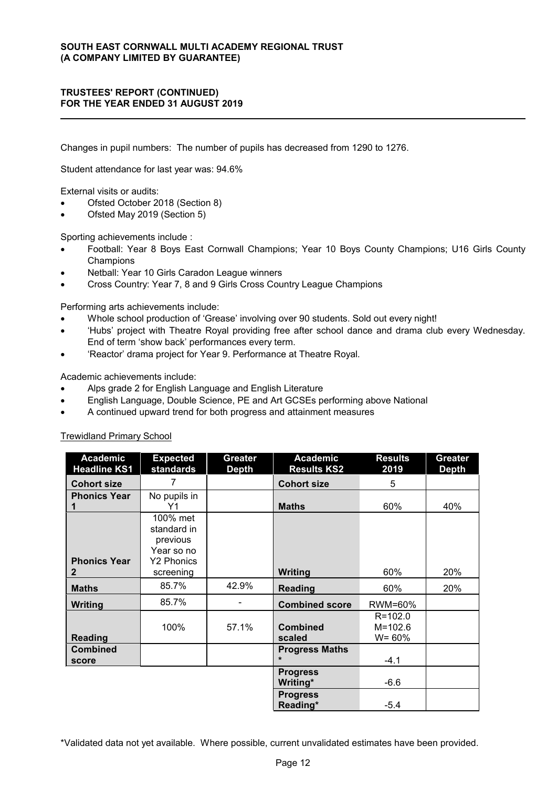Changes in pupil numbers: The number of pupils has decreased from 1290 to 1276.

Student attendance for last year was: 94.6%

External visits or audits:

- Ofsted October 2018 (Section 8)
- Ofsted May 2019 (Section 5)

Sporting achievements include :

- Football: Year 8 Boys East Cornwall Champions; Year 10 Boys County Champions; U16 Girls County **Champions**
- Netball: Year 10 Girls Caradon League winners
- Cross Country: Year 7, 8 and 9 Girls Cross Country League Champions

Performing arts achievements include:

- Whole school production of 'Grease' involving over 90 students. Sold out every night!
- 'Hubs' project with Theatre Royal providing free after school dance and drama club every Wednesday. End of term 'show back' performances every term.
- 'Reactor' drama project for Year 9. Performance at Theatre Royal.

Academic achievements include:

- Alps grade 2 for English Language and English Literature
- English Language, Double Science, PE and Art GCSEs performing above National
- A continued upward trend for both progress and attainment measures

Trewidland Primary School

| <b>Academic</b><br><b>Headline KS1</b> | <b>Expected</b><br>standards                                           | Greater<br><b>Depth</b> | <b>Academic</b><br><b>Results KS2</b> | <b>Results</b><br>2019                   | <b>Greater</b><br><b>Depth</b> |
|----------------------------------------|------------------------------------------------------------------------|-------------------------|---------------------------------------|------------------------------------------|--------------------------------|
| <b>Cohort size</b>                     | 7                                                                      |                         | <b>Cohort size</b>                    | 5                                        |                                |
| <b>Phonics Year</b>                    | No pupils in<br>Υ1                                                     |                         | <b>Maths</b>                          | 60%                                      | 40%                            |
| <b>Phonics Year</b>                    | 100% met<br>standard in<br>previous<br>Year so no<br><b>Y2 Phonics</b> |                         |                                       |                                          |                                |
| $\mathbf{2}$                           | screening                                                              |                         | <b>Writing</b>                        | 60%                                      | 20%                            |
| <b>Maths</b>                           | 85.7%                                                                  | 42.9%                   | <b>Reading</b>                        | 60%                                      | 20%                            |
| <b>Writing</b>                         | 85.7%                                                                  |                         | <b>Combined score</b>                 | RWM=60%                                  |                                |
| Reading                                | 100%                                                                   | 57.1%                   | <b>Combined</b><br>scaled             | $R = 102.0$<br>$M = 102.6$<br>$W = 60\%$ |                                |
| <b>Combined</b><br>score               |                                                                        |                         | <b>Progress Maths</b><br>$\star$      | $-4.1$                                   |                                |
|                                        |                                                                        |                         | <b>Progress</b><br>Writing*           | $-6.6$                                   |                                |
|                                        |                                                                        |                         | <b>Progress</b><br>Reading*           | $-5.4$                                   |                                |

\*Validated data not yet available. Where possible, current unvalidated estimates have been provided.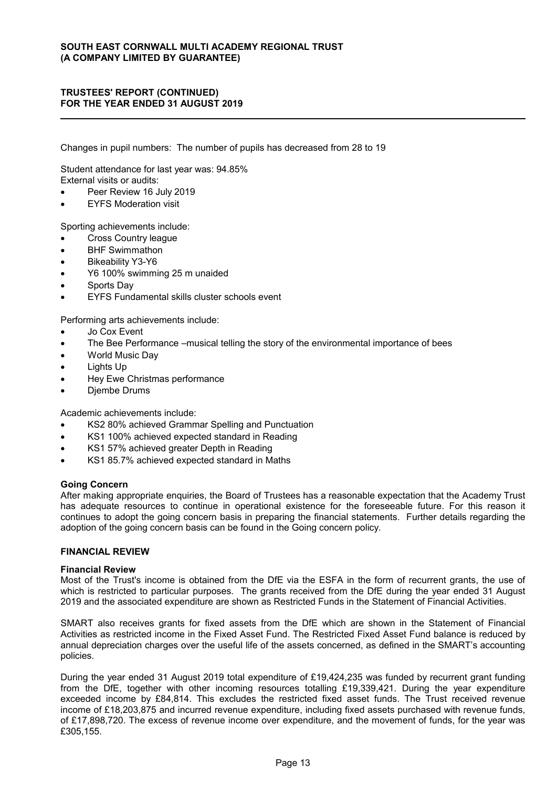Changes in pupil numbers: The number of pupils has decreased from 28 to 19

Student attendance for last year was: 94.85% External visits or audits:

- Peer Review 16 July 2019
- EYFS Moderation visit

Sporting achievements include:

- Cross Country league
- BHF Swimmathon
- Bikeability Y3-Y6
- Y6 100% swimming 25 m unaided
- Sports Day
- EYFS Fundamental skills cluster schools event

Performing arts achievements include:

- Jo Cox Event
- The Bee Performance –musical telling the story of the environmental importance of bees
- World Music Day
- Lights Up
- Hey Ewe Christmas performance
- Djembe Drums

Academic achievements include:

- KS2 80% achieved Grammar Spelling and Punctuation
- KS1 100% achieved expected standard in Reading
- KS1 57% achieved greater Depth in Reading
- KS1 85.7% achieved expected standard in Maths

#### **Going Concern**

After making appropriate enquiries, the Board of Trustees has a reasonable expectation that the Academy Trust has adequate resources to continue in operational existence for the foreseeable future. For this reason it continues to adopt the going concern basis in preparing the financial statements. Further details regarding the adoption of the going concern basis can be found in the Going concern policy.

#### **FINANCIAL REVIEW**

#### **Financial Review**

Most of the Trust's income is obtained from the DfE via the ESFA in the form of recurrent grants, the use of which is restricted to particular purposes. The grants received from the DfE during the year ended 31 August 2019 and the associated expenditure are shown as Restricted Funds in the Statement of Financial Activities.

SMART also receives grants for fixed assets from the DfE which are shown in the Statement of Financial Activities as restricted income in the Fixed Asset Fund. The Restricted Fixed Asset Fund balance is reduced by annual depreciation charges over the useful life of the assets concerned, as defined in the SMART's accounting policies.

During the year ended 31 August 2019 total expenditure of £19,424,235 was funded by recurrent grant funding from the DfE, together with other incoming resources totalling £19,339,421. During the year expenditure exceeded income by £84,814. This excludes the restricted fixed asset funds. The Trust received revenue income of £18,203,875 and incurred revenue expenditure, including fixed assets purchased with revenue funds, of £17,898,720. The excess of revenue income over expenditure, and the movement of funds, for the year was £305,155.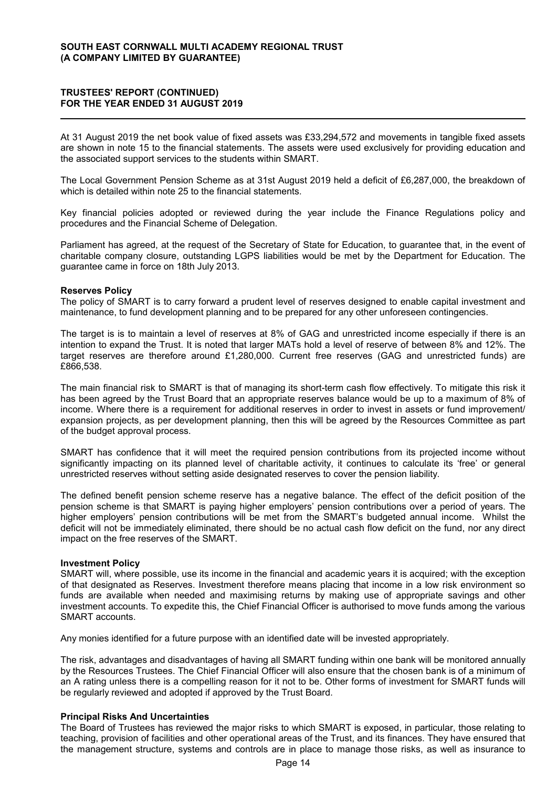At 31 August 2019 the net book value of fixed assets was £33,294,572 and movements in tangible fixed assets are shown in note 15 to the financial statements. The assets were used exclusively for providing education and the associated support services to the students within SMART.

The Local Government Pension Scheme as at 31st August 2019 held a deficit of £6,287,000, the breakdown of which is detailed within note 25 to the financial statements.

Key financial policies adopted or reviewed during the year include the Finance Regulations policy and procedures and the Financial Scheme of Delegation.

Parliament has agreed, at the request of the Secretary of State for Education, to guarantee that, in the event of charitable company closure, outstanding LGPS liabilities would be met by the Department for Education. The guarantee came in force on 18th July 2013.

#### **Reserves Policy**

The policy of SMART is to carry forward a prudent level of reserves designed to enable capital investment and maintenance, to fund development planning and to be prepared for any other unforeseen contingencies.

The target is is to maintain a level of reserves at 8% of GAG and unrestricted income especially if there is an intention to expand the Trust. It is noted that larger MATs hold a level of reserve of between 8% and 12%. The target reserves are therefore around £1,280,000. Current free reserves (GAG and unrestricted funds) are £866,538.

The main financial risk to SMART is that of managing its short-term cash flow effectively. To mitigate this risk it has been agreed by the Trust Board that an appropriate reserves balance would be up to a maximum of 8% of income. Where there is a requirement for additional reserves in order to invest in assets or fund improvement/ expansion projects, as per development planning, then this will be agreed by the Resources Committee as part of the budget approval process.

SMART has confidence that it will meet the required pension contributions from its projected income without significantly impacting on its planned level of charitable activity, it continues to calculate its 'free' or general unrestricted reserves without setting aside designated reserves to cover the pension liability.

The defined benefit pension scheme reserve has a negative balance. The effect of the deficit position of the pension scheme is that SMART is paying higher employers' pension contributions over a period of years. The higher employers' pension contributions will be met from the SMART's budgeted annual income. Whilst the deficit will not be immediately eliminated, there should be no actual cash flow deficit on the fund, nor any direct impact on the free reserves of the SMART.

#### **Investment Policy**

SMART will, where possible, use its income in the financial and academic years it is acquired; with the exception of that designated as Reserves. Investment therefore means placing that income in a low risk environment so funds are available when needed and maximising returns by making use of appropriate savings and other investment accounts. To expedite this, the Chief Financial Officer is authorised to move funds among the various SMART accounts.

Any monies identified for a future purpose with an identified date will be invested appropriately.

The risk, advantages and disadvantages of having all SMART funding within one bank will be monitored annually by the Resources Trustees. The Chief Financial Officer will also ensure that the chosen bank is of a minimum of an A rating unless there is a compelling reason for it not to be. Other forms of investment for SMART funds will be regularly reviewed and adopted if approved by the Trust Board.

# **Principal Risks And Uncertainties**

The Board of Trustees has reviewed the major risks to which SMART is exposed, in particular, those relating to teaching, provision of facilities and other operational areas of the Trust, and its finances. They have ensured that the management structure, systems and controls are in place to manage those risks, as well as insurance to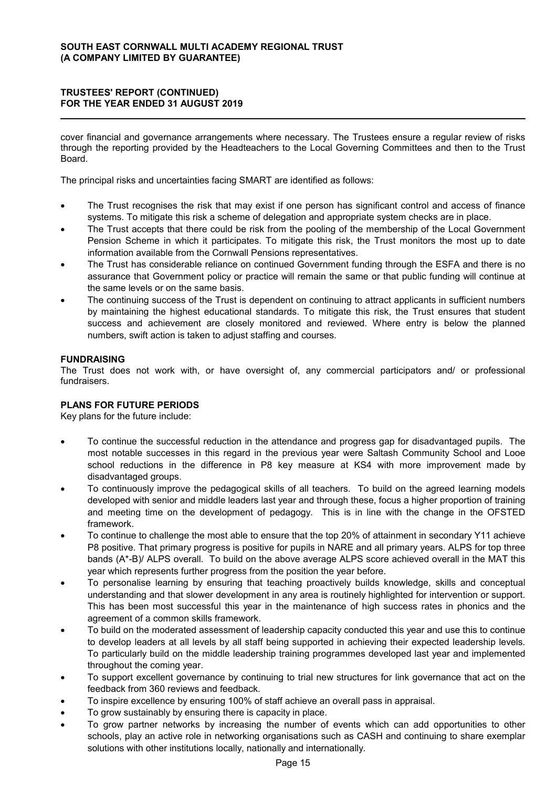cover financial and governance arrangements where necessary. The Trustees ensure a regular review of risks through the reporting provided by the Headteachers to the Local Governing Committees and then to the Trust Board.

The principal risks and uncertainties facing SMART are identified as follows:

- The Trust recognises the risk that may exist if one person has significant control and access of finance systems. To mitigate this risk a scheme of delegation and appropriate system checks are in place.
- The Trust accepts that there could be risk from the pooling of the membership of the Local Government Pension Scheme in which it participates. To mitigate this risk, the Trust monitors the most up to date information available from the Cornwall Pensions representatives.
- The Trust has considerable reliance on continued Government funding through the ESFA and there is no assurance that Government policy or practice will remain the same or that public funding will continue at the same levels or on the same basis.
- The continuing success of the Trust is dependent on continuing to attract applicants in sufficient numbers by maintaining the highest educational standards. To mitigate this risk, the Trust ensures that student success and achievement are closely monitored and reviewed. Where entry is below the planned numbers, swift action is taken to adjust staffing and courses.

### **FUNDRAISING**

The Trust does not work with, or have oversight of, any commercial participators and/ or professional fundraisers.

# **PLANS FOR FUTURE PERIODS**

Key plans for the future include:

- To continue the successful reduction in the attendance and progress gap for disadvantaged pupils. The most notable successes in this regard in the previous year were Saltash Community School and Looe school reductions in the difference in P8 key measure at KS4 with more improvement made by disadvantaged groups.
- To continuously improve the pedagogical skills of all teachers. To build on the agreed learning models developed with senior and middle leaders last year and through these, focus a higher proportion of training and meeting time on the development of pedagogy. This is in line with the change in the OFSTED framework
- To continue to challenge the most able to ensure that the top 20% of attainment in secondary Y11 achieve P8 positive. That primary progress is positive for pupils in NARE and all primary years. ALPS for top three bands (A\*-B)/ ALPS overall. To build on the above average ALPS score achieved overall in the MAT this year which represents further progress from the position the year before.
- To personalise learning by ensuring that teaching proactively builds knowledge, skills and conceptual understanding and that slower development in any area is routinely highlighted for intervention or support. This has been most successful this year in the maintenance of high success rates in phonics and the agreement of a common skills framework.
- To build on the moderated assessment of leadership capacity conducted this year and use this to continue to develop leaders at all levels by all staff being supported in achieving their expected leadership levels. To particularly build on the middle leadership training programmes developed last year and implemented throughout the coming year.
- To support excellent governance by continuing to trial new structures for link governance that act on the feedback from 360 reviews and feedback.
- To inspire excellence by ensuring 100% of staff achieve an overall pass in appraisal.
- To grow sustainably by ensuring there is capacity in place.
- To grow partner networks by increasing the number of events which can add opportunities to other schools, play an active role in networking organisations such as CASH and continuing to share exemplar solutions with other institutions locally, nationally and internationally.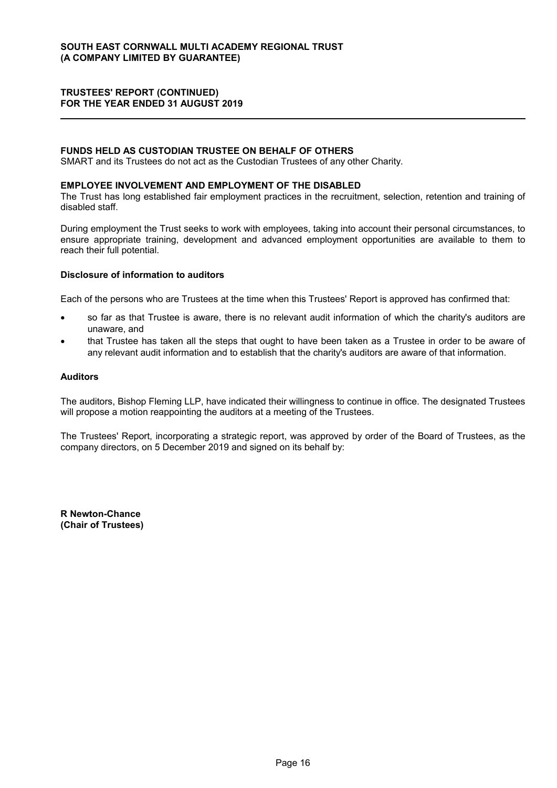### **FUNDS HELD AS CUSTODIAN TRUSTEE ON BEHALF OF OTHERS**

SMART and its Trustees do not act as the Custodian Trustees of any other Charity.

#### **EMPLOYEE INVOLVEMENT AND EMPLOYMENT OF THE DISABLED**

The Trust has long established fair employment practices in the recruitment, selection, retention and training of disabled staff.

During employment the Trust seeks to work with employees, taking into account their personal circumstances, to ensure appropriate training, development and advanced employment opportunities are available to them to reach their full potential.

### **Disclosure of information to auditors**

Each of the persons who are Trustees at the time when this Trustees' Report is approved has confirmed that:

- so far as that Trustee is aware, there is no relevant audit information of which the charity's auditors are unaware, and
- that Trustee has taken all the steps that ought to have been taken as a Trustee in order to be aware of any relevant audit information and to establish that the charity's auditors are aware of that information.

# **Auditors**

The auditors, Bishop Fleming LLP, have indicated their willingness to continue in office. The designated Trustees will propose a motion reappointing the auditors at a meeting of the Trustees.

The Trustees' Report, incorporating a strategic report, was approved by order of the Board of Trustees, as the company directors, on 5 December 2019 and signed on its behalf by:

**R Newton-Chance (Chair of Trustees)**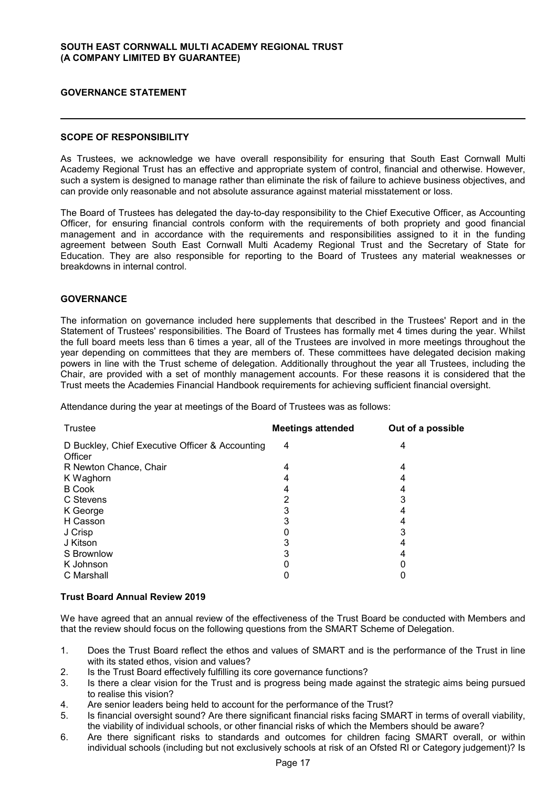### **GOVERNANCE STATEMENT**

#### **SCOPE OF RESPONSIBILITY**

As Trustees, we acknowledge we have overall responsibility for ensuring that South East Cornwall Multi Academy Regional Trust has an effective and appropriate system of control, financial and otherwise. However, such a system is designed to manage rather than eliminate the risk of failure to achieve business objectives, and can provide only reasonable and not absolute assurance against material misstatement or loss.

The Board of Trustees has delegated the day-to-day responsibility to the Chief Executive Officer, as Accounting Officer, for ensuring financial controls conform with the requirements of both propriety and good financial management and in accordance with the requirements and responsibilities assigned to it in the funding agreement between South East Cornwall Multi Academy Regional Trust and the Secretary of State for Education. They are also responsible for reporting to the Board of Trustees any material weaknesses or breakdowns in internal control.

#### **GOVERNANCE**

The information on governance included here supplements that described in the Trustees' Report and in the Statement of Trustees' responsibilities. The Board of Trustees has formally met 4 times during the year. Whilst the full board meets less than 6 times a year, all of the Trustees are involved in more meetings throughout the year depending on committees that they are members of. These committees have delegated decision making powers in line with the Trust scheme of delegation. Additionally throughout the year all Trustees, including the Chair, are provided with a set of monthly management accounts. For these reasons it is considered that the Trust meets the Academies Financial Handbook requirements for achieving sufficient financial oversight.

Attendance during the year at meetings of the Board of Trustees was as follows:

| Trustee                                                    | <b>Meetings attended</b> | Out of a possible |
|------------------------------------------------------------|--------------------------|-------------------|
| D Buckley, Chief Executive Officer & Accounting<br>Officer | 4                        | 4                 |
| R Newton Chance, Chair                                     | 4                        | 4                 |
| K Waghorn                                                  |                          |                   |
| <b>B</b> Cook                                              |                          |                   |
| C Stevens                                                  | 2                        |                   |
| K George                                                   | 3                        |                   |
| H Casson                                                   |                          |                   |
| J Crisp                                                    |                          | 3                 |
| J Kitson                                                   |                          |                   |
| S Brownlow                                                 |                          |                   |
| K Johnson                                                  |                          |                   |
| C Marshall                                                 |                          |                   |

#### **Trust Board Annual Review 2019**

We have agreed that an annual review of the effectiveness of the Trust Board be conducted with Members and that the review should focus on the following questions from the SMART Scheme of Delegation.

- 1. Does the Trust Board reflect the ethos and values of SMART and is the performance of the Trust in line with its stated ethos, vision and values?
- 2. Is the Trust Board effectively fulfilling its core governance functions?
- 3. Is there a clear vision for the Trust and is progress being made against the strategic aims being pursued to realise this vision?
- 4. Are senior leaders being held to account for the performance of the Trust?
- 5. Is financial oversight sound? Are there significant financial risks facing SMART in terms of overall viability, the viability of individual schools, or other financial risks of which the Members should be aware?
- 6. Are there significant risks to standards and outcomes for children facing SMART overall, or within individual schools (including but not exclusively schools at risk of an Ofsted RI or Category judgement)? Is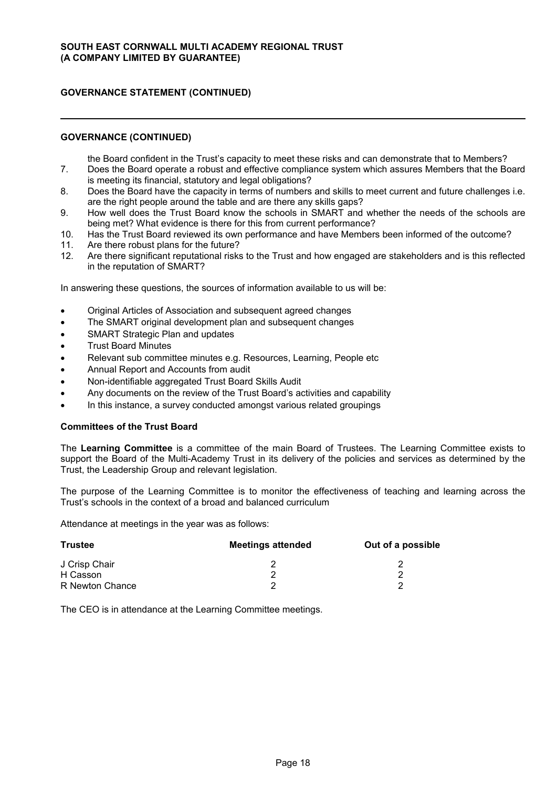### **GOVERNANCE (CONTINUED)**

the Board confident in the Trust's capacity to meet these risks and can demonstrate that to Members?

- 7. Does the Board operate a robust and effective compliance system which assures Members that the Board is meeting its financial, statutory and legal obligations?
- 8. Does the Board have the capacity in terms of numbers and skills to meet current and future challenges i.e. are the right people around the table and are there any skills gaps?
- 9. How well does the Trust Board know the schools in SMART and whether the needs of the schools are being met? What evidence is there for this from current performance?
- 10. Has the Trust Board reviewed its own performance and have Members been informed of the outcome?
- 11. Are there robust plans for the future?
- 12. Are there significant reputational risks to the Trust and how engaged are stakeholders and is this reflected in the reputation of SMART?

In answering these questions, the sources of information available to us will be:

- Original Articles of Association and subsequent agreed changes
- The SMART original development plan and subsequent changes
- SMART Strategic Plan and updates
- Trust Board Minutes
- Relevant sub committee minutes e.g. Resources, Learning, People etc
- Annual Report and Accounts from audit
- Non-identifiable aggregated Trust Board Skills Audit
- Any documents on the review of the Trust Board's activities and capability
- In this instance, a survey conducted amongst various related groupings

### **Committees of the Trust Board**

The **Learning Committee** is a committee of the main Board of Trustees. The Learning Committee exists to support the Board of the Multi-Academy Trust in its delivery of the policies and services as determined by the Trust, the Leadership Group and relevant legislation.

The purpose of the Learning Committee is to monitor the effectiveness of teaching and learning across the Trust's schools in the context of a broad and balanced curriculum

Attendance at meetings in the year was as follows:

| <b>Trustee</b>  | <b>Meetings attended</b> | Out of a possible |
|-----------------|--------------------------|-------------------|
| J Crisp Chair   |                          |                   |
| H Casson        |                          |                   |
| R Newton Chance |                          |                   |

The CEO is in attendance at the Learning Committee meetings.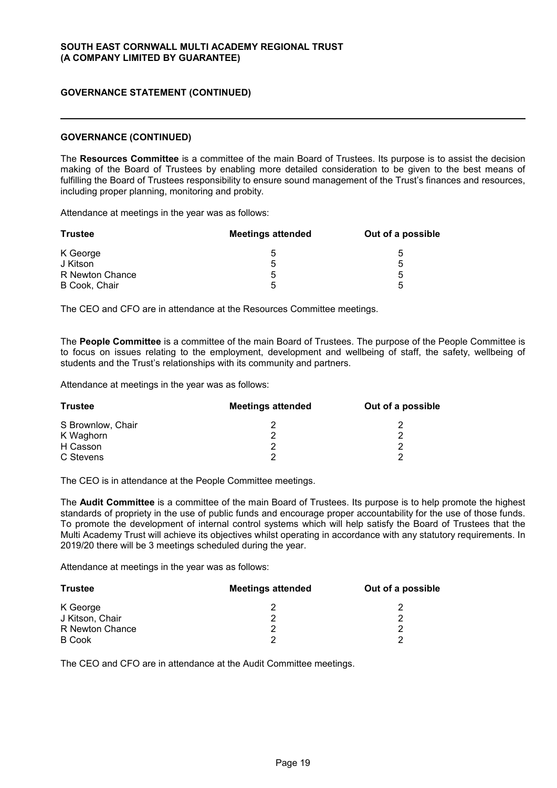#### **GOVERNANCE (CONTINUED)**

The **Resources Committee** is a committee of the main Board of Trustees. Its purpose is to assist the decision making of the Board of Trustees by enabling more detailed consideration to be given to the best means of fulfilling the Board of Trustees responsibility to ensure sound management of the Trust's finances and resources, including proper planning, monitoring and probity.

Attendance at meetings in the year was as follows:

| <b>Trustee</b>  | <b>Meetings attended</b> | Out of a possible |  |
|-----------------|--------------------------|-------------------|--|
| K George        | :                        | 5                 |  |
| J Kitson        | 5                        | b                 |  |
| R Newton Chance | G                        | 5                 |  |
| B Cook, Chair   | ᄃ                        | h                 |  |

The CEO and CFO are in attendance at the Resources Committee meetings.

The **People Committee** is a committee of the main Board of Trustees. The purpose of the People Committee is to focus on issues relating to the employment, development and wellbeing of staff, the safety, wellbeing of students and the Trust's relationships with its community and partners.

Attendance at meetings in the year was as follows:

| <b>Trustee</b>    | <b>Meetings attended</b> | Out of a possible |
|-------------------|--------------------------|-------------------|
| S Brownlow, Chair |                          |                   |
| K Waghorn         |                          |                   |
| H Casson          |                          |                   |
| C Stevens         |                          | ◠                 |

The CEO is in attendance at the People Committee meetings.

The **Audit Committee** is a committee of the main Board of Trustees. Its purpose is to help promote the highest standards of propriety in the use of public funds and encourage proper accountability for the use of those funds. To promote the development of internal control systems which will help satisfy the Board of Trustees that the Multi Academy Trust will achieve its objectives whilst operating in accordance with any statutory requirements. In 2019/20 there will be 3 meetings scheduled during the year.

Attendance at meetings in the year was as follows:

| Trustee         | <b>Meetings attended</b> | Out of a possible |
|-----------------|--------------------------|-------------------|
| K George        |                          |                   |
| J Kitson, Chair |                          | ◠                 |
| R Newton Chance |                          | Ω                 |
| <b>B</b> Cook   |                          | ◠                 |

The CEO and CFO are in attendance at the Audit Committee meetings.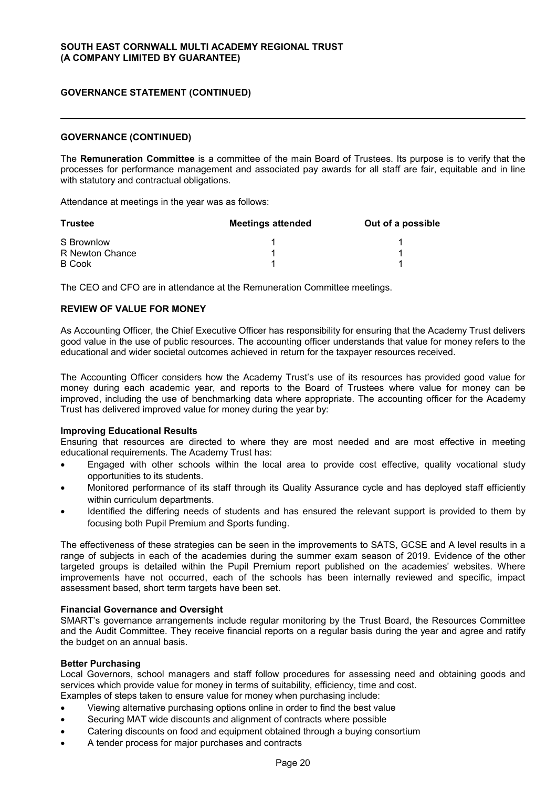#### **GOVERNANCE (CONTINUED)**

The **Remuneration Committee** is a committee of the main Board of Trustees. Its purpose is to verify that the processes for performance management and associated pay awards for all staff are fair, equitable and in line with statutory and contractual obligations.

Attendance at meetings in the year was as follows:

| <b>Trustee</b>  | <b>Meetings attended</b> | Out of a possible |
|-----------------|--------------------------|-------------------|
| S Brownlow      |                          |                   |
| R Newton Chance |                          |                   |
| <b>B</b> Cook   |                          |                   |

The CEO and CFO are in attendance at the Remuneration Committee meetings.

#### **REVIEW OF VALUE FOR MONEY**

As Accounting Officer, the Chief Executive Officer has responsibility for ensuring that the Academy Trust delivers good value in the use of public resources. The accounting officer understands that value for money refers to the educational and wider societal outcomes achieved in return for the taxpayer resources received.

The Accounting Officer considers how the Academy Trust's use of its resources has provided good value for money during each academic year, and reports to the Board of Trustees where value for money can be improved, including the use of benchmarking data where appropriate. The accounting officer for the Academy Trust has delivered improved value for money during the year by:

#### **Improving Educational Results**

Ensuring that resources are directed to where they are most needed and are most effective in meeting educational requirements. The Academy Trust has:

- Engaged with other schools within the local area to provide cost effective, quality vocational study opportunities to its students.
- Monitored performance of its staff through its Quality Assurance cycle and has deployed staff efficiently within curriculum departments.
- Identified the differing needs of students and has ensured the relevant support is provided to them by focusing both Pupil Premium and Sports funding.

The effectiveness of these strategies can be seen in the improvements to SATS, GCSE and A level results in a range of subjects in each of the academies during the summer exam season of 2019. Evidence of the other targeted groups is detailed within the Pupil Premium report published on the academies' websites. Where improvements have not occurred, each of the schools has been internally reviewed and specific, impact assessment based, short term targets have been set.

#### **Financial Governance and Oversight**

SMART's governance arrangements include regular monitoring by the Trust Board, the Resources Committee and the Audit Committee. They receive financial reports on a regular basis during the year and agree and ratify the budget on an annual basis.

#### **Better Purchasing**

Local Governors, school managers and staff follow procedures for assessing need and obtaining goods and services which provide value for money in terms of suitability, efficiency, time and cost.

- Examples of steps taken to ensure value for money when purchasing include:
- Viewing alternative purchasing options online in order to find the best value
- Securing MAT wide discounts and alignment of contracts where possible
- Catering discounts on food and equipment obtained through a buying consortium
- A tender process for major purchases and contracts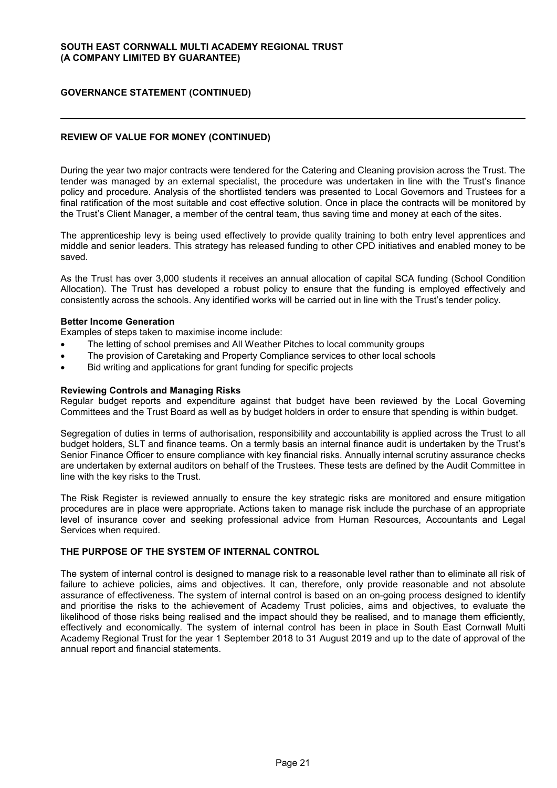# **GOVERNANCE STATEMENT (CONTINUED)**

# **REVIEW OF VALUE FOR MONEY (CONTINUED)**

During the year two major contracts were tendered for the Catering and Cleaning provision across the Trust. The tender was managed by an external specialist, the procedure was undertaken in line with the Trust's finance policy and procedure. Analysis of the shortlisted tenders was presented to Local Governors and Trustees for a final ratification of the most suitable and cost effective solution. Once in place the contracts will be monitored by the Trust's Client Manager, a member of the central team, thus saving time and money at each of the sites.

The apprenticeship levy is being used effectively to provide quality training to both entry level apprentices and middle and senior leaders. This strategy has released funding to other CPD initiatives and enabled money to be saved.

As the Trust has over 3,000 students it receives an annual allocation of capital SCA funding (School Condition Allocation). The Trust has developed a robust policy to ensure that the funding is employed effectively and consistently across the schools. Any identified works will be carried out in line with the Trust's tender policy.

#### **Better Income Generation**

Examples of steps taken to maximise income include:

- The letting of school premises and All Weather Pitches to local community groups
- The provision of Caretaking and Property Compliance services to other local schools
- Bid writing and applications for grant funding for specific projects

#### **Reviewing Controls and Managing Risks**

Regular budget reports and expenditure against that budget have been reviewed by the Local Governing Committees and the Trust Board as well as by budget holders in order to ensure that spending is within budget.

Segregation of duties in terms of authorisation, responsibility and accountability is applied across the Trust to all budget holders, SLT and finance teams. On a termly basis an internal finance audit is undertaken by the Trust's Senior Finance Officer to ensure compliance with key financial risks. Annually internal scrutiny assurance checks are undertaken by external auditors on behalf of the Trustees. These tests are defined by the Audit Committee in line with the key risks to the Trust.

The Risk Register is reviewed annually to ensure the key strategic risks are monitored and ensure mitigation procedures are in place were appropriate. Actions taken to manage risk include the purchase of an appropriate level of insurance cover and seeking professional advice from Human Resources, Accountants and Legal Services when required.

#### **THE PURPOSE OF THE SYSTEM OF INTERNAL CONTROL**

The system of internal control is designed to manage risk to a reasonable level rather than to eliminate all risk of failure to achieve policies, aims and objectives. It can, therefore, only provide reasonable and not absolute assurance of effectiveness. The system of internal control is based on an on-going process designed to identify and prioritise the risks to the achievement of Academy Trust policies, aims and objectives, to evaluate the likelihood of those risks being realised and the impact should they be realised, and to manage them efficiently, effectively and economically. The system of internal control has been in place in South East Cornwall Multi Academy Regional Trust for the year 1 September 2018 to 31 August 2019 and up to the date of approval of the annual report and financial statements.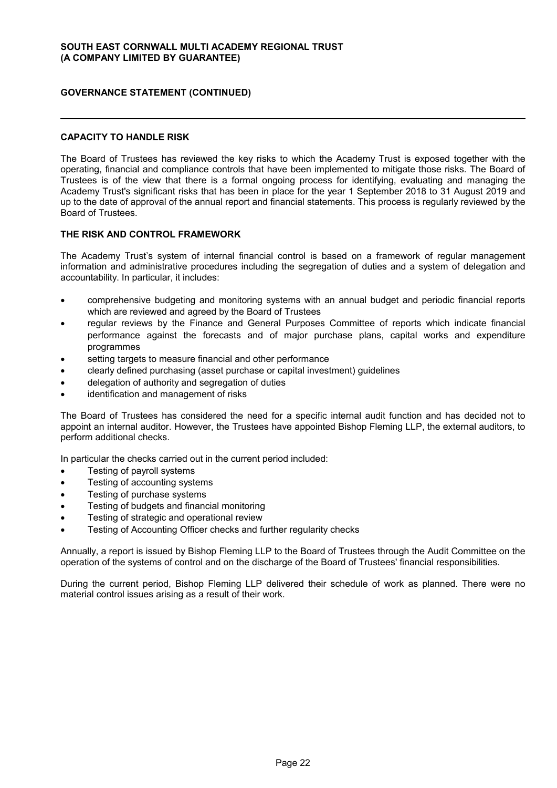### **CAPACITY TO HANDLE RISK**

The Board of Trustees has reviewed the key risks to which the Academy Trust is exposed together with the operating, financial and compliance controls that have been implemented to mitigate those risks. The Board of Trustees is of the view that there is a formal ongoing process for identifying, evaluating and managing the Academy Trust's significant risks that has been in place for the year 1 September 2018 to 31 August 2019 and up to the date of approval of the annual report and financial statements. This process is regularly reviewed by the Board of Trustees.

### **THE RISK AND CONTROL FRAMEWORK**

The Academy Trust's system of internal financial control is based on a framework of regular management information and administrative procedures including the segregation of duties and a system of delegation and accountability. In particular, it includes:

- comprehensive budgeting and monitoring systems with an annual budget and periodic financial reports which are reviewed and agreed by the Board of Trustees
- regular reviews by the Finance and General Purposes Committee of reports which indicate financial performance against the forecasts and of major purchase plans, capital works and expenditure programmes
- setting targets to measure financial and other performance
- clearly defined purchasing (asset purchase or capital investment) guidelines
- delegation of authority and segregation of duties
- identification and management of risks

The Board of Trustees has considered the need for a specific internal audit function and has decided not to appoint an internal auditor. However, the Trustees have appointed Bishop Fleming LLP, the external auditors, to perform additional checks.

In particular the checks carried out in the current period included:

- Testing of payroll systems
- Testing of accounting systems
- Testing of purchase systems
- Testing of budgets and financial monitoring
- Testing of strategic and operational review
- Testing of Accounting Officer checks and further regularity checks

Annually, a report is issued by Bishop Fleming LLP to the Board of Trustees through the Audit Committee on the operation of the systems of control and on the discharge of the Board of Trustees' financial responsibilities.

During the current period, Bishop Fleming LLP delivered their schedule of work as planned. There were no material control issues arising as a result of their work.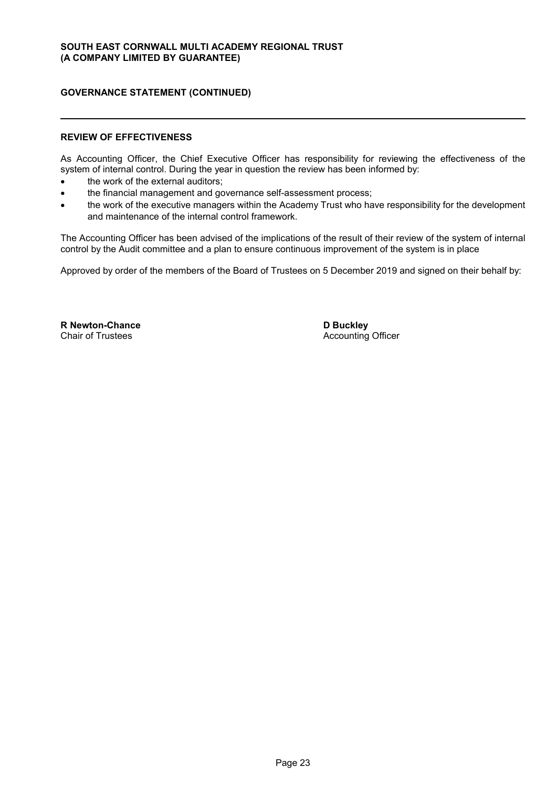### **REVIEW OF EFFECTIVENESS**

As Accounting Officer, the Chief Executive Officer has responsibility for reviewing the effectiveness of the system of internal control. During the year in question the review has been informed by:

- the work of the external auditors;
- the financial management and governance self-assessment process;
- the work of the executive managers within the Academy Trust who have responsibility for the development and maintenance of the internal control framework.

The Accounting Officer has been advised of the implications of the result of their review of the system of internal control by the Audit committee and a plan to ensure continuous improvement of the system is in place

Approved by order of the members of the Board of Trustees on 5 December 2019 and signed on their behalf by:

**R Newton-Chance** Chair of Trustees

**D Buckley** Accounting Officer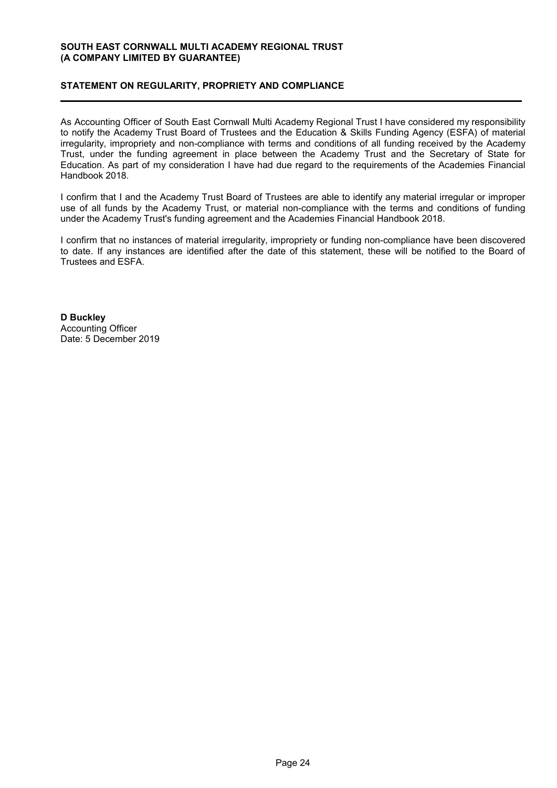# **STATEMENT ON REGULARITY, PROPRIETY AND COMPLIANCE**

As Accounting Officer of South East Cornwall Multi Academy Regional Trust I have considered my responsibility to notify the Academy Trust Board of Trustees and the Education & Skills Funding Agency (ESFA) of material irregularity, impropriety and non-compliance with terms and conditions of all funding received by the Academy Trust, under the funding agreement in place between the Academy Trust and the Secretary of State for Education. As part of my consideration I have had due regard to the requirements of the Academies Financial Handbook 2018.

I confirm that I and the Academy Trust Board of Trustees are able to identify any material irregular or improper use of all funds by the Academy Trust, or material non-compliance with the terms and conditions of funding under the Academy Trust's funding agreement and the Academies Financial Handbook 2018.

I confirm that no instances of material irregularity, impropriety or funding non-compliance have been discovered to date. If any instances are identified after the date of this statement, these will be notified to the Board of Trustees and ESFA.

**D Buckley** Accounting Officer Date: 5 December 2019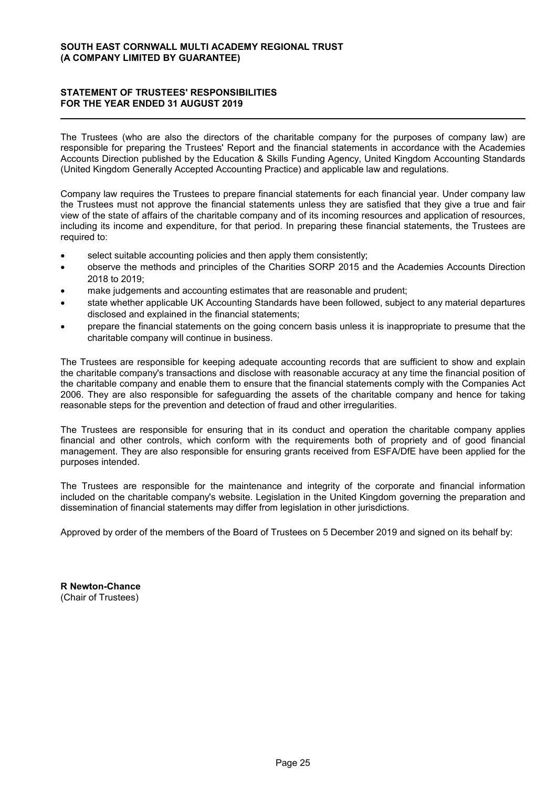# **STATEMENT OF TRUSTEES' RESPONSIBILITIES FOR THE YEAR ENDED 31 AUGUST 2019**

The Trustees (who are also the directors of the charitable company for the purposes of company law) are responsible for preparing the Trustees' Report and the financial statements in accordance with the Academies Accounts Direction published by the Education & Skills Funding Agency, United Kingdom Accounting Standards (United Kingdom Generally Accepted Accounting Practice) and applicable law and regulations.

Company law requires the Trustees to prepare financial statements for each financial year. Under company law the Trustees must not approve the financial statements unless they are satisfied that they give a true and fair view of the state of affairs of the charitable company and of its incoming resources and application of resources, including its income and expenditure, for that period. In preparing these financial statements, the Trustees are required to:

- select suitable accounting policies and then apply them consistently;
- observe the methods and principles of the Charities SORP 2015 and the Academies Accounts Direction 2018 to 2019;
- make judgements and accounting estimates that are reasonable and prudent;
- state whether applicable UK Accounting Standards have been followed, subject to any material departures disclosed and explained in the financial statements;
- prepare the financial statements on the going concern basis unless it is inappropriate to presume that the charitable company will continue in business.

The Trustees are responsible for keeping adequate accounting records that are sufficient to show and explain the charitable company's transactions and disclose with reasonable accuracy at any time the financial position of the charitable company and enable them to ensure that the financial statements comply with the Companies Act 2006. They are also responsible for safeguarding the assets of the charitable company and hence for taking reasonable steps for the prevention and detection of fraud and other irregularities.

The Trustees are responsible for ensuring that in its conduct and operation the charitable company applies financial and other controls, which conform with the requirements both of propriety and of good financial management. They are also responsible for ensuring grants received from ESFA/DfE have been applied for the purposes intended.

The Trustees are responsible for the maintenance and integrity of the corporate and financial information included on the charitable company's website. Legislation in the United Kingdom governing the preparation and dissemination of financial statements may differ from legislation in other jurisdictions.

Approved by order of the members of the Board of Trustees on 5 December 2019 and signed on its behalf by:

**R Newton-Chance** (Chair of Trustees)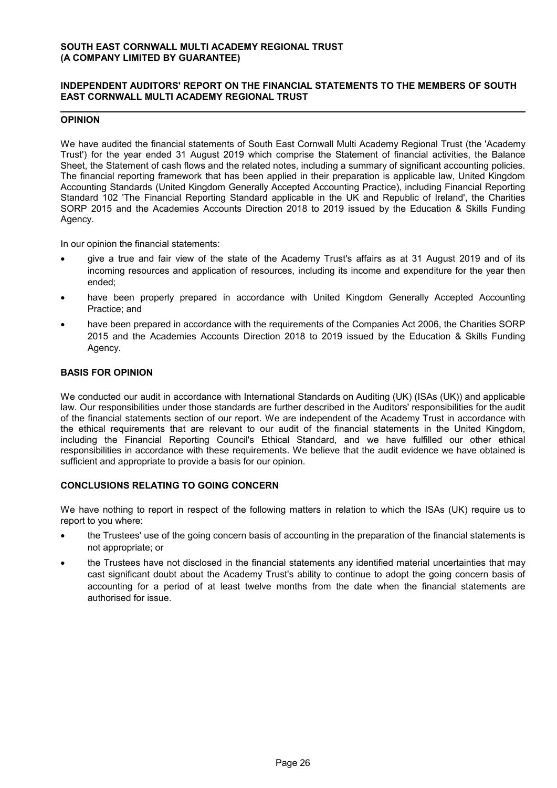# **INDEPENDENT AUDITORS' REPORT ON THE FINANCIAL STATEMENTS TO THE MEMBERS OF SOUTH EAST CORNWALL MULTI ACADEMY REGIONAL TRUST**

# **OPINION**

We have audited the financial statements of South East Cornwall Multi Academy Regional Trust (the 'Academy Trust') for the year ended 31 August 2019 which comprise the Statement of financial activities, the Balance Sheet, the Statement of cash flows and the related notes, including a summary of significant accounting policies. The financial reporting framework that has been applied in their preparation is applicable law, United Kingdom Accounting Standards (United Kingdom Generally Accepted Accounting Practice), including Financial Reporting Standard 102 'The Financial Reporting Standard applicable in the UK and Republic of Ireland', the Charities SORP 2015 and the Academies Accounts Direction 2018 to 2019 issued by the Education & Skills Funding Agency.

In our opinion the financial statements:

- give a true and fair view of the state of the Academy Trust's affairs as at 31 August 2019 and of its incoming resources and application of resources, including its income and expenditure for the year then ended;
- have been properly prepared in accordance with United Kingdom Generally Accepted Accounting Practice; and
- have been prepared in accordance with the requirements of the Companies Act 2006, the Charities SORP 2015 and the Academies Accounts Direction 2018 to 2019 issued by the Education & Skills Funding Agency.

### **BASIS FOR OPINION**

We conducted our audit in accordance with International Standards on Auditing (UK) (ISAs (UK)) and applicable law. Our responsibilities under those standards are further described in the Auditors' responsibilities for the audit of the financial statements section of our report. We are independent of the Academy Trust in accordance with the ethical requirements that are relevant to our audit of the financial statements in the United Kingdom, including the Financial Reporting Council's Ethical Standard, and we have fulfilled our other ethical responsibilities in accordance with these requirements. We believe that the audit evidence we have obtained is sufficient and appropriate to provide a basis for our opinion.

# **CONCLUSIONS RELATING TO GOING CONCERN**

We have nothing to report in respect of the following matters in relation to which the ISAs (UK) require us to report to you where:

- the Trustees' use of the going concern basis of accounting in the preparation of the financial statements is not appropriate; or
- the Trustees have not disclosed in the financial statements any identified material uncertainties that may cast significant doubt about the Academy Trust's ability to continue to adopt the going concern basis of accounting for a period of at least twelve months from the date when the financial statements are authorised for issue.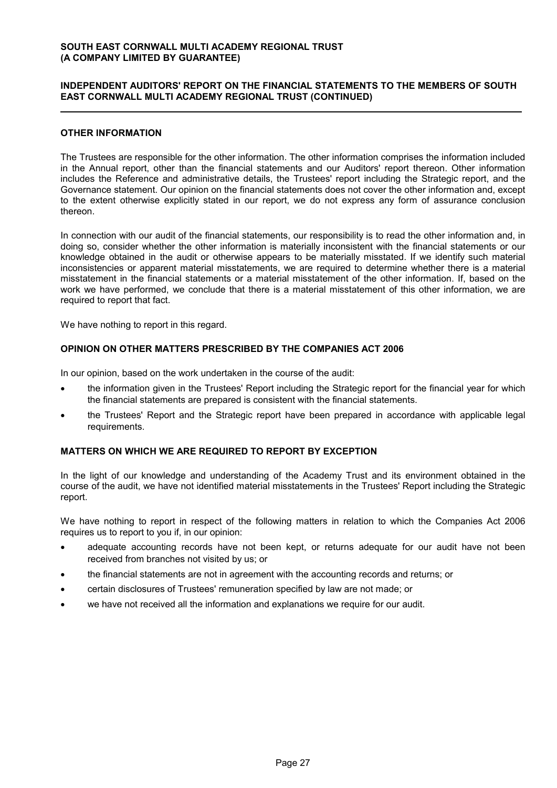# **INDEPENDENT AUDITORS' REPORT ON THE FINANCIAL STATEMENTS TO THE MEMBERS OF SOUTH EAST CORNWALL MULTI ACADEMY REGIONAL TRUST (CONTINUED)**

### **OTHER INFORMATION**

The Trustees are responsible for the other information. The other information comprises the information included in the Annual report, other than the financial statements and our Auditors' report thereon. Other information includes the Reference and administrative details, the Trustees' report including the Strategic report, and the Governance statement. Our opinion on the financial statements does not cover the other information and, except to the extent otherwise explicitly stated in our report, we do not express any form of assurance conclusion thereon.

In connection with our audit of the financial statements, our responsibility is to read the other information and, in doing so, consider whether the other information is materially inconsistent with the financial statements or our knowledge obtained in the audit or otherwise appears to be materially misstated. If we identify such material inconsistencies or apparent material misstatements, we are required to determine whether there is a material misstatement in the financial statements or a material misstatement of the other information. If, based on the work we have performed, we conclude that there is a material misstatement of this other information, we are required to report that fact.

We have nothing to report in this regard.

#### **OPINION ON OTHER MATTERS PRESCRIBED BY THE COMPANIES ACT 2006**

In our opinion, based on the work undertaken in the course of the audit:

- the information given in the Trustees' Report including the Strategic report for the financial year for which the financial statements are prepared is consistent with the financial statements.
- the Trustees' Report and the Strategic report have been prepared in accordance with applicable legal requirements.

#### **MATTERS ON WHICH WE ARE REQUIRED TO REPORT BY EXCEPTION**

In the light of our knowledge and understanding of the Academy Trust and its environment obtained in the course of the audit, we have not identified material misstatements in the Trustees' Report including the Strategic report.

We have nothing to report in respect of the following matters in relation to which the Companies Act 2006 requires us to report to you if, in our opinion:

- adequate accounting records have not been kept, or returns adequate for our audit have not been received from branches not visited by us; or
- the financial statements are not in agreement with the accounting records and returns; or
- certain disclosures of Trustees' remuneration specified by law are not made; or
- we have not received all the information and explanations we require for our audit.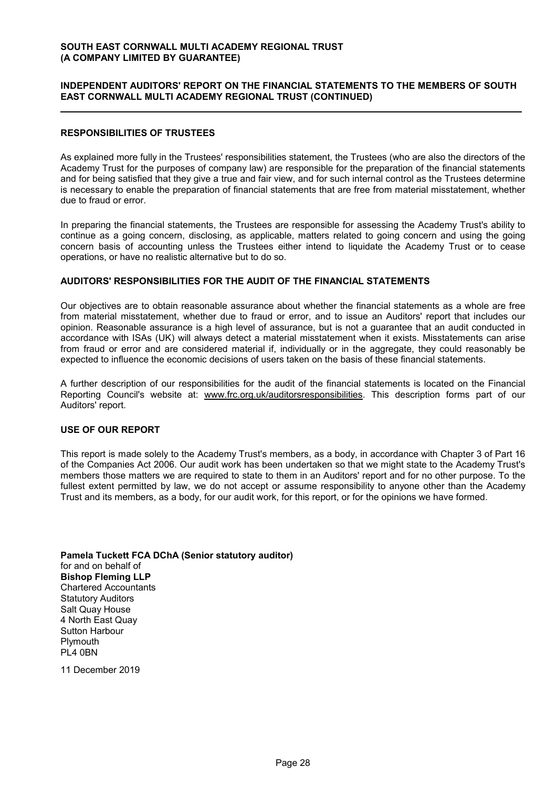# **INDEPENDENT AUDITORS' REPORT ON THE FINANCIAL STATEMENTS TO THE MEMBERS OF SOUTH EAST CORNWALL MULTI ACADEMY REGIONAL TRUST (CONTINUED)**

### **RESPONSIBILITIES OF TRUSTEES**

As explained more fully in the Trustees' responsibilities statement, the Trustees (who are also the directors of the Academy Trust for the purposes of company law) are responsible for the preparation of the financial statements and for being satisfied that they give a true and fair view, and for such internal control as the Trustees determine is necessary to enable the preparation of financial statements that are free from material misstatement, whether due to fraud or error.

In preparing the financial statements, the Trustees are responsible for assessing the Academy Trust's ability to continue as a going concern, disclosing, as applicable, matters related to going concern and using the going concern basis of accounting unless the Trustees either intend to liquidate the Academy Trust or to cease operations, or have no realistic alternative but to do so.

### **AUDITORS' RESPONSIBILITIES FOR THE AUDIT OF THE FINANCIAL STATEMENTS**

Our objectives are to obtain reasonable assurance about whether the financial statements as a whole are free from material misstatement, whether due to fraud or error, and to issue an Auditors' report that includes our opinion. Reasonable assurance is a high level of assurance, but is not a guarantee that an audit conducted in accordance with ISAs (UK) will always detect a material misstatement when it exists. Misstatements can arise from fraud or error and are considered material if, individually or in the aggregate, they could reasonably be expected to influence the economic decisions of users taken on the basis of these financial statements.

A further description of our responsibilities for the audit of the financial statements is located on the Financial Reporting Council's website at: www.frc.org.uk/auditorsresponsibilities. This description forms part of our Auditors' report.

### **USE OF OUR REPORT**

This report is made solely to the Academy Trust's members, as a body, in accordance with Chapter 3 of Part 16 of the Companies Act 2006. Our audit work has been undertaken so that we might state to the Academy Trust's members those matters we are required to state to them in an Auditors' report and for no other purpose. To the fullest extent permitted by law, we do not accept or assume responsibility to anyone other than the Academy Trust and its members, as a body, for our audit work, for this report, or for the opinions we have formed.

**Pamela Tuckett FCA DChA (Senior statutory auditor)** for and on behalf of **Bishop Fleming LLP** Chartered Accountants Statutory Auditors Salt Quay House 4 North East Quay Sutton Harbour Plymouth  $Pi 4$  0BN

11 December 2019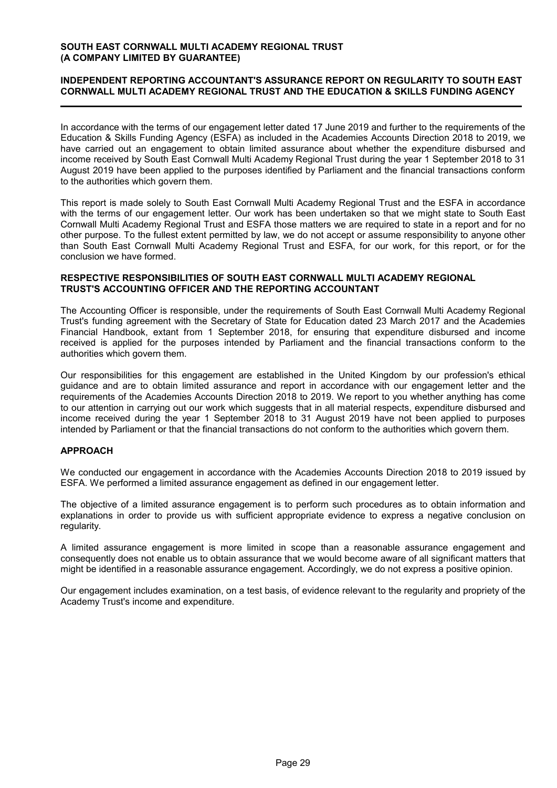### **INDEPENDENT REPORTING ACCOUNTANT'S ASSURANCE REPORT ON REGULARITY TO SOUTH EAST CORNWALL MULTI ACADEMY REGIONAL TRUST AND THE EDUCATION & SKILLS FUNDING AGENCY**

In accordance with the terms of our engagement letter dated 17 June 2019 and further to the requirements of the Education & Skills Funding Agency (ESFA) as included in the Academies Accounts Direction 2018 to 2019, we have carried out an engagement to obtain limited assurance about whether the expenditure disbursed and income received by South East Cornwall Multi Academy Regional Trust during the year 1 September 2018 to 31 August 2019 have been applied to the purposes identified by Parliament and the financial transactions conform to the authorities which govern them.

This report is made solely to South East Cornwall Multi Academy Regional Trust and the ESFA in accordance with the terms of our engagement letter. Our work has been undertaken so that we might state to South East Cornwall Multi Academy Regional Trust and ESFA those matters we are required to state in a report and for no other purpose. To the fullest extent permitted by law, we do not accept or assume responsibility to anyone other than South East Cornwall Multi Academy Regional Trust and ESFA, for our work, for this report, or for the conclusion we have formed.

#### **RESPECTIVE RESPONSIBILITIES OF SOUTH EAST CORNWALL MULTI ACADEMY REGIONAL TRUST'S ACCOUNTING OFFICER AND THE REPORTING ACCOUNTANT**

The Accounting Officer is responsible, under the requirements of South East Cornwall Multi Academy Regional Trust's funding agreement with the Secretary of State for Education dated 23 March 2017 and the Academies Financial Handbook, extant from 1 September 2018, for ensuring that expenditure disbursed and income received is applied for the purposes intended by Parliament and the financial transactions conform to the authorities which govern them.

Our responsibilities for this engagement are established in the United Kingdom by our profession's ethical guidance and are to obtain limited assurance and report in accordance with our engagement letter and the requirements of the Academies Accounts Direction 2018 to 2019. We report to you whether anything has come to our attention in carrying out our work which suggests that in all material respects, expenditure disbursed and income received during the year 1 September 2018 to 31 August 2019 have not been applied to purposes intended by Parliament or that the financial transactions do not conform to the authorities which govern them.

# **APPROACH**

We conducted our engagement in accordance with the Academies Accounts Direction 2018 to 2019 issued by ESFA. We performed a limited assurance engagement as defined in our engagement letter.

The objective of a limited assurance engagement is to perform such procedures as to obtain information and explanations in order to provide us with sufficient appropriate evidence to express a negative conclusion on regularity.

A limited assurance engagement is more limited in scope than a reasonable assurance engagement and consequently does not enable us to obtain assurance that we would become aware of all significant matters that might be identified in a reasonable assurance engagement. Accordingly, we do not express a positive opinion.

Our engagement includes examination, on a test basis, of evidence relevant to the regularity and propriety of the Academy Trust's income and expenditure.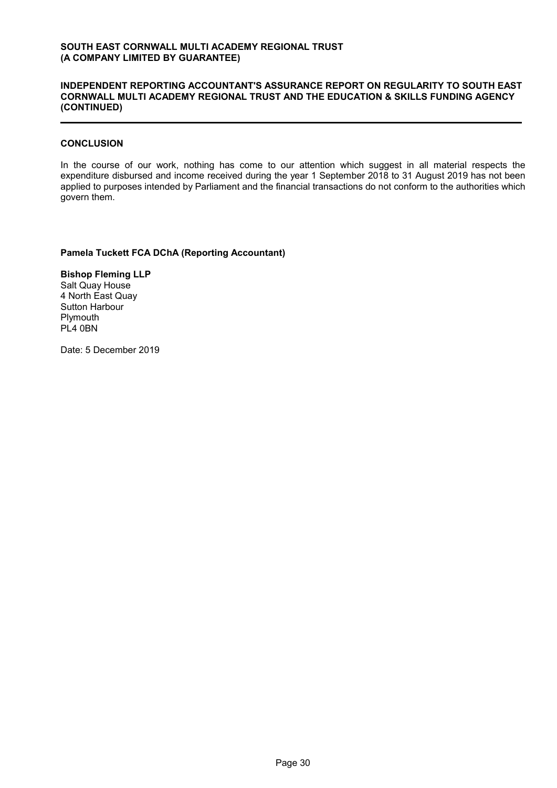### **INDEPENDENT REPORTING ACCOUNTANT'S ASSURANCE REPORT ON REGULARITY TO SOUTH EAST CORNWALL MULTI ACADEMY REGIONAL TRUST AND THE EDUCATION & SKILLS FUNDING AGENCY (CONTINUED)**

#### **CONCLUSION**

In the course of our work, nothing has come to our attention which suggest in all material respects the expenditure disbursed and income received during the year 1 September 2018 to 31 August 2019 has not been applied to purposes intended by Parliament and the financial transactions do not conform to the authorities which govern them.

**Pamela Tuckett FCA DChA (Reporting Accountant)**

**Bishop Fleming LLP** Salt Quay House 4 North East Quay Sutton Harbour **Plymouth** PL4 0BN

Date: 5 December 2019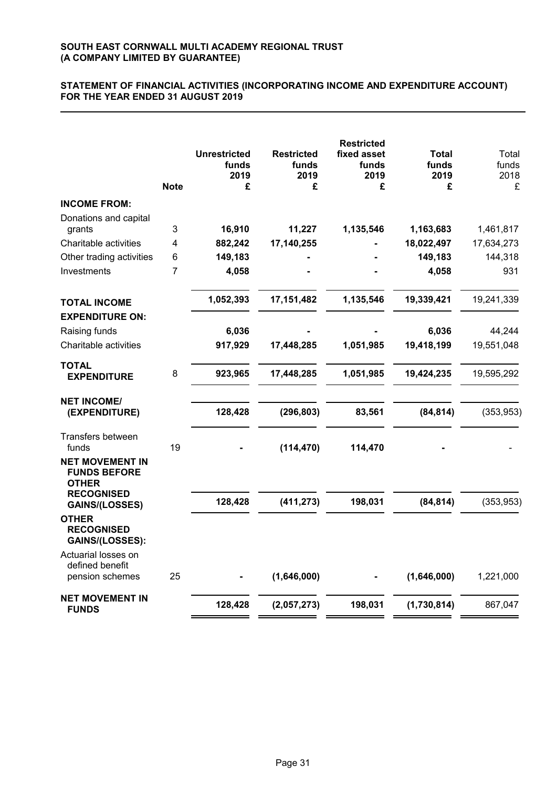# **STATEMENT OF FINANCIAL ACTIVITIES (INCORPORATING INCOME AND EXPENDITURE ACCOUNT) FOR THE YEAR ENDED 31 AUGUST 2019**

|                                                                                    | <b>Note</b> | <b>Unrestricted</b><br>funds<br>2019<br>£ | <b>Restricted</b><br>funds<br>2019<br>£ | <b>Restricted</b><br>fixed asset<br>funds<br>2019<br>£ | <b>Total</b><br>funds<br>2019<br>£ | Total<br>funds<br>2018<br>£ |
|------------------------------------------------------------------------------------|-------------|-------------------------------------------|-----------------------------------------|--------------------------------------------------------|------------------------------------|-----------------------------|
| <b>INCOME FROM:</b>                                                                |             |                                           |                                         |                                                        |                                    |                             |
| Donations and capital<br>grants                                                    | 3           | 16,910                                    | 11,227                                  | 1,135,546                                              | 1,163,683                          | 1,461,817                   |
| Charitable activities                                                              | 4           | 882,242                                   | 17,140,255                              |                                                        | 18,022,497                         | 17,634,273                  |
| Other trading activities                                                           | 6           | 149,183                                   |                                         |                                                        | 149,183                            | 144,318                     |
| Investments                                                                        | 7           | 4,058                                     |                                         |                                                        | 4,058                              | 931                         |
| <b>TOTAL INCOME</b><br><b>EXPENDITURE ON:</b>                                      |             | 1,052,393                                 | 17,151,482                              | 1,135,546                                              | 19,339,421                         | 19,241,339                  |
| Raising funds                                                                      |             | 6,036                                     |                                         |                                                        | 6,036                              | 44,244                      |
| Charitable activities                                                              |             | 917,929                                   | 17,448,285                              | 1,051,985                                              | 19,418,199                         | 19,551,048                  |
| <b>TOTAL</b><br><b>EXPENDITURE</b>                                                 | 8           | 923,965                                   | 17,448,285                              | 1,051,985                                              | 19,424,235                         | 19,595,292                  |
| <b>NET INCOME/</b><br>(EXPENDITURE)                                                |             | 128,428                                   | (296, 803)                              | 83,561                                                 | (84, 814)                          | (353, 953)                  |
| Transfers between<br>funds                                                         | 19          |                                           | (114, 470)                              | 114,470                                                |                                    |                             |
| <b>NET MOVEMENT IN</b><br><b>FUNDS BEFORE</b><br><b>OTHER</b><br><b>RECOGNISED</b> |             |                                           |                                         |                                                        |                                    |                             |
| GAINS/(LOSSES)                                                                     |             | 128,428                                   | (411, 273)                              | 198,031                                                | (84, 814)                          | (353, 953)                  |
| <b>OTHER</b><br><b>RECOGNISED</b><br>GAINS/(LOSSES):                               |             |                                           |                                         |                                                        |                                    |                             |
| Actuarial losses on<br>defined benefit<br>pension schemes                          | 25          |                                           | (1,646,000)                             |                                                        | (1,646,000)                        | 1,221,000                   |
| <b>NET MOVEMENT IN</b><br><b>FUNDS</b>                                             |             | 128,428                                   | (2,057,273)                             | 198,031                                                | (1,730,814)                        | 867,047                     |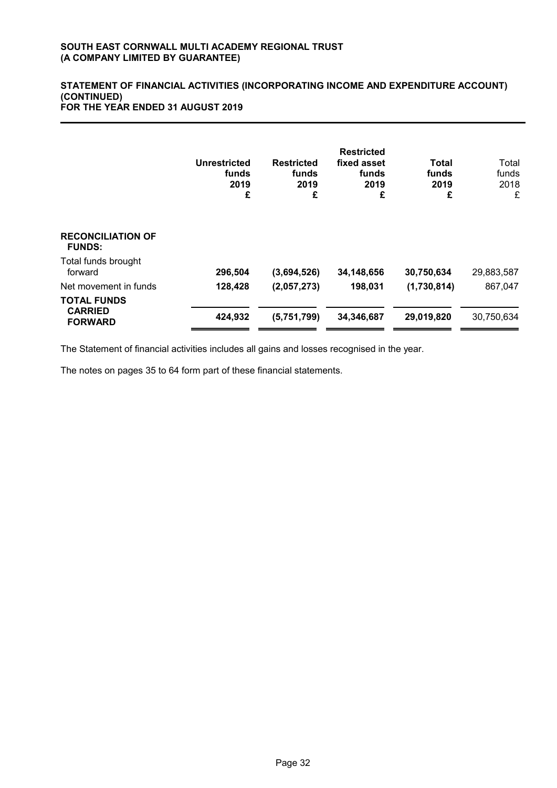#### **STATEMENT OF FINANCIAL ACTIVITIES (INCORPORATING INCOME AND EXPENDITURE ACCOUNT) (CONTINUED) FOR THE YEAR ENDED 31 AUGUST 2019**

|                                                        | Unrestricted<br>funds<br>2019<br>£ | <b>Restricted</b><br>funds<br>2019<br>£ | <b>Restricted</b><br>fixed asset<br>funds<br>2019<br>£ | Total<br>funds<br>2019<br>£ | Total<br>funds<br>2018<br>£ |
|--------------------------------------------------------|------------------------------------|-----------------------------------------|--------------------------------------------------------|-----------------------------|-----------------------------|
| <b>RECONCILIATION OF</b><br><b>FUNDS:</b>              |                                    |                                         |                                                        |                             |                             |
| Total funds brought<br>forward                         | 296,504                            | (3,694,526)                             | 34,148,656                                             | 30,750,634                  | 29,883,587                  |
| Net movement in funds                                  | 128,428                            | (2,057,273)                             | 198,031                                                | (1,730,814)                 | 867,047                     |
| <b>TOTAL FUNDS</b><br><b>CARRIED</b><br><b>FORWARD</b> | 424,932                            | (5,751,799)                             | 34,346,687                                             | 29,019,820                  | 30,750,634                  |

The Statement of financial activities includes all gains and losses recognised in the year.

The notes on pages 35 to 64 form part of these financial statements.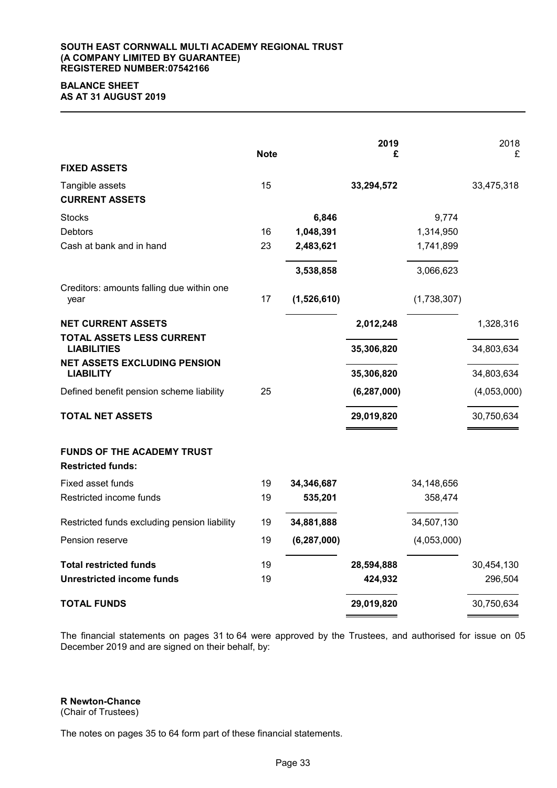#### **SOUTH EAST CORNWALL MULTI ACADEMY REGIONAL TRUST (A COMPANY LIMITED BY GUARANTEE) REGISTERED NUMBER:07542166**

# **BALANCE SHEET AS AT 31 AUGUST 2019**

| <b>FIXED ASSETS</b>                                           | <b>Note</b> |               | 2019<br>£     |             | 2018<br>£   |
|---------------------------------------------------------------|-------------|---------------|---------------|-------------|-------------|
| Tangible assets<br><b>CURRENT ASSETS</b>                      | 15          |               | 33,294,572    |             | 33,475,318  |
| <b>Stocks</b>                                                 |             | 6,846         |               | 9,774       |             |
| <b>Debtors</b>                                                | 16          | 1,048,391     |               | 1,314,950   |             |
| Cash at bank and in hand                                      | 23          | 2,483,621     |               | 1,741,899   |             |
|                                                               |             | 3,538,858     |               | 3,066,623   |             |
| Creditors: amounts falling due within one<br>year             | 17          | (1,526,610)   |               | (1,738,307) |             |
| <b>NET CURRENT ASSETS</b>                                     |             |               | 2,012,248     |             | 1,328,316   |
| TOTAL ASSETS LESS CURRENT<br><b>LIABILITIES</b>               |             |               | 35,306,820    |             | 34,803,634  |
| <b>NET ASSETS EXCLUDING PENSION</b><br><b>LIABILITY</b>       |             |               | 35,306,820    |             | 34,803,634  |
|                                                               |             |               |               |             |             |
| Defined benefit pension scheme liability                      | 25          |               | (6, 287, 000) |             | (4,053,000) |
| <b>TOTAL NET ASSETS</b>                                       |             |               | 29,019,820    |             | 30,750,634  |
| <b>FUNDS OF THE ACADEMY TRUST</b><br><b>Restricted funds:</b> |             |               |               |             |             |
| Fixed asset funds                                             | 19          | 34,346,687    |               | 34,148,656  |             |
| Restricted income funds                                       | 19          | 535,201       |               | 358,474     |             |
| Restricted funds excluding pension liability                  | 19          | 34,881,888    |               | 34,507,130  |             |
| Pension reserve                                               | 19          | (6, 287, 000) |               | (4,053,000) |             |
| <b>Total restricted funds</b>                                 | 19          |               | 28,594,888    |             | 30,454,130  |
| <b>Unrestricted income funds</b>                              | 19          |               | 424,932       |             | 296,504     |
| <b>TOTAL FUNDS</b>                                            |             |               | 29,019,820    |             | 30,750,634  |

The financial statements on pages 31 to 64 were approved by the Trustees, and authorised for issue on 05 December 2019 and are signed on their behalf, by:

**R Newton-Chance**

(Chair of Trustees)

The notes on pages 35 to 64 form part of these financial statements.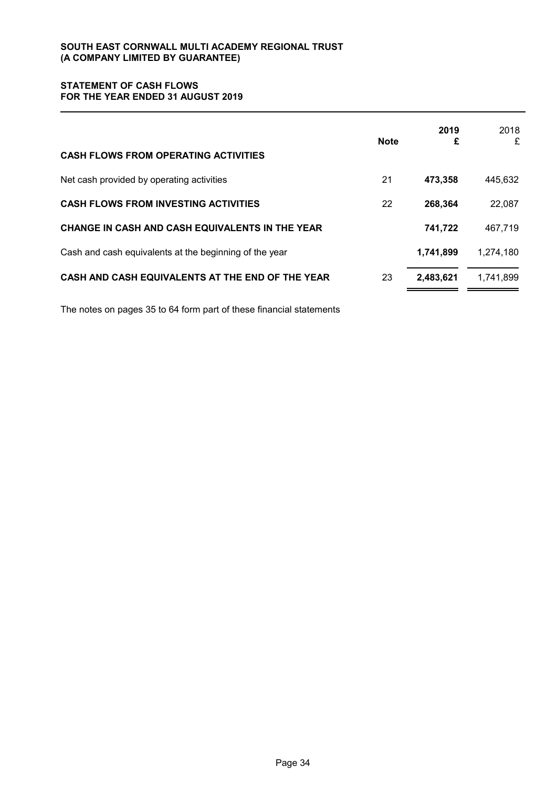# **STATEMENT OF CASH FLOWS FOR THE YEAR ENDED 31 AUGUST 2019**

| <b>CASH FLOWS FROM OPERATING ACTIVITIES</b>            | <b>Note</b> | 2019<br>£ | 2018<br>£ |
|--------------------------------------------------------|-------------|-----------|-----------|
| Net cash provided by operating activities              | 21          | 473,358   | 445,632   |
| <b>CASH FLOWS FROM INVESTING ACTIVITIES</b>            | 22          | 268,364   | 22,087    |
| CHANGE IN CASH AND CASH EQUIVALENTS IN THE YEAR        |             | 741,722   | 467,719   |
| Cash and cash equivalents at the beginning of the year |             | 1,741,899 | 1,274,180 |
| CASH AND CASH EQUIVALENTS AT THE END OF THE YEAR       | 23          | 2,483,621 | 1,741,899 |

The notes on pages 35 to 64 form part of these financial statements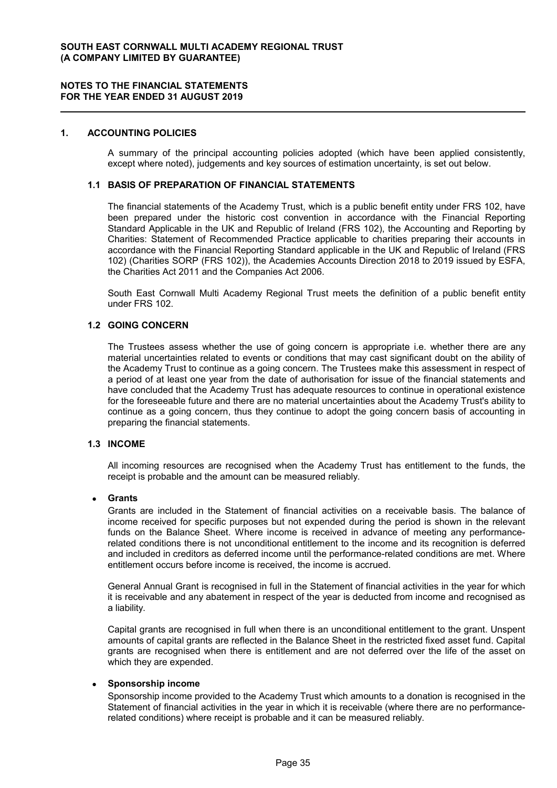#### **1. ACCOUNTING POLICIES**

A summary of the principal accounting policies adopted (which have been applied consistently, except where noted), judgements and key sources of estimation uncertainty, is set out below.

#### **1.1 BASIS OF PREPARATION OF FINANCIAL STATEMENTS**

The financial statements of the Academy Trust, which is a public benefit entity under FRS 102, have been prepared under the historic cost convention in accordance with the Financial Reporting Standard Applicable in the UK and Republic of Ireland (FRS 102), the Accounting and Reporting by Charities: Statement of Recommended Practice applicable to charities preparing their accounts in accordance with the Financial Reporting Standard applicable in the UK and Republic of Ireland (FRS 102) (Charities SORP (FRS 102)), the Academies Accounts Direction 2018 to 2019 issued by ESFA, the Charities Act 2011 and the Companies Act 2006.

South East Cornwall Multi Academy Regional Trust meets the definition of a public benefit entity under FRS 102.

### **1.2 GOING CONCERN**

The Trustees assess whether the use of going concern is appropriate i.e. whether there are any material uncertainties related to events or conditions that may cast significant doubt on the ability of the Academy Trust to continue as a going concern. The Trustees make this assessment in respect of a period of at least one year from the date of authorisation for issue of the financial statements and have concluded that the Academy Trust has adequate resources to continue in operational existence for the foreseeable future and there are no material uncertainties about the Academy Trust's ability to continue as a going concern, thus they continue to adopt the going concern basis of accounting in preparing the financial statements.

#### **1.3 INCOME**

All incoming resources are recognised when the Academy Trust has entitlement to the funds, the receipt is probable and the amount can be measured reliably.

#### **Grants**

Grants are included in the Statement of financial activities on a receivable basis. The balance of income received for specific purposes but not expended during the period is shown in the relevant funds on the Balance Sheet. Where income is received in advance of meeting any performancerelated conditions there is not unconditional entitlement to the income and its recognition is deferred and included in creditors as deferred income until the performance-related conditions are met. Where entitlement occurs before income is received, the income is accrued.

General Annual Grant is recognised in full in the Statement of financial activities in the year for which it is receivable and any abatement in respect of the year is deducted from income and recognised as a liability.

Capital grants are recognised in full when there is an unconditional entitlement to the grant. Unspent amounts of capital grants are reflected in the Balance Sheet in the restricted fixed asset fund. Capital grants are recognised when there is entitlement and are not deferred over the life of the asset on which they are expended.

# **Sponsorship income**

Sponsorship income provided to the Academy Trust which amounts to a donation is recognised in the Statement of financial activities in the year in which it is receivable (where there are no performancerelated conditions) where receipt is probable and it can be measured reliably.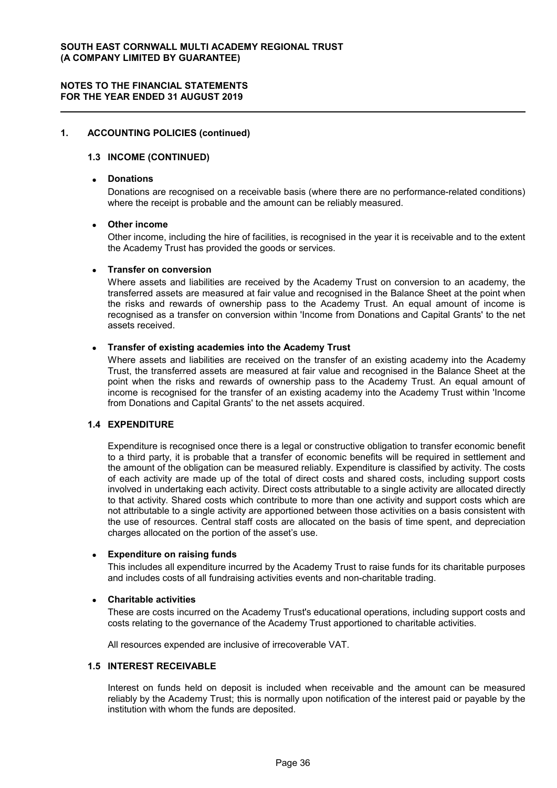### **1. ACCOUNTING POLICIES (continued)**

### **1.3 INCOME (CONTINUED)**

# **Donations**

Donations are recognised on a receivable basis (where there are no performance-related conditions) where the receipt is probable and the amount can be reliably measured.

# **Other income**

Other income, including the hire of facilities, is recognised in the year it is receivable and to the extent the Academy Trust has provided the goods or services.

### **Transfer on conversion**

Where assets and liabilities are received by the Academy Trust on conversion to an academy, the transferred assets are measured at fair value and recognised in the Balance Sheet at the point when the risks and rewards of ownership pass to the Academy Trust. An equal amount of income is recognised as a transfer on conversion within 'Income from Donations and Capital Grants' to the net assets received.

### **Transfer of existing academies into the Academy Trust**

Where assets and liabilities are received on the transfer of an existing academy into the Academy Trust, the transferred assets are measured at fair value and recognised in the Balance Sheet at the point when the risks and rewards of ownership pass to the Academy Trust. An equal amount of income is recognised for the transfer of an existing academy into the Academy Trust within 'Income from Donations and Capital Grants' to the net assets acquired.

#### **1.4 EXPENDITURE**

Expenditure is recognised once there is a legal or constructive obligation to transfer economic benefit to a third party, it is probable that a transfer of economic benefits will be required in settlement and the amount of the obligation can be measured reliably. Expenditure is classified by activity. The costs of each activity are made up of the total of direct costs and shared costs, including support costs involved in undertaking each activity. Direct costs attributable to a single activity are allocated directly to that activity. Shared costs which contribute to more than one activity and support costs which are not attributable to a single activity are apportioned between those activities on a basis consistent with the use of resources. Central staff costs are allocated on the basis of time spent, and depreciation charges allocated on the portion of the asset's use.

#### **Expenditure on raising funds**

This includes all expenditure incurred by the Academy Trust to raise funds for its charitable purposes and includes costs of all fundraising activities events and non-charitable trading.

#### **Charitable activities**

These are costs incurred on the Academy Trust's educational operations, including support costs and costs relating to the governance of the Academy Trust apportioned to charitable activities.

All resources expended are inclusive of irrecoverable VAT.

#### **1.5 INTEREST RECEIVABLE**

Interest on funds held on deposit is included when receivable and the amount can be measured reliably by the Academy Trust; this is normally upon notification of the interest paid or payable by the institution with whom the funds are deposited.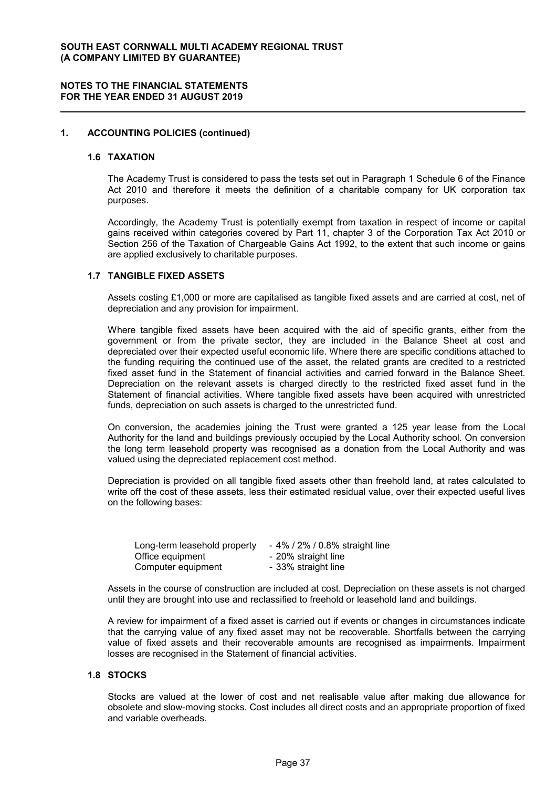### **1. ACCOUNTING POLICIES (continued)**

#### **1.6 TAXATION**

The Academy Trust is considered to pass the tests set out in Paragraph 1 Schedule 6 of the Finance Act 2010 and therefore it meets the definition of a charitable company for UK corporation tax purposes.

Accordingly, the Academy Trust is potentially exempt from taxation in respect of income or capital gains received within categories covered by Part 11, chapter 3 of the Corporation Tax Act 2010 or Section 256 of the Taxation of Chargeable Gains Act 1992, to the extent that such income or gains are applied exclusively to charitable purposes.

#### **1.7 TANGIBLE FIXED ASSETS**

Assets costing £1,000 or more are capitalised as tangible fixed assets and are carried at cost, net of depreciation and any provision for impairment.

Where tangible fixed assets have been acquired with the aid of specific grants, either from the government or from the private sector, they are included in the Balance Sheet at cost and depreciated over their expected useful economic life. Where there are specific conditions attached to the funding requiring the continued use of the asset, the related grants are credited to a restricted fixed asset fund in the Statement of financial activities and carried forward in the Balance Sheet. Depreciation on the relevant assets is charged directly to the restricted fixed asset fund in the Statement of financial activities. Where tangible fixed assets have been acquired with unrestricted funds, depreciation on such assets is charged to the unrestricted fund.

On conversion, the academies joining the Trust were granted a 125 year lease from the Local Authority for the land and buildings previously occupied by the Local Authority school. On conversion the long term leasehold property was recognised as a donation from the Local Authority and was valued using the depreciated replacement cost method.

Depreciation is provided on all tangible fixed assets other than freehold land, at rates calculated to write off the cost of these assets, less their estimated residual value, over their expected useful lives on the following bases:

| Long-term leasehold property | - 4% / 2% / 0.8% straight line |
|------------------------------|--------------------------------|
| Office equipment             | - 20% straight line            |
| Computer equipment           | - 33% straight line            |

Assets in the course of construction are included at cost. Depreciation on these assets is not charged until they are brought into use and reclassified to freehold or leasehold land and buildings.

A review for impairment of a fixed asset is carried out if events or changes in circumstances indicate that the carrying value of any fixed asset may not be recoverable. Shortfalls between the carrying value of fixed assets and their recoverable amounts are recognised as impairments. Impairment losses are recognised in the Statement of financial activities.

#### **1.8 STOCKS**

Stocks are valued at the lower of cost and net realisable value after making due allowance for obsolete and slow-moving stocks. Cost includes all direct costs and an appropriate proportion of fixed and variable overheads.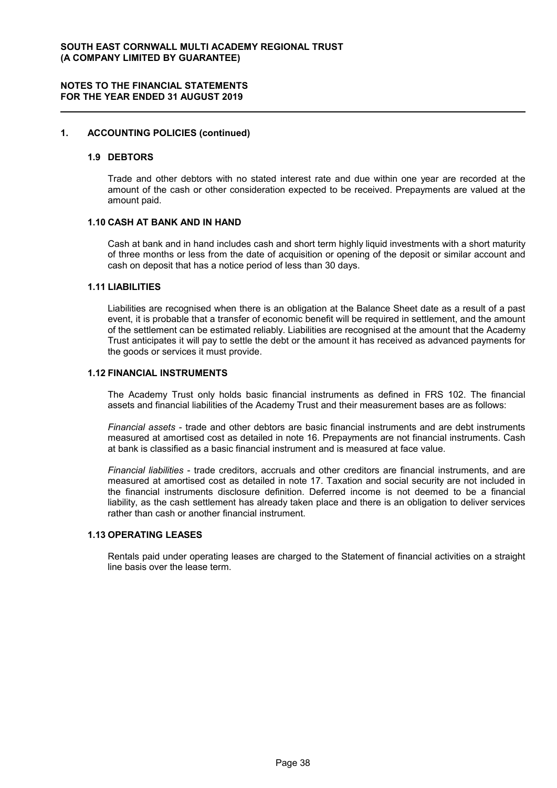#### **1. ACCOUNTING POLICIES (continued)**

#### **1.9 DEBTORS**

Trade and other debtors with no stated interest rate and due within one year are recorded at the amount of the cash or other consideration expected to be received. Prepayments are valued at the amount paid.

#### **1.10 CASH AT BANK AND IN HAND**

Cash at bank and in hand includes cash and short term highly liquid investments with a short maturity of three months or less from the date of acquisition or opening of the deposit or similar account and cash on deposit that has a notice period of less than 30 days.

#### **1.11 LIABILITIES**

Liabilities are recognised when there is an obligation at the Balance Sheet date as a result of a past event, it is probable that a transfer of economic benefit will be required in settlement, and the amount of the settlement can be estimated reliably. Liabilities are recognised at the amount that the Academy Trust anticipates it will pay to settle the debt or the amount it has received as advanced payments for the goods or services it must provide.

#### **1.12 FINANCIAL INSTRUMENTS**

The Academy Trust only holds basic financial instruments as defined in FRS 102. The financial assets and financial liabilities of the Academy Trust and their measurement bases are as follows:

*Financial assets* - trade and other debtors are basic financial instruments and are debt instruments measured at amortised cost as detailed in note 16. Prepayments are not financial instruments. Cash at bank is classified as a basic financial instrument and is measured at face value.

*Financial liabilities* - trade creditors, accruals and other creditors are financial instruments, and are measured at amortised cost as detailed in note 17. Taxation and social security are not included in the financial instruments disclosure definition. Deferred income is not deemed to be a financial liability, as the cash settlement has already taken place and there is an obligation to deliver services rather than cash or another financial instrument.

# **1.13 OPERATING LEASES**

Rentals paid under operating leases are charged to the Statement of financial activities on a straight line basis over the lease term.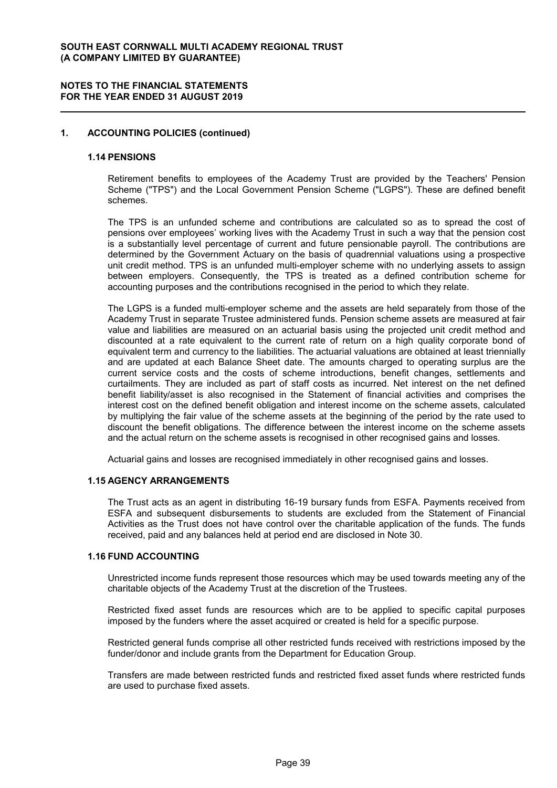#### **NOTES TO THE FINANCIAL STATEMENTS FOR THE YEAR ENDED 31 AUGUST 2019**

### **1. ACCOUNTING POLICIES (continued)**

#### **1.14 PENSIONS**

Retirement benefits to employees of the Academy Trust are provided by the Teachers' Pension Scheme ("TPS") and the Local Government Pension Scheme ("LGPS"). These are defined benefit schemes.

The TPS is an unfunded scheme and contributions are calculated so as to spread the cost of pensions over employees' working lives with the Academy Trust in such a way that the pension cost is a substantially level percentage of current and future pensionable payroll. The contributions are determined by the Government Actuary on the basis of quadrennial valuations using a prospective unit credit method. TPS is an unfunded multi-employer scheme with no underlying assets to assign between employers. Consequently, the TPS is treated as a defined contribution scheme for accounting purposes and the contributions recognised in the period to which they relate.

The LGPS is a funded multi-employer scheme and the assets are held separately from those of the Academy Trust in separate Trustee administered funds. Pension scheme assets are measured at fair value and liabilities are measured on an actuarial basis using the projected unit credit method and discounted at a rate equivalent to the current rate of return on a high quality corporate bond of equivalent term and currency to the liabilities. The actuarial valuations are obtained at least triennially and are updated at each Balance Sheet date. The amounts charged to operating surplus are the current service costs and the costs of scheme introductions, benefit changes, settlements and curtailments. They are included as part of staff costs as incurred. Net interest on the net defined benefit liability/asset is also recognised in the Statement of financial activities and comprises the interest cost on the defined benefit obligation and interest income on the scheme assets, calculated by multiplying the fair value of the scheme assets at the beginning of the period by the rate used to discount the benefit obligations. The difference between the interest income on the scheme assets and the actual return on the scheme assets is recognised in other recognised gains and losses.

Actuarial gains and losses are recognised immediately in other recognised gains and losses.

#### **1.15 AGENCY ARRANGEMENTS**

The Trust acts as an agent in distributing 16-19 bursary funds from ESFA. Payments received from ESFA and subsequent disbursements to students are excluded from the Statement of Financial Activities as the Trust does not have control over the charitable application of the funds. The funds received, paid and any balances held at period end are disclosed in Note 30.

#### **1.16 FUND ACCOUNTING**

Unrestricted income funds represent those resources which may be used towards meeting any of the charitable objects of the Academy Trust at the discretion of the Trustees.

Restricted fixed asset funds are resources which are to be applied to specific capital purposes imposed by the funders where the asset acquired or created is held for a specific purpose.

Restricted general funds comprise all other restricted funds received with restrictions imposed by the funder/donor and include grants from the Department for Education Group.

Transfers are made between restricted funds and restricted fixed asset funds where restricted funds are used to purchase fixed assets.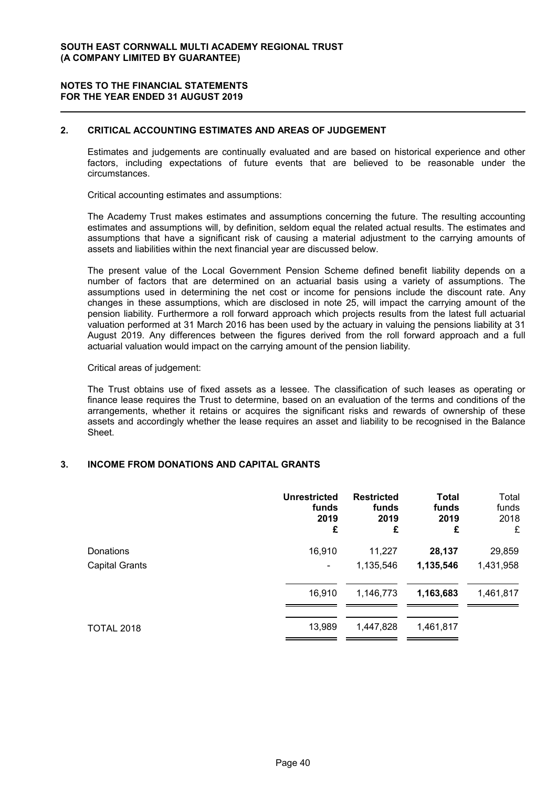## **2. CRITICAL ACCOUNTING ESTIMATES AND AREAS OF JUDGEMENT**

Estimates and judgements are continually evaluated and are based on historical experience and other factors, including expectations of future events that are believed to be reasonable under the circumstances.

Critical accounting estimates and assumptions:

The Academy Trust makes estimates and assumptions concerning the future. The resulting accounting estimates and assumptions will, by definition, seldom equal the related actual results. The estimates and assumptions that have a significant risk of causing a material adjustment to the carrying amounts of assets and liabilities within the next financial year are discussed below.

The present value of the Local Government Pension Scheme defined benefit liability depends on a number of factors that are determined on an actuarial basis using a variety of assumptions. The assumptions used in determining the net cost or income for pensions include the discount rate. Any changes in these assumptions, which are disclosed in note 25, will impact the carrying amount of the pension liability. Furthermore a roll forward approach which projects results from the latest full actuarial valuation performed at 31 March 2016 has been used by the actuary in valuing the pensions liability at 31 August 2019. Any differences between the figures derived from the roll forward approach and a full actuarial valuation would impact on the carrying amount of the pension liability.

#### Critical areas of judgement:

The Trust obtains use of fixed assets as a lessee. The classification of such leases as operating or finance lease requires the Trust to determine, based on an evaluation of the terms and conditions of the arrangements, whether it retains or acquires the significant risks and rewards of ownership of these assets and accordingly whether the lease requires an asset and liability to be recognised in the Balance Sheet.

#### **3. INCOME FROM DONATIONS AND CAPITAL GRANTS**

|                       | <b>Unrestricted</b>      | <b>Restricted</b> | <b>Total</b> | Total     |
|-----------------------|--------------------------|-------------------|--------------|-----------|
|                       | funds                    | funds             | funds        | funds     |
|                       | 2019                     | 2019              | 2019         | 2018      |
|                       | £                        | £                 | £            | £         |
| Donations             | 16,910                   | 11,227            | 28,137       | 29,859    |
| <b>Capital Grants</b> | $\overline{\phantom{0}}$ | 1,135,546         | 1,135,546    | 1,431,958 |
|                       | 16,910                   | 1,146,773         | 1,163,683    | 1,461,817 |
| <b>TOTAL 2018</b>     | 13,989                   | 1,447,828         | 1,461,817    |           |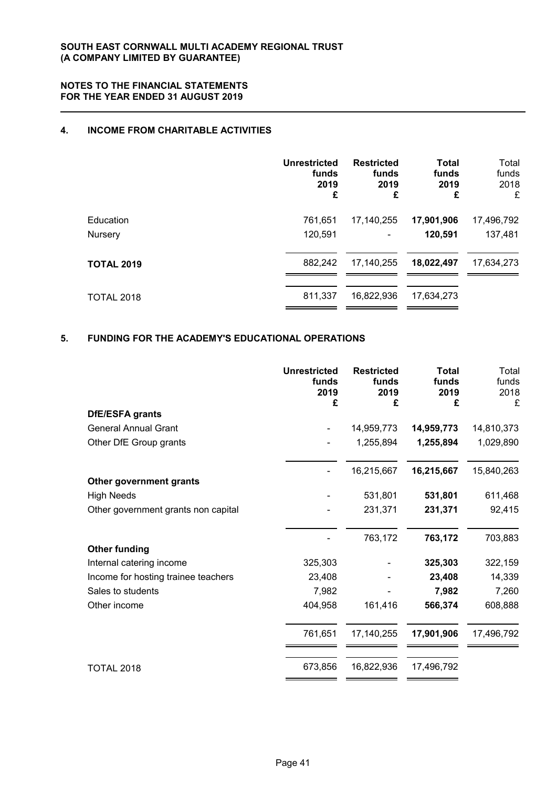# **4. INCOME FROM CHARITABLE ACTIVITIES**

|                   | Unrestricted | <b>Restricted</b> | <b>Total</b> | Total      |
|-------------------|--------------|-------------------|--------------|------------|
|                   | funds        | funds             | funds        | funds      |
|                   | 2019         | 2019              | 2019         | 2018       |
|                   | £            | £                 | £            | £          |
| Education         | 761,651      | 17,140,255        | 17,901,906   | 17,496,792 |
| Nursery           | 120,591      |                   | 120,591      | 137,481    |
| <b>TOTAL 2019</b> | 882,242      | 17,140,255        | 18,022,497   | 17,634,273 |
| <b>TOTAL 2018</b> | 811,337      | 16,822,936        | 17,634,273   |            |

# **5. FUNDING FOR THE ACADEMY'S EDUCATIONAL OPERATIONS**

|                                     | <b>Unrestricted</b><br>funds<br>2019<br>£ | <b>Restricted</b><br>funds<br>2019<br>£ | <b>Total</b><br>funds<br>2019<br>£ | Total<br>funds<br>2018<br>£ |
|-------------------------------------|-------------------------------------------|-----------------------------------------|------------------------------------|-----------------------------|
| DfE/ESFA grants                     |                                           |                                         |                                    |                             |
| <b>General Annual Grant</b>         |                                           | 14,959,773                              | 14,959,773                         | 14,810,373                  |
| Other DfE Group grants              |                                           | 1,255,894                               | 1,255,894                          | 1,029,890                   |
|                                     |                                           | 16,215,667                              | 16,215,667                         | 15,840,263                  |
| Other government grants             |                                           |                                         |                                    |                             |
| <b>High Needs</b>                   |                                           | 531,801                                 | 531,801                            | 611,468                     |
| Other government grants non capital |                                           | 231,371                                 | 231,371                            | 92,415                      |
|                                     |                                           | 763,172                                 | 763,172                            | 703,883                     |
| <b>Other funding</b>                |                                           |                                         |                                    |                             |
| Internal catering income            | 325,303                                   |                                         | 325,303                            | 322,159                     |
| Income for hosting trainee teachers | 23,408                                    |                                         | 23,408                             | 14,339                      |
| Sales to students                   | 7,982                                     |                                         | 7,982                              | 7,260                       |
| Other income                        | 404,958                                   | 161,416                                 | 566,374                            | 608,888                     |
|                                     | 761,651                                   | 17,140,255                              | 17,901,906                         | 17,496,792                  |
| <b>TOTAL 2018</b>                   | 673,856                                   | 16,822,936                              | 17,496,792                         |                             |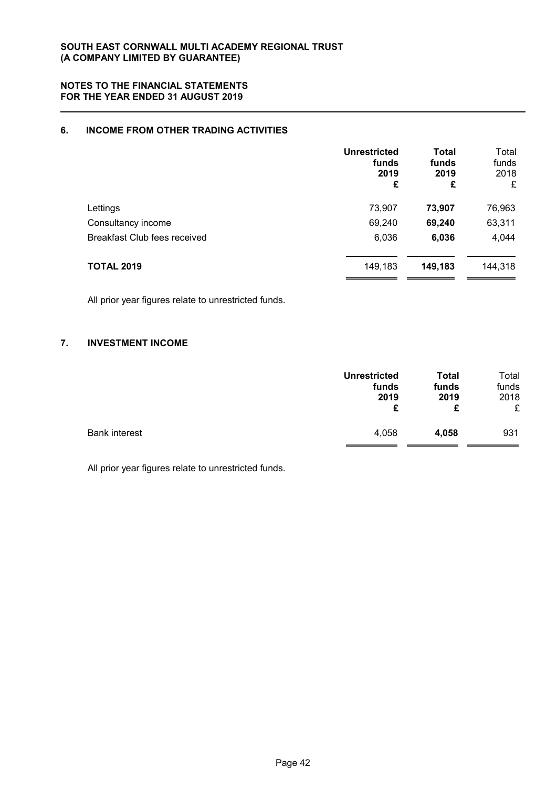# **6. INCOME FROM OTHER TRADING ACTIVITIES**

|                              | <b>Unrestricted</b><br>funds<br>2019<br>£ | <b>Total</b><br>funds<br>2019<br>£ | Total<br>funds<br>2018<br>£ |
|------------------------------|-------------------------------------------|------------------------------------|-----------------------------|
| Lettings                     | 73,907                                    | 73,907                             | 76,963                      |
| Consultancy income           | 69,240                                    | 69,240                             | 63,311                      |
| Breakfast Club fees received | 6,036                                     | 6,036                              | 4,044                       |
| <b>TOTAL 2019</b>            | 149,183                                   | 149,183                            | 144,318                     |

All prior year figures relate to unrestricted funds.

# **7. INVESTMENT INCOME**

|                      | <b>Unrestricted</b> | Total | Total |
|----------------------|---------------------|-------|-------|
|                      | funds               | funds | funds |
|                      | 2019                | 2019  | 2018  |
|                      | £                   | £     | £     |
| <b>Bank interest</b> | 4,058               | 4,058 | 931   |

All prior year figures relate to unrestricted funds.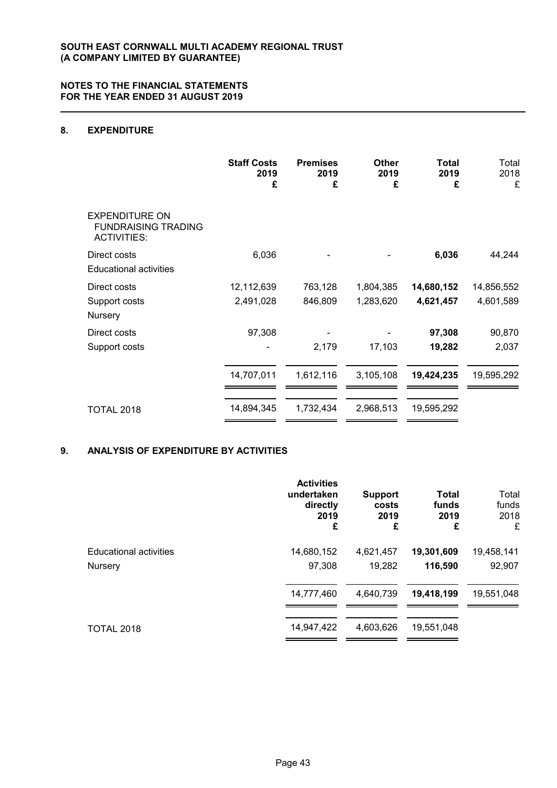# **8. EXPENDITURE**

|                                                                           | <b>Staff Costs</b><br>2019<br>£ | <b>Premises</b><br>2019<br>£ | Other<br>2019<br>£ | Total<br>2019<br>£ | Total<br>2018<br>£ |
|---------------------------------------------------------------------------|---------------------------------|------------------------------|--------------------|--------------------|--------------------|
| <b>EXPENDITURE ON</b><br><b>FUNDRAISING TRADING</b><br><b>ACTIVITIES:</b> |                                 |                              |                    |                    |                    |
| Direct costs<br><b>Educational activities</b>                             | 6,036                           |                              |                    | 6,036              | 44,244             |
| Direct costs                                                              | 12,112,639                      | 763,128                      | 1,804,385          | 14,680,152         | 14,856,552         |
| Support costs<br>Nursery                                                  | 2,491,028                       | 846,809                      | 1,283,620          | 4,621,457          | 4,601,589          |
| Direct costs                                                              | 97,308                          |                              |                    | 97,308             | 90,870             |
| Support costs                                                             |                                 | 2,179                        | 17,103             | 19,282             | 2,037              |
|                                                                           | 14,707,011                      | 1,612,116                    | 3,105,108          | 19,424,235         | 19,595,292         |
| <b>TOTAL 2018</b>                                                         | 14,894,345                      | 1,732,434                    | 2,968,513          | 19,595,292         |                    |

# **9. ANALYSIS OF EXPENDITURE BY ACTIVITIES**

|                               | <b>Activities</b><br>undertaken<br>directly<br>2019<br>£ | <b>Support</b><br>costs<br>2019<br>£ | <b>Total</b><br>funds<br>2019<br>£ | Total<br>funds<br>2018<br>£ |
|-------------------------------|----------------------------------------------------------|--------------------------------------|------------------------------------|-----------------------------|
| <b>Educational activities</b> | 14,680,152                                               | 4,621,457                            | 19,301,609                         | 19,458,141                  |
| Nursery                       | 97,308                                                   | 19,282                               | 116,590                            | 92,907                      |
|                               | 14,777,460                                               | 4,640,739                            | 19,418,199                         | 19,551,048                  |
| <b>TOTAL 2018</b>             | 14,947,422                                               | 4,603,626                            | 19,551,048                         |                             |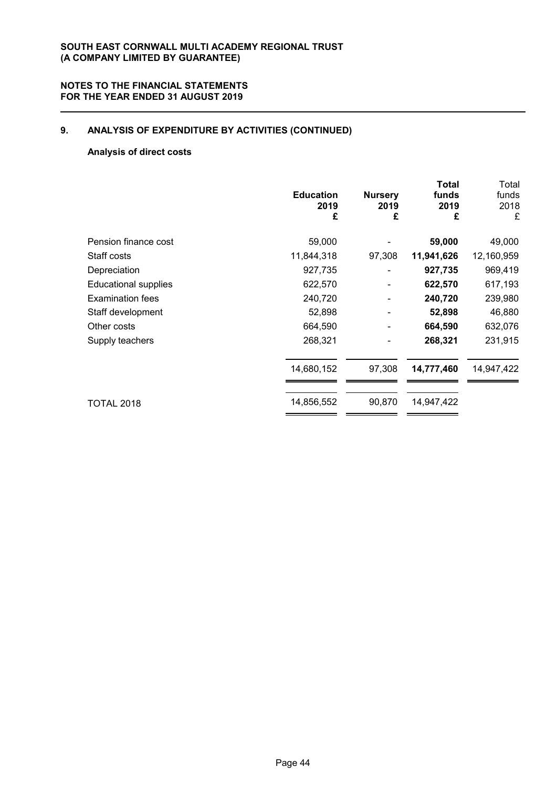# **9. ANALYSIS OF EXPENDITURE BY ACTIVITIES (CONTINUED)**

# **Analysis of direct costs**

|                             | <b>Education</b><br>2019<br>£ | <b>Nursery</b><br>2019<br>£ | <b>Total</b><br>funds<br>2019<br>£ | Total<br>funds<br>2018<br>£ |
|-----------------------------|-------------------------------|-----------------------------|------------------------------------|-----------------------------|
| Pension finance cost        | 59,000                        |                             | 59,000                             | 49,000                      |
| Staff costs                 | 11,844,318                    | 97,308                      | 11,941,626                         | 12,160,959                  |
| Depreciation                | 927,735                       |                             | 927,735                            | 969,419                     |
| <b>Educational supplies</b> | 622,570                       | -                           | 622,570                            | 617,193                     |
| Examination fees            | 240,720                       |                             | 240,720                            | 239,980                     |
| Staff development           | 52,898                        |                             | 52,898                             | 46,880                      |
| Other costs                 | 664,590                       | ۰                           | 664,590                            | 632,076                     |
| Supply teachers             | 268,321                       |                             | 268,321                            | 231,915                     |
|                             | 14,680,152                    | 97,308                      | 14,777,460                         | 14,947,422                  |
| <b>TOTAL 2018</b>           | 14,856,552                    | 90,870                      | 14,947,422                         |                             |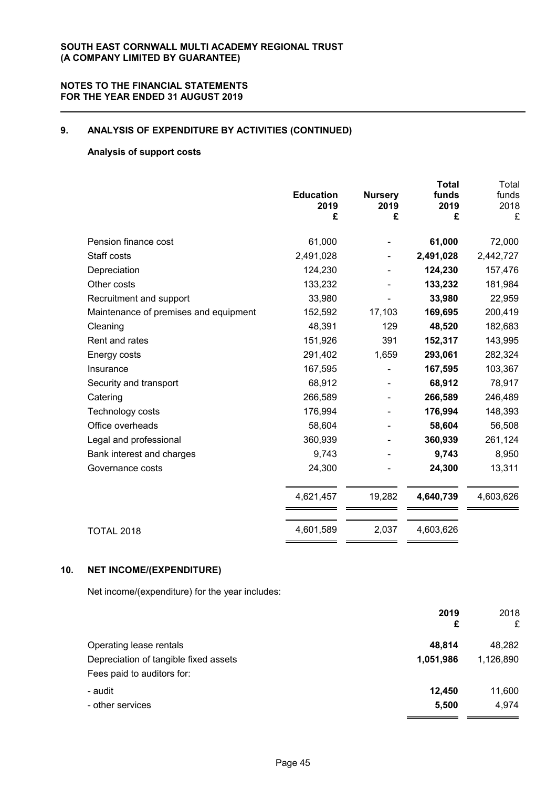# **9. ANALYSIS OF EXPENDITURE BY ACTIVITIES (CONTINUED)**

# **Analysis of support costs**

|                                       | <b>Education</b><br>2019<br>£ | <b>Nursery</b><br>2019<br>£ | <b>Total</b><br>funds<br>2019<br>£ | Total<br>funds<br>2018<br>£ |
|---------------------------------------|-------------------------------|-----------------------------|------------------------------------|-----------------------------|
| Pension finance cost                  | 61,000                        |                             | 61,000                             | 72,000                      |
| Staff costs                           | 2,491,028                     |                             | 2,491,028                          | 2,442,727                   |
| Depreciation                          | 124,230                       |                             | 124,230                            | 157,476                     |
| Other costs                           | 133,232                       |                             | 133,232                            | 181,984                     |
| Recruitment and support               | 33,980                        |                             | 33,980                             | 22,959                      |
| Maintenance of premises and equipment | 152,592                       | 17,103                      | 169,695                            | 200,419                     |
| Cleaning                              | 48,391                        | 129                         | 48,520                             | 182,683                     |
| Rent and rates                        | 151,926                       | 391                         | 152,317                            | 143,995                     |
| Energy costs                          | 291,402                       | 1,659                       | 293,061                            | 282,324                     |
| Insurance                             | 167,595                       |                             | 167,595                            | 103,367                     |
| Security and transport                | 68,912                        |                             | 68,912                             | 78,917                      |
| Catering                              | 266,589                       |                             | 266,589                            | 246,489                     |
| Technology costs                      | 176,994                       |                             | 176,994                            | 148,393                     |
| Office overheads                      | 58,604                        |                             | 58,604                             | 56,508                      |
| Legal and professional                | 360,939                       |                             | 360,939                            | 261,124                     |
| Bank interest and charges             | 9,743                         |                             | 9,743                              | 8,950                       |
| Governance costs                      | 24,300                        |                             | 24,300                             | 13,311                      |
|                                       | 4,621,457                     | 19,282                      | 4,640,739                          | 4,603,626                   |
| <b>TOTAL 2018</b>                     | 4,601,589                     | 2,037                       | 4,603,626                          |                             |
|                                       |                               |                             |                                    |                             |

# **10. NET INCOME/(EXPENDITURE)**

Net income/(expenditure) for the year includes:

|                                       | 2019<br>£ | 2018<br>£ |
|---------------------------------------|-----------|-----------|
| Operating lease rentals               | 48.814    | 48,282    |
| Depreciation of tangible fixed assets | 1,051,986 | 1,126,890 |
| Fees paid to auditors for:            |           |           |
| - audit                               | 12,450    | 11,600    |
| - other services                      | 5,500     | 4,974     |
|                                       |           |           |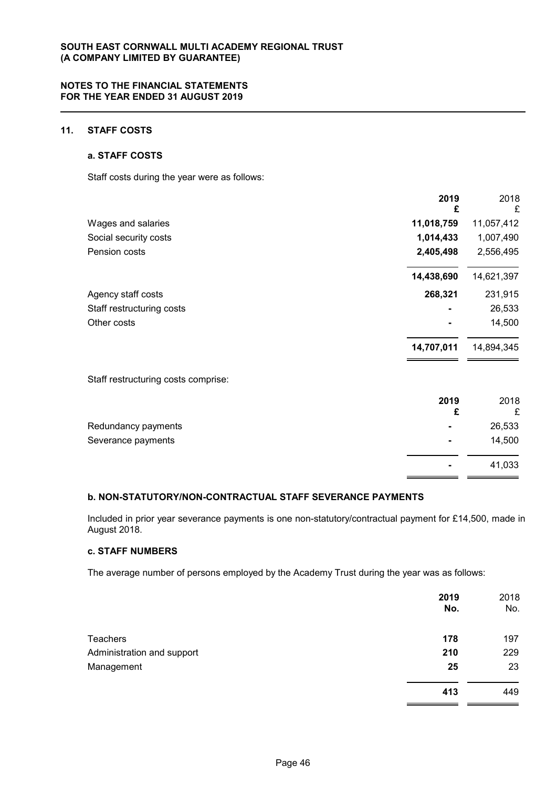# **11. STAFF COSTS**

#### **a. STAFF COSTS**

Staff costs during the year were as follows:

|                                     | 2019<br>£  | 2018<br>£  |
|-------------------------------------|------------|------------|
| Wages and salaries                  | 11,018,759 | 11,057,412 |
| Social security costs               | 1,014,433  | 1,007,490  |
| Pension costs                       | 2,405,498  | 2,556,495  |
|                                     | 14,438,690 | 14,621,397 |
| Agency staff costs                  | 268,321    | 231,915    |
| Staff restructuring costs           |            | 26,533     |
| Other costs                         |            | 14,500     |
|                                     | 14,707,011 | 14,894,345 |
| Staff restructuring costs comprise: |            |            |
|                                     | 2019<br>£  | 2018<br>£  |
| Redundancy payments                 |            | 26,533     |
| Severance payments                  |            | 14,500     |

#### **b. NON-STATUTORY/NON-CONTRACTUAL STAFF SEVERANCE PAYMENTS**

Included in prior year severance payments is one non-statutory/contractual payment for £14,500, made in August 2018.

**-** 41,033

# **c. STAFF NUMBERS**

The average number of persons employed by the Academy Trust during the year was as follows:

|                            | 2019<br>No. | 2018<br>No. |
|----------------------------|-------------|-------------|
| Teachers                   | 178         | 197         |
| Administration and support | 210         | 229         |
| Management                 | 25          | 23          |
|                            | 413         | 449         |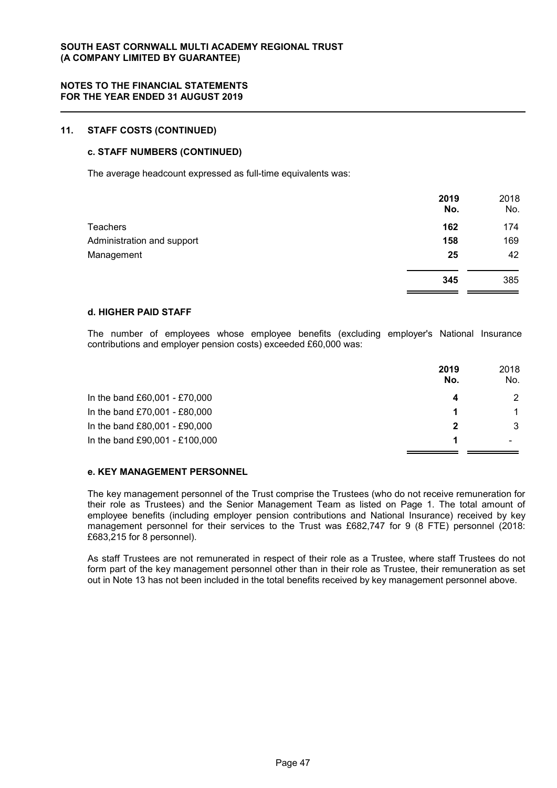### **11. STAFF COSTS (CONTINUED)**

#### **c. STAFF NUMBERS (CONTINUED)**

The average headcount expressed as full-time equivalents was:

|                            | 2019<br>No. | 2018<br>No. |
|----------------------------|-------------|-------------|
| Teachers                   | 162         | 174         |
| Administration and support | 158         | 169         |
| Management                 | 25          | 42          |
|                            | 345         | 385         |

#### **d. HIGHER PAID STAFF**

The number of employees whose employee benefits (excluding employer's National Insurance contributions and employer pension costs) exceeded £60,000 was:

|                                | 2019<br>No. | 2018<br>No.   |
|--------------------------------|-------------|---------------|
| In the band £60,001 - £70,000  |             | 2             |
| In the band £70,001 - £80,000  |             | $\mathbf{1}$  |
| In the band £80,001 - £90,000  | 2           | $\mathcal{S}$ |
| In the band £90,001 - £100,000 |             |               |

#### **e. KEY MANAGEMENT PERSONNEL**

The key management personnel of the Trust comprise the Trustees (who do not receive remuneration for their role as Trustees) and the Senior Management Team as listed on Page 1. The total amount of employee benefits (including employer pension contributions and National Insurance) received by key management personnel for their services to the Trust was £682,747 for 9 (8 FTE) personnel (2018: £683,215 for 8 personnel).

As staff Trustees are not remunerated in respect of their role as a Trustee, where staff Trustees do not form part of the key management personnel other than in their role as Trustee, their remuneration as set out in Note 13 has not been included in the total benefits received by key management personnel above.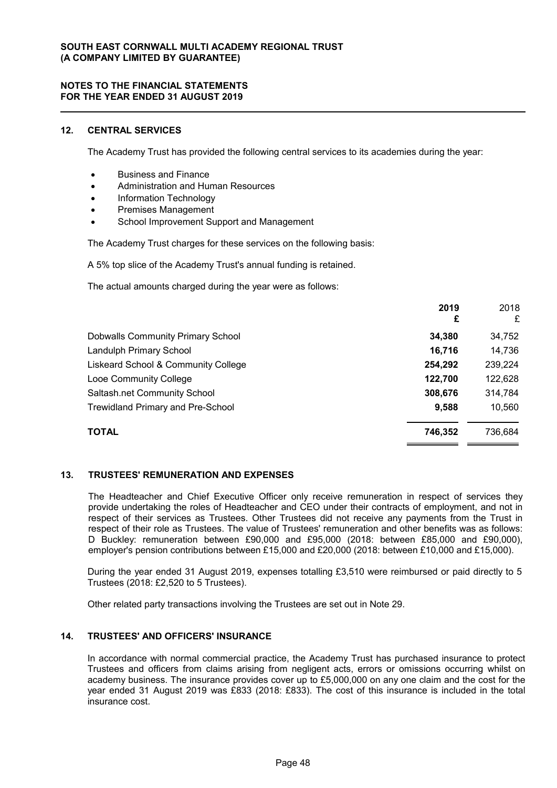### **NOTES TO THE FINANCIAL STATEMENTS FOR THE YEAR ENDED 31 AUGUST 2019**

# **12. CENTRAL SERVICES**

The Academy Trust has provided the following central services to its academies during the year:

- **Business and Finance**
- Administration and Human Resources
- Information Technology
- Premises Management
- School Improvement Support and Management

The Academy Trust charges for these services on the following basis:

A 5% top slice of the Academy Trust's annual funding is retained.

The actual amounts charged during the year were as follows:

|                                          | 2019<br>£ | 2018<br>£ |
|------------------------------------------|-----------|-----------|
| <b>Dobwalls Community Primary School</b> | 34,380    | 34,752    |
| Landulph Primary School                  | 16,716    | 14,736    |
| Liskeard School & Community College      | 254,292   | 239,224   |
| Looe Community College                   | 122,700   | 122,628   |
| Saltash.net Community School             | 308,676   | 314,784   |
| <b>Trewidland Primary and Pre-School</b> | 9,588     | 10,560    |
| <b>TOTAL</b>                             | 746,352   | 736.684   |

#### **13. TRUSTEES' REMUNERATION AND EXPENSES**

The Headteacher and Chief Executive Officer only receive remuneration in respect of services they provide undertaking the roles of Headteacher and CEO under their contracts of employment, and not in respect of their services as Trustees. Other Trustees did not receive any payments from the Trust in respect of their role as Trustees. The value of Trustees' remuneration and other benefits was as follows: D Buckley: remuneration between £90,000 and £95,000 (2018: between £85,000 and £90,000), employer's pension contributions between £15,000 and £20,000 (2018: between £10,000 and £15,000).

During the year ended 31 August 2019, expenses totalling £3,510 were reimbursed or paid directly to 5 Trustees (2018: £2,520 to 5 Trustees).

Other related party transactions involving the Trustees are set out in Note 29.

# **14. TRUSTEES' AND OFFICERS' INSURANCE**

In accordance with normal commercial practice, the Academy Trust has purchased insurance to protect Trustees and officers from claims arising from negligent acts, errors or omissions occurring whilst on academy business. The insurance provides cover up to £5,000,000 on any one claim and the cost for the year ended 31 August 2019 was £833 (2018: £833). The cost of this insurance is included in the total insurance cost.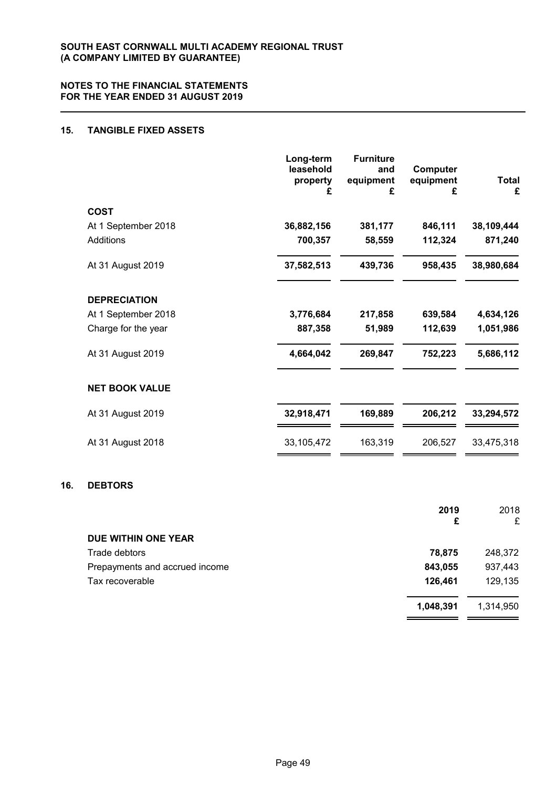# **15. TANGIBLE FIXED ASSETS**

|                       | Long-term<br>leasehold<br>property<br>£ | <b>Furniture</b><br>and<br>equipment<br>£ | Computer<br>equipment<br>£ | Total<br>£ |
|-----------------------|-----------------------------------------|-------------------------------------------|----------------------------|------------|
| <b>COST</b>           |                                         |                                           |                            |            |
| At 1 September 2018   | 36,882,156                              | 381,177                                   | 846,111                    | 38,109,444 |
| Additions             | 700,357                                 | 58,559                                    | 112,324                    | 871,240    |
| At 31 August 2019     | 37,582,513                              | 439,736                                   | 958,435                    | 38,980,684 |
| <b>DEPRECIATION</b>   |                                         |                                           |                            |            |
| At 1 September 2018   | 3,776,684                               | 217,858                                   | 639,584                    | 4,634,126  |
| Charge for the year   | 887,358                                 | 51,989                                    | 112,639                    | 1,051,986  |
| At 31 August 2019     | 4,664,042                               | 269,847                                   | 752,223                    | 5,686,112  |
| <b>NET BOOK VALUE</b> |                                         |                                           |                            |            |
| At 31 August 2019     | 32,918,471                              | 169,889                                   | 206,212                    | 33,294,572 |
| At 31 August 2018     | 33,105,472                              | 163,319                                   | 206,527                    | 33,475,318 |
|                       |                                         |                                           |                            |            |

# **16. DEBTORS**

|                                | 2019<br>£ | 2018<br>£ |
|--------------------------------|-----------|-----------|
| DUE WITHIN ONE YEAR            |           |           |
| Trade debtors                  | 78,875    | 248,372   |
| Prepayments and accrued income | 843,055   | 937,443   |
| Tax recoverable                | 126,461   | 129,135   |
|                                | 1,048,391 | 1,314,950 |

 $\overline{\phantom{0}}$  $\equiv$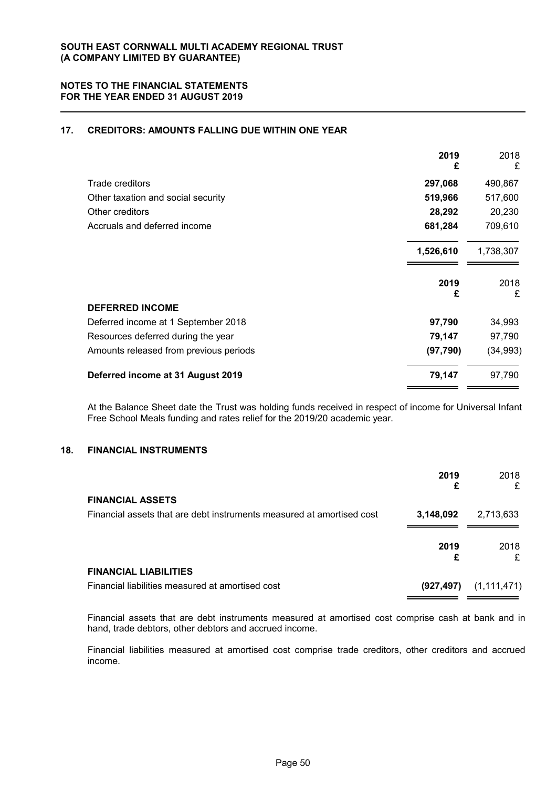# **17. CREDITORS: AMOUNTS FALLING DUE WITHIN ONE YEAR**

|                                        | 2019<br>£ | 2018<br>£ |
|----------------------------------------|-----------|-----------|
| Trade creditors                        | 297,068   | 490,867   |
| Other taxation and social security     | 519,966   | 517,600   |
| Other creditors                        | 28,292    | 20,230    |
| Accruals and deferred income           | 681,284   | 709,610   |
|                                        | 1,526,610 | 1,738,307 |
|                                        | 2019<br>£ | 2018<br>£ |
| <b>DEFERRED INCOME</b>                 |           |           |
| Deferred income at 1 September 2018    | 97,790    | 34,993    |
| Resources deferred during the year     | 79,147    | 97,790    |
| Amounts released from previous periods | (97, 790) | (34, 993) |
| Deferred income at 31 August 2019      | 79,147    | 97,790    |

At the Balance Sheet date the Trust was holding funds received in respect of income for Universal Infant Free School Meals funding and rates relief for the 2019/20 academic year.

### **18. FINANCIAL INSTRUMENTS**

|                                                                       | 2019<br>£  | 2018<br>£     |
|-----------------------------------------------------------------------|------------|---------------|
| <b>FINANCIAL ASSETS</b>                                               |            |               |
| Financial assets that are debt instruments measured at amortised cost | 3,148,092  | 2,713,633     |
|                                                                       | 2019<br>£  | 2018<br>£     |
| <b>FINANCIAL LIABILITIES</b>                                          |            |               |
| Financial liabilities measured at amortised cost                      | (927, 497) | (1, 111, 471) |

Financial assets that are debt instruments measured at amortised cost comprise cash at bank and in hand, trade debtors, other debtors and accrued income.

Financial liabilities measured at amortised cost comprise trade creditors, other creditors and accrued income.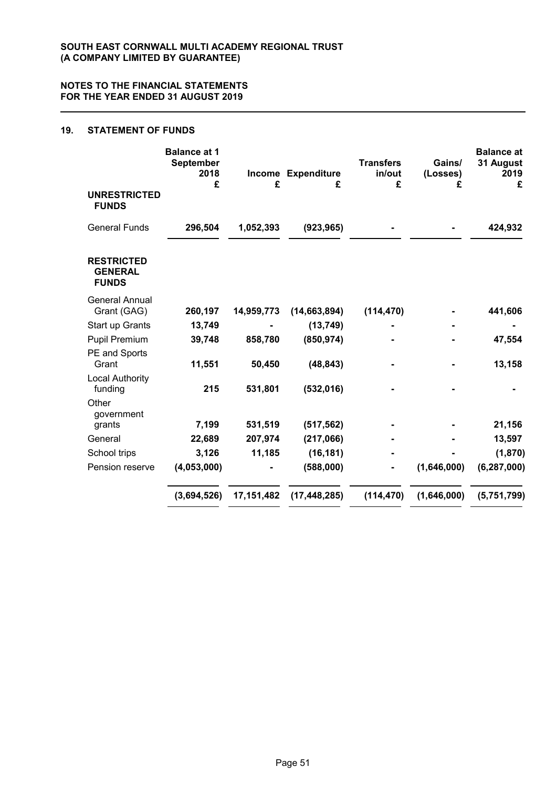# **19. STATEMENT OF FUNDS**

|                                                     | <b>Balance at 1</b><br>September<br>2018<br>£ | £            | Income Expenditure<br>£ | <b>Transfers</b><br>in/out<br>£ | Gains/<br>(Losses)<br>£ | <b>Balance at</b><br>31 August<br>2019<br>£ |
|-----------------------------------------------------|-----------------------------------------------|--------------|-------------------------|---------------------------------|-------------------------|---------------------------------------------|
| <b>UNRESTRICTED</b><br><b>FUNDS</b>                 |                                               |              |                         |                                 |                         |                                             |
| <b>General Funds</b>                                | 296,504                                       | 1,052,393    | (923, 965)              |                                 |                         | 424,932                                     |
| <b>RESTRICTED</b><br><b>GENERAL</b><br><b>FUNDS</b> |                                               |              |                         |                                 |                         |                                             |
| <b>General Annual</b><br>Grant (GAG)                | 260,197                                       | 14,959,773   | (14, 663, 894)          | (114, 470)                      |                         | 441,606                                     |
| Start up Grants                                     | 13,749                                        |              | (13, 749)               |                                 |                         |                                             |
| <b>Pupil Premium</b>                                | 39,748                                        | 858,780      | (850, 974)              |                                 |                         | 47,554                                      |
| PE and Sports<br>Grant                              | 11,551                                        | 50,450       | (48, 843)               |                                 |                         | 13,158                                      |
| <b>Local Authority</b><br>funding                   | 215                                           | 531,801      | (532, 016)              |                                 |                         |                                             |
| Other<br>government                                 |                                               |              |                         |                                 |                         |                                             |
| grants                                              | 7,199                                         | 531,519      | (517, 562)              |                                 |                         | 21,156                                      |
| General                                             | 22,689                                        | 207,974      | (217,066)               |                                 |                         | 13,597                                      |
| School trips                                        | 3,126                                         | 11,185       | (16, 181)               |                                 |                         | (1,870)                                     |
| Pension reserve                                     | (4,053,000)                                   |              | (588,000)               |                                 | (1,646,000)             | (6, 287, 000)                               |
|                                                     | (3,694,526)                                   | 17, 151, 482 | (17, 448, 285)          | (114, 470)                      | (1,646,000)             | (5,751,799)                                 |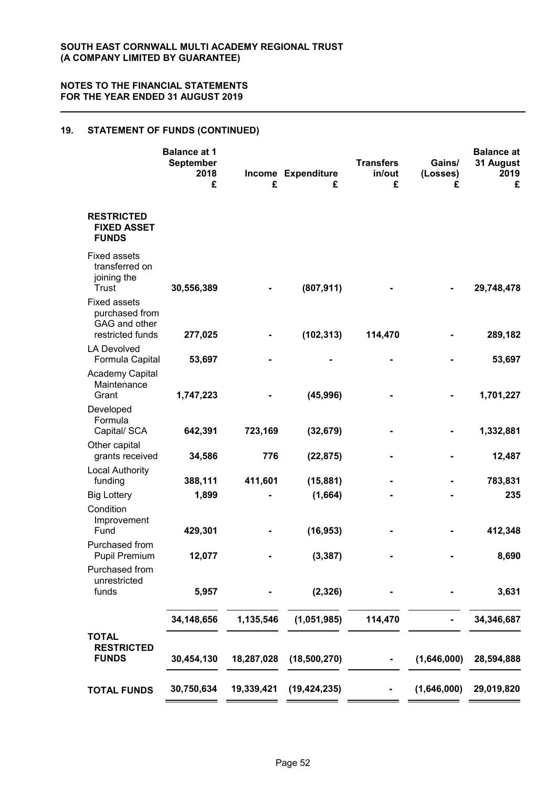# **19. STATEMENT OF FUNDS (CONTINUED)**

|                                                                            | <b>Balance at 1</b><br>September<br>2018<br>£ | £          | Income Expenditure<br>£ | <b>Transfers</b><br>in/out<br>£ | Gains/<br>(Losses)<br>£ | <b>Balance at</b><br>31 August<br>2019<br>£ |
|----------------------------------------------------------------------------|-----------------------------------------------|------------|-------------------------|---------------------------------|-------------------------|---------------------------------------------|
| <b>RESTRICTED</b><br><b>FIXED ASSET</b><br><b>FUNDS</b>                    |                                               |            |                         |                                 |                         |                                             |
| <b>Fixed assets</b><br>transferred on<br>joining the<br>Trust              | 30,556,389                                    |            | (807, 911)              |                                 |                         | 29,748,478                                  |
| <b>Fixed assets</b><br>purchased from<br>GAG and other<br>restricted funds | 277,025                                       |            | (102, 313)              | 114,470                         |                         | 289,182                                     |
| <b>LA Devolved</b><br>Formula Capital                                      | 53,697                                        |            |                         |                                 |                         | 53,697                                      |
| <b>Academy Capital</b><br>Maintenance<br>Grant                             | 1,747,223                                     |            | (45, 996)               |                                 |                         | 1,701,227                                   |
| Developed<br>Formula<br>Capital/ SCA                                       | 642,391                                       | 723,169    | (32, 679)               |                                 |                         | 1,332,881                                   |
| Other capital                                                              |                                               |            |                         |                                 |                         |                                             |
| grants received<br><b>Local Authority</b>                                  | 34,586                                        | 776        | (22, 875)               |                                 |                         | 12,487                                      |
| funding                                                                    | 388,111                                       | 411,601    | (15, 881)               |                                 |                         | 783,831                                     |
| <b>Big Lottery</b><br>Condition                                            | 1,899                                         |            | (1,664)                 |                                 |                         | 235                                         |
| Improvement<br>Fund                                                        | 429,301                                       |            | (16, 953)               |                                 |                         | 412,348                                     |
| Purchased from<br><b>Pupil Premium</b>                                     | 12,077                                        |            | (3, 387)                |                                 |                         | 8,690                                       |
| Purchased from<br>unrestricted                                             |                                               |            |                         |                                 |                         |                                             |
| funds                                                                      | 5,957                                         |            | (2, 326)                |                                 |                         | 3,631                                       |
|                                                                            | 34,148,656                                    | 1,135,546  | (1,051,985)             | 114,470                         |                         | 34,346,687                                  |
| <b>TOTAL</b><br><b>RESTRICTED</b><br><b>FUNDS</b>                          | 30,454,130                                    | 18,287,028 | (18,500,270)            |                                 | (1,646,000)             | 28,594,888                                  |
| <b>TOTAL FUNDS</b>                                                         | 30,750,634                                    | 19,339,421 | (19, 424, 235)          |                                 | (1,646,000)             | 29,019,820                                  |
|                                                                            |                                               |            |                         |                                 |                         |                                             |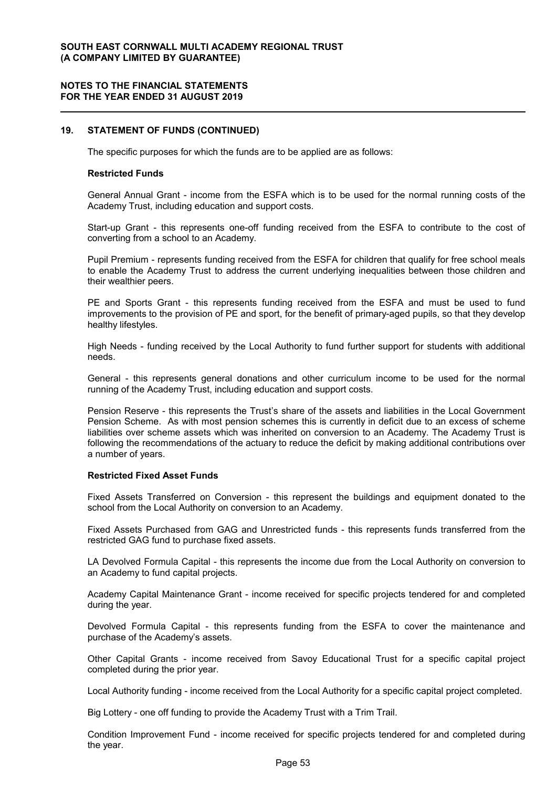### **NOTES TO THE FINANCIAL STATEMENTS FOR THE YEAR ENDED 31 AUGUST 2019**

#### **19. STATEMENT OF FUNDS (CONTINUED)**

The specific purposes for which the funds are to be applied are as follows:

#### **Restricted Funds**

General Annual Grant - income from the ESFA which is to be used for the normal running costs of the Academy Trust, including education and support costs.

Start-up Grant - this represents one-off funding received from the ESFA to contribute to the cost of converting from a school to an Academy.

Pupil Premium - represents funding received from the ESFA for children that qualify for free school meals to enable the Academy Trust to address the current underlying inequalities between those children and their wealthier peers.

PE and Sports Grant - this represents funding received from the ESFA and must be used to fund improvements to the provision of PE and sport, for the benefit of primary-aged pupils, so that they develop healthy lifestyles.

High Needs - funding received by the Local Authority to fund further support for students with additional needs.

General - this represents general donations and other curriculum income to be used for the normal running of the Academy Trust, including education and support costs.

Pension Reserve - this represents the Trust's share of the assets and liabilities in the Local Government Pension Scheme. As with most pension schemes this is currently in deficit due to an excess of scheme liabilities over scheme assets which was inherited on conversion to an Academy. The Academy Trust is following the recommendations of the actuary to reduce the deficit by making additional contributions over a number of years.

#### **Restricted Fixed Asset Funds**

Fixed Assets Transferred on Conversion - this represent the buildings and equipment donated to the school from the Local Authority on conversion to an Academy.

Fixed Assets Purchased from GAG and Unrestricted funds - this represents funds transferred from the restricted GAG fund to purchase fixed assets.

LA Devolved Formula Capital - this represents the income due from the Local Authority on conversion to an Academy to fund capital projects.

Academy Capital Maintenance Grant - income received for specific projects tendered for and completed during the year.

Devolved Formula Capital - this represents funding from the ESFA to cover the maintenance and purchase of the Academy's assets.

Other Capital Grants - income received from Savoy Educational Trust for a specific capital project completed during the prior year.

Local Authority funding - income received from the Local Authority for a specific capital project completed.

Big Lottery - one off funding to provide the Academy Trust with a Trim Trail.

Condition Improvement Fund - income received for specific projects tendered for and completed during the year.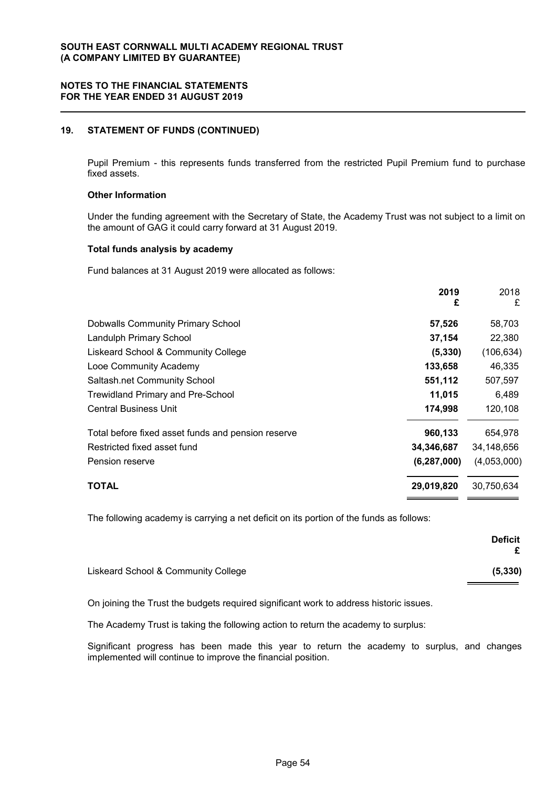# **19. STATEMENT OF FUNDS (CONTINUED)**

Pupil Premium - this represents funds transferred from the restricted Pupil Premium fund to purchase fixed assets.

### **Other Information**

Under the funding agreement with the Secretary of State, the Academy Trust was not subject to a limit on the amount of GAG it could carry forward at 31 August 2019.

#### **Total funds analysis by academy**

Fund balances at 31 August 2019 were allocated as follows:

|                                                    | 2019<br>£     | 2018<br>£   |
|----------------------------------------------------|---------------|-------------|
| <b>Dobwalls Community Primary School</b>           | 57,526        | 58,703      |
| Landulph Primary School                            | 37,154        | 22,380      |
| Liskeard School & Community College                | (5, 330)      | (106, 634)  |
| Looe Community Academy                             | 133,658       | 46,335      |
| Saltash.net Community School                       | 551,112       | 507,597     |
| <b>Trewidland Primary and Pre-School</b>           | 11,015        | 6,489       |
| <b>Central Business Unit</b>                       | 174,998       | 120,108     |
| Total before fixed asset funds and pension reserve | 960,133       | 654,978     |
| Restricted fixed asset fund                        | 34,346,687    | 34,148,656  |
| Pension reserve                                    | (6, 287, 000) | (4,053,000) |
| TOTAL                                              | 29,019,820    | 30,750,634  |

The following academy is carrying a net deficit on its portion of the funds as follows:

|                                     | <b>Deficit</b> |
|-------------------------------------|----------------|
| Liskeard School & Community College | (5, 330)       |

On joining the Trust the budgets required significant work to address historic issues.

The Academy Trust is taking the following action to return the academy to surplus:

Significant progress has been made this year to return the academy to surplus, and changes implemented will continue to improve the financial position.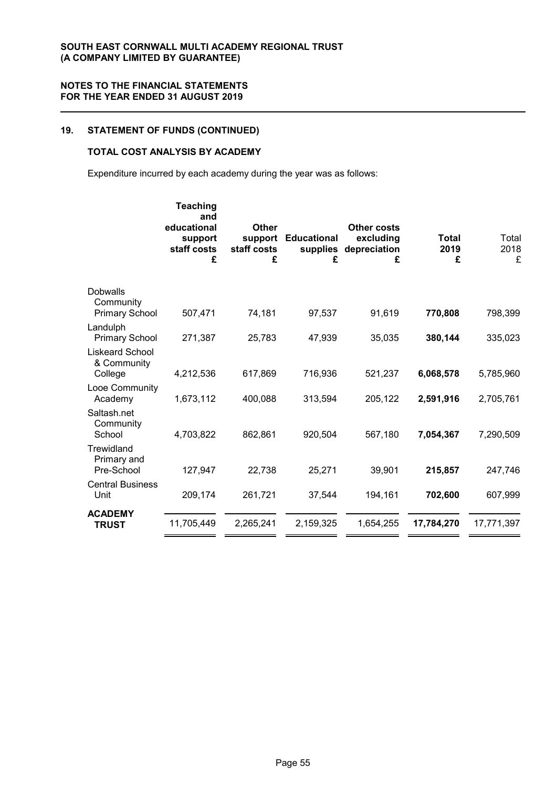# **19. STATEMENT OF FUNDS (CONTINUED)**

# **TOTAL COST ANALYSIS BY ACADEMY**

Expenditure incurred by each academy during the year was as follows:

|                                                       | <b>Teaching</b><br>and<br>educational<br>support<br>staff costs<br>£ | Other<br>support<br>staff costs<br>£ | <b>Educational</b><br>supplies<br>£ | <b>Other costs</b><br>excluding<br>depreciation<br>£ | <b>Total</b><br>2019<br>£ | Total<br>2018<br>£ |
|-------------------------------------------------------|----------------------------------------------------------------------|--------------------------------------|-------------------------------------|------------------------------------------------------|---------------------------|--------------------|
| <b>Dobwalls</b><br>Community<br><b>Primary School</b> | 507,471                                                              | 74,181                               | 97,537                              | 91,619                                               | 770,808                   | 798,399            |
| Landulph<br><b>Primary School</b>                     | 271,387                                                              | 25,783                               | 47,939                              | 35,035                                               | 380,144                   | 335,023            |
| <b>Liskeard School</b><br>& Community<br>College      | 4,212,536                                                            | 617,869                              | 716,936                             | 521,237                                              | 6,068,578                 | 5,785,960          |
| Looe Community<br>Academy                             | 1,673,112                                                            | 400,088                              | 313,594                             | 205,122                                              | 2,591,916                 | 2,705,761          |
| Saltash.net<br>Community<br>School                    | 4,703,822                                                            | 862,861                              | 920,504                             | 567,180                                              | 7,054,367                 | 7,290,509          |
| Trewidland<br>Primary and<br>Pre-School               | 127,947                                                              | 22,738                               | 25,271                              | 39,901                                               | 215,857                   | 247,746            |
| <b>Central Business</b><br>Unit                       | 209,174                                                              | 261,721                              | 37,544                              | 194,161                                              | 702,600                   | 607,999            |
| <b>ACADEMY</b><br><b>TRUST</b>                        | 11,705,449                                                           | 2,265,241                            | 2,159,325                           | 1,654,255                                            | 17,784,270                | 17,771,397         |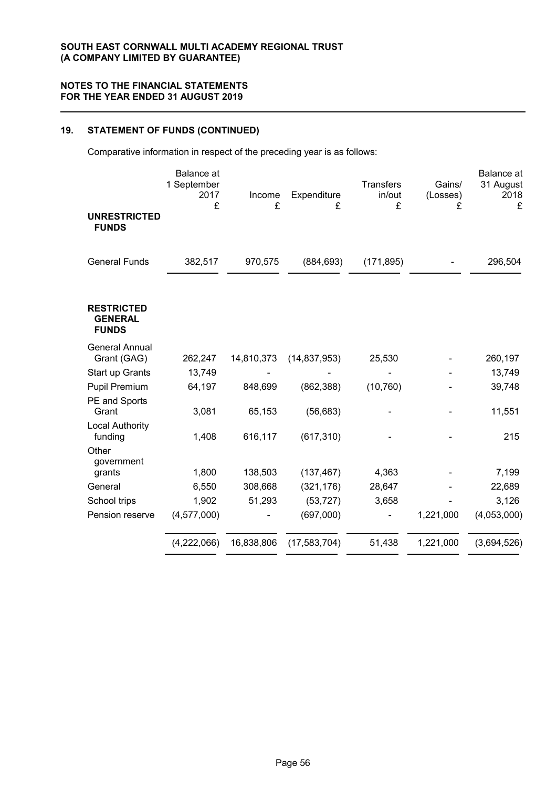# **19. STATEMENT OF FUNDS (CONTINUED)**

Comparative information in respect of the preceding year is as follows:

|                                                     | <b>Balance</b> at<br>1 September<br>2017<br>£ | Income<br>£ | Expenditure<br>£ | <b>Transfers</b><br>in/out<br>£ | Gains/<br>(Losses) | Balance at<br>31 August<br>2018<br>£ |
|-----------------------------------------------------|-----------------------------------------------|-------------|------------------|---------------------------------|--------------------|--------------------------------------|
| <b>UNRESTRICTED</b><br><b>FUNDS</b>                 |                                               |             |                  |                                 | £                  |                                      |
| <b>General Funds</b>                                | 382,517                                       | 970,575     | (884, 693)       | (171, 895)                      |                    | 296,504                              |
| <b>RESTRICTED</b><br><b>GENERAL</b><br><b>FUNDS</b> |                                               |             |                  |                                 |                    |                                      |
| <b>General Annual</b><br>Grant (GAG)                | 262,247                                       | 14,810,373  | (14, 837, 953)   | 25,530                          |                    | 260,197                              |
| Start up Grants                                     | 13,749                                        |             |                  |                                 |                    | 13,749                               |
| <b>Pupil Premium</b>                                | 64,197                                        | 848,699     | (862, 388)       | (10, 760)                       |                    | 39,748                               |
| PE and Sports                                       |                                               |             |                  |                                 |                    |                                      |
| Grant                                               | 3,081                                         | 65,153      | (56, 683)        |                                 |                    | 11,551                               |
| Local Authority<br>funding                          | 1,408                                         | 616,117     | (617, 310)       |                                 |                    | 215                                  |
| Other<br>government                                 |                                               |             |                  |                                 |                    |                                      |
| grants                                              | 1,800                                         | 138,503     | (137, 467)       | 4,363                           |                    | 7,199                                |
| General                                             | 6,550                                         | 308,668     | (321, 176)       | 28,647                          |                    | 22,689                               |
| School trips                                        | 1,902                                         | 51,293      | (53, 727)        | 3,658                           |                    | 3,126                                |
| Pension reserve                                     | (4,577,000)                                   |             | (697,000)        |                                 | 1,221,000          | (4,053,000)                          |
|                                                     | (4,222,066)                                   | 16,838,806  | (17, 583, 704)   | 51,438                          | 1,221,000          | (3,694,526)                          |
|                                                     |                                               |             |                  |                                 |                    |                                      |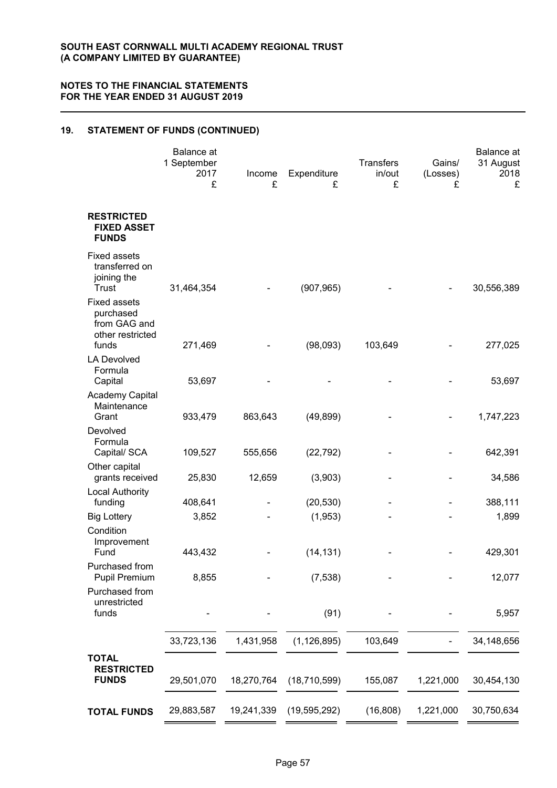# **19. STATEMENT OF FUNDS (CONTINUED)**

|                                                                               | <b>Balance</b> at<br>1 September<br>2017<br>£ | Income<br>£ | Expenditure<br>£ | <b>Transfers</b><br>in/out<br>£ | Gains/<br>(Losses)<br>£ | Balance at<br>31 August<br>2018<br>£ |
|-------------------------------------------------------------------------------|-----------------------------------------------|-------------|------------------|---------------------------------|-------------------------|--------------------------------------|
| <b>RESTRICTED</b><br><b>FIXED ASSET</b><br><b>FUNDS</b>                       |                                               |             |                  |                                 |                         |                                      |
| <b>Fixed assets</b><br>transferred on<br>joining the<br>Trust                 | 31,464,354                                    |             | (907, 965)       |                                 |                         | 30,556,389                           |
| <b>Fixed assets</b><br>purchased<br>from GAG and<br>other restricted<br>funds | 271,469                                       |             | (98,093)         | 103,649                         |                         | 277,025                              |
| <b>LA Devolved</b><br>Formula<br>Capital                                      | 53,697                                        |             |                  |                                 |                         | 53,697                               |
| Academy Capital<br>Maintenance<br>Grant                                       | 933,479                                       | 863,643     | (49, 899)        |                                 |                         | 1,747,223                            |
| Devolved<br>Formula<br>Capital/ SCA                                           | 109,527                                       | 555,656     | (22, 792)        |                                 |                         | 642,391                              |
| Other capital<br>grants received                                              | 25,830                                        | 12,659      | (3,903)          |                                 |                         | 34,586                               |
| <b>Local Authority</b><br>funding                                             | 408,641                                       |             | (20, 530)        |                                 |                         | 388,111                              |
| <b>Big Lottery</b><br>Condition                                               | 3,852                                         |             | (1, 953)         |                                 |                         | 1,899                                |
| Improvement<br>Fund                                                           | 443,432                                       |             | (14, 131)        |                                 |                         | 429,301                              |
| Purchased from<br><b>Pupil Premium</b>                                        | 8,855                                         |             | (7, 538)         |                                 |                         | 12,077                               |
| Purchased from<br>unrestricted<br>funds                                       |                                               |             | (91)             |                                 |                         | 5,957                                |
|                                                                               | 33,723,136                                    | 1,431,958   | (1, 126, 895)    | 103,649                         |                         | 34,148,656                           |
| <b>TOTAL</b><br><b>RESTRICTED</b><br><b>FUNDS</b>                             | 29,501,070                                    | 18,270,764  | (18, 710, 599)   | 155,087                         | 1,221,000               | 30,454,130                           |
| <b>TOTAL FUNDS</b>                                                            | 29,883,587                                    | 19,241,339  | (19, 595, 292)   | (16, 808)                       | 1,221,000               | 30,750,634                           |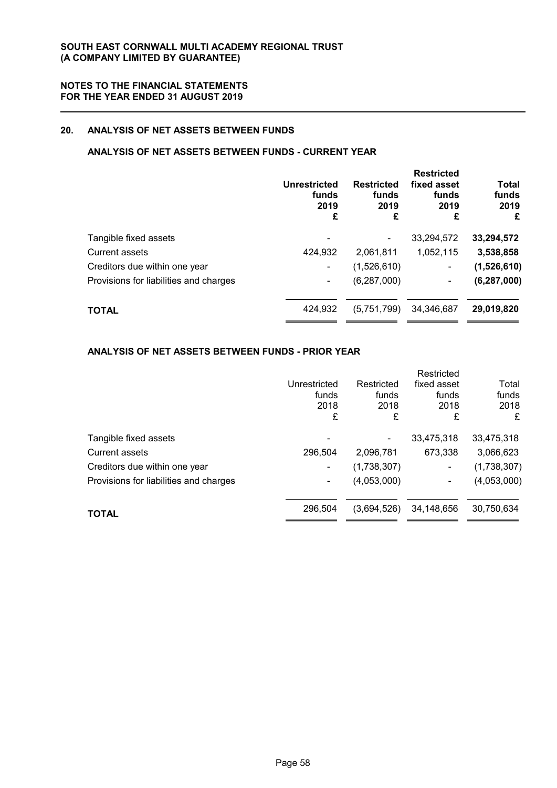# **20. ANALYSIS OF NET ASSETS BETWEEN FUNDS**

# **ANALYSIS OF NET ASSETS BETWEEN FUNDS - CURRENT YEAR**

|                                        | Unrestricted<br>funds<br>2019<br>£ | <b>Restricted</b><br>funds<br>2019<br>£ | <b>Restricted</b><br>fixed asset<br>funds<br>2019<br>£ | <b>Total</b><br>funds<br>2019<br>£ |
|----------------------------------------|------------------------------------|-----------------------------------------|--------------------------------------------------------|------------------------------------|
| Tangible fixed assets                  |                                    |                                         | 33,294,572                                             | 33,294,572                         |
| Current assets                         | 424,932                            | 2.061.811                               | 1,052,115                                              | 3,538,858                          |
| Creditors due within one year          |                                    | (1,526,610)                             | ۰                                                      | (1,526,610)                        |
| Provisions for liabilities and charges |                                    | (6, 287, 000)                           | ۰                                                      | (6, 287, 000)                      |
| <b>TOTAL</b>                           | 424,932                            | (5,751,799)                             | 34,346,687                                             | 29,019,820                         |

# **ANALYSIS OF NET ASSETS BETWEEN FUNDS - PRIOR YEAR**

|                                        | Unrestricted<br>funds<br>2018<br>£ | Restricted<br>funds<br>2018<br>£ | Restricted<br>fixed asset<br>funds<br>2018<br>£ | Total<br>funds<br>2018<br>£ |
|----------------------------------------|------------------------------------|----------------------------------|-------------------------------------------------|-----------------------------|
| Tangible fixed assets                  |                                    |                                  | 33,475,318                                      | 33,475,318                  |
| Current assets                         | 296,504                            | 2,096,781                        | 673,338                                         | 3,066,623                   |
| Creditors due within one year          | -                                  | (1,738,307)                      | ٠                                               | (1,738,307)                 |
| Provisions for liabilities and charges | ۰                                  | (4,053,000)                      | ۰                                               | (4,053,000)                 |
| <b>TOTAL</b>                           | 296,504                            | (3,694,526)                      | 34,148,656                                      | 30,750,634                  |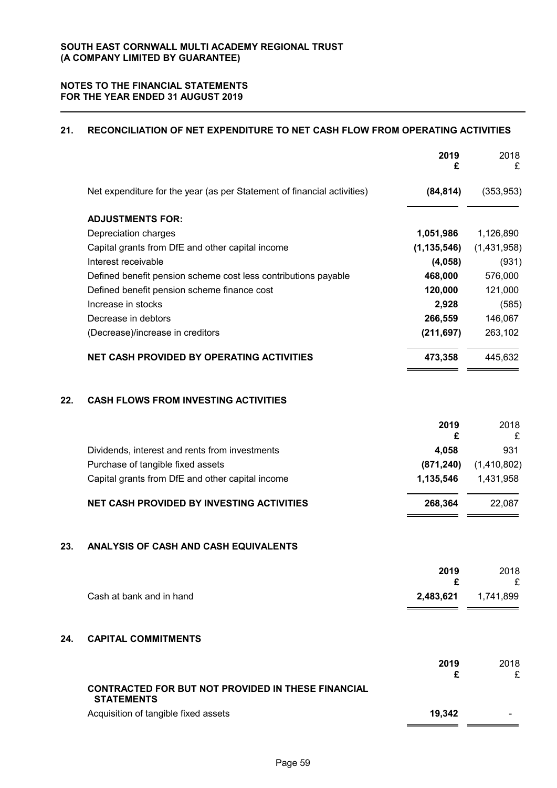# **21. RECONCILIATION OF NET EXPENDITURE TO NET CASH FLOW FROM OPERATING ACTIVITIES**

|     |                                                                                | 2019<br>£     | 2018<br>£   |
|-----|--------------------------------------------------------------------------------|---------------|-------------|
|     | Net expenditure for the year (as per Statement of financial activities)        | (84, 814)     | (353, 953)  |
|     | <b>ADJUSTMENTS FOR:</b>                                                        |               |             |
|     | Depreciation charges                                                           | 1,051,986     | 1,126,890   |
|     | Capital grants from DfE and other capital income                               | (1, 135, 546) | (1,431,958) |
|     | Interest receivable                                                            | (4,058)       | (931)       |
|     | Defined benefit pension scheme cost less contributions payable                 | 468,000       | 576,000     |
|     | Defined benefit pension scheme finance cost                                    | 120,000       | 121,000     |
|     | Increase in stocks                                                             | 2,928         | (585)       |
|     | Decrease in debtors                                                            | 266,559       | 146,067     |
|     | (Decrease)/increase in creditors                                               | (211, 697)    | 263,102     |
|     | <b>NET CASH PROVIDED BY OPERATING ACTIVITIES</b>                               | 473,358       | 445,632     |
| 22. | <b>CASH FLOWS FROM INVESTING ACTIVITIES</b>                                    |               |             |
|     |                                                                                | 2019<br>£     | 2018<br>£   |
|     | Dividends, interest and rents from investments                                 | 4,058         | 931         |
|     | Purchase of tangible fixed assets                                              | (871, 240)    | (1,410,802) |
|     | Capital grants from DfE and other capital income                               | 1,135,546     | 1,431,958   |
|     | <b>NET CASH PROVIDED BY INVESTING ACTIVITIES</b>                               | 268,364       | 22,087      |
| 23. | <b>ANALYSIS OF CASH AND CASH EQUIVALENTS</b>                                   |               |             |
|     |                                                                                | 2019          | 2018        |
|     |                                                                                | £             | £           |
|     | Cash at bank and in hand                                                       | 2,483,621     | 1,741,899   |
| 24. | <b>CAPITAL COMMITMENTS</b>                                                     |               |             |
|     |                                                                                | 2019<br>£     | 2018<br>£   |
|     | <b>CONTRACTED FOR BUT NOT PROVIDED IN THESE FINANCIAL</b><br><b>STATEMENTS</b> |               |             |
|     | Acquisition of tangible fixed assets                                           | 19,342        |             |
|     |                                                                                |               |             |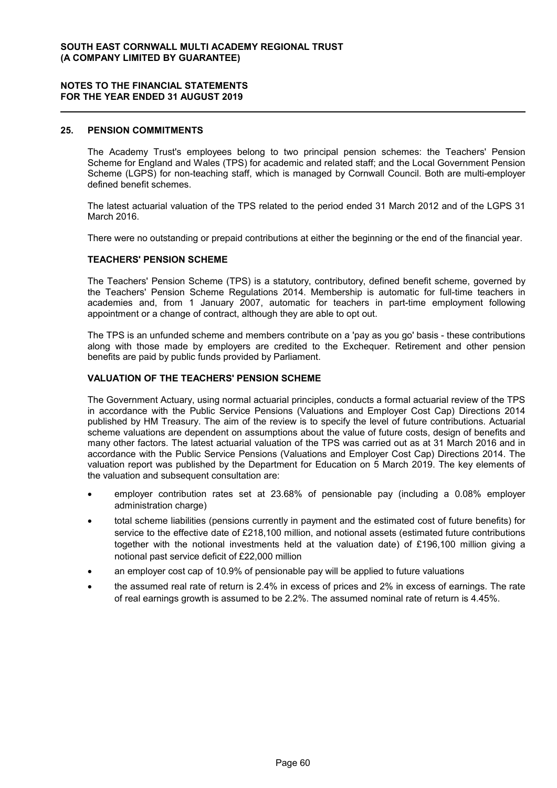### **25. PENSION COMMITMENTS**

The Academy Trust's employees belong to two principal pension schemes: the Teachers' Pension Scheme for England and Wales (TPS) for academic and related staff; and the Local Government Pension Scheme (LGPS) for non-teaching staff, which is managed by Cornwall Council. Both are multi-employer defined benefit schemes.

The latest actuarial valuation of the TPS related to the period ended 31 March 2012 and of the LGPS 31 March 2016.

There were no outstanding or prepaid contributions at either the beginning or the end of the financial year.

#### **TEACHERS' PENSION SCHEME**

The Teachers' Pension Scheme (TPS) is a statutory, contributory, defined benefit scheme, governed by the Teachers' Pension Scheme Regulations 2014. Membership is automatic for full-time teachers in academies and, from 1 January 2007, automatic for teachers in part-time employment following appointment or a change of contract, although they are able to opt out.

The TPS is an unfunded scheme and members contribute on a 'pay as you go' basis - these contributions along with those made by employers are credited to the Exchequer. Retirement and other pension benefits are paid by public funds provided by Parliament.

#### **VALUATION OF THE TEACHERS' PENSION SCHEME**

The Government Actuary, using normal actuarial principles, conducts a formal actuarial review of the TPS in accordance with the Public Service Pensions (Valuations and Employer Cost Cap) Directions 2014 published by HM Treasury. The aim of the review is to specify the level of future contributions. Actuarial scheme valuations are dependent on assumptions about the value of future costs, design of benefits and many other factors. The latest actuarial valuation of the TPS was carried out as at 31 March 2016 and in accordance with the Public Service Pensions (Valuations and Employer Cost Cap) Directions 2014. The valuation report was published by the Department for Education on 5 March 2019. The key elements of the valuation and subsequent consultation are:

- employer contribution rates set at 23.68% of pensionable pay (including a 0.08% employer administration charge)
- total scheme liabilities (pensions currently in payment and the estimated cost of future benefits) for service to the effective date of £218,100 million, and notional assets (estimated future contributions together with the notional investments held at the valuation date) of £196,100 million giving a notional past service deficit of £22,000 million
- an employer cost cap of 10.9% of pensionable pay will be applied to future valuations
- the assumed real rate of return is 2.4% in excess of prices and 2% in excess of earnings. The rate of real earnings growth is assumed to be 2.2%. The assumed nominal rate of return is 4.45%.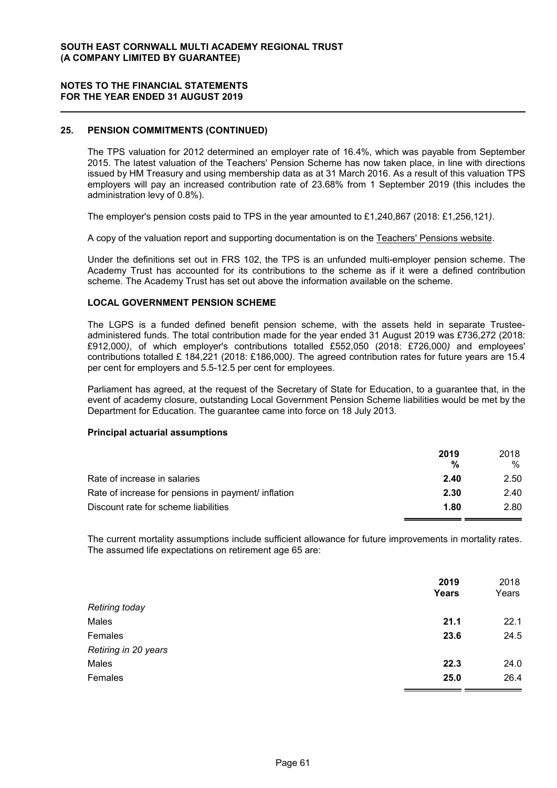### **NOTES TO THE FINANCIAL STATEMENTS FOR THE YEAR ENDED 31 AUGUST 2019**

# **25. PENSION COMMITMENTS (CONTINUED)**

The TPS valuation for 2012 determined an employer rate of 16.4%, which was payable from September 2015. The latest valuation of the Teachers' Pension Scheme has now taken place, in line with directions issued by HM Treasury and using membership data as at 31 March 2016. As a result of this valuation TPS employers will pay an increased contribution rate of 23.68% from 1 September 2019 (this includes the administration levy of 0.8%).

The employer's pension costs paid to TPS in the year amounted to £1,240,867 (2018: £1,256,121*)*.

A copy of the valuation report and supporting documentation is on the Teachers' Pensions website.

Under the definitions set out in FRS 102, the TPS is an unfunded multi-employer pension scheme. The Academy Trust has accounted for its contributions to the scheme as if it were a defined contribution scheme. The Academy Trust has set out above the information available on the scheme.

#### **LOCAL GOVERNMENT PENSION SCHEME**

The LGPS is a funded defined benefit pension scheme, with the assets held in separate Trusteeadministered funds. The total contribution made for the year ended 31 August 2019 was £736,272 (2018: £912,000*)*, of which employer's contributions totalled £552,050 (2018: £726,000*)* and employees' contributions totalled £ 184,221 (2018: £186,000*)*. The agreed contribution rates for future years are 15.4 per cent for employers and 5.5-12.5 per cent for employees.

Parliament has agreed, at the request of the Secretary of State for Education, to a guarantee that, in the event of academy closure, outstanding Local Government Pension Scheme liabilities would be met by the Department for Education. The guarantee came into force on 18 July 2013.

#### **Principal actuarial assumptions**

|                                                     | 2019<br>% | 2018 |
|-----------------------------------------------------|-----------|------|
|                                                     |           | %    |
| Rate of increase in salaries                        | 2.40      | 2.50 |
| Rate of increase for pensions in payment/ inflation | 2.30      | 2.40 |
| Discount rate for scheme liabilities                | 1.80      | 2.80 |

The current mortality assumptions include sufficient allowance for future improvements in mortality rates. The assumed life expectations on retirement age 65 are:

|                       | 2019<br><b>Years</b> | 2018<br>Years |
|-----------------------|----------------------|---------------|
| <b>Retiring today</b> |                      |               |
| Males                 | 21.1                 | 22.1          |
| Females               | 23.6                 | 24.5          |
| Retiring in 20 years  |                      |               |
| Males                 | 22.3                 | 24.0          |
| Females               | 25.0                 | 26.4          |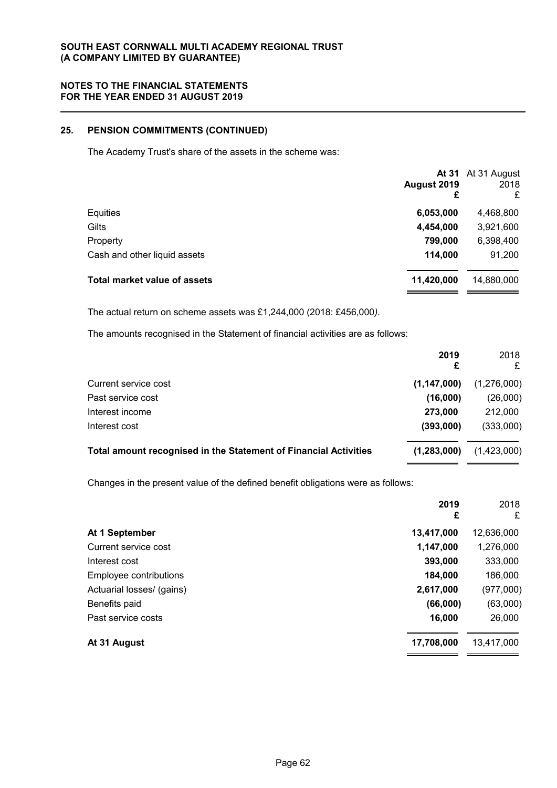# **25. PENSION COMMITMENTS (CONTINUED)**

The Academy Trust's share of the assets in the scheme was:

|                                     | August 2019<br>£ | At 31 At 31 August<br>2018<br>£ |
|-------------------------------------|------------------|---------------------------------|
| Equities                            | 6,053,000        | 4,468,800                       |
| Gilts                               | 4,454,000        | 3,921,600                       |
| Property                            | 799,000          | 6,398,400                       |
| Cash and other liquid assets        | 114,000          | 91,200                          |
| <b>Total market value of assets</b> | 11,420,000       | 14,880,000                      |

The actual return on scheme assets was £1,244,000 (2018: £456,000*)*.

The amounts recognised in the Statement of financial activities are as follows:

|                                                                  | 2019          | 2018<br>£   |
|------------------------------------------------------------------|---------------|-------------|
| Current service cost                                             | (1, 147, 000) | (1,276,000) |
| Past service cost                                                | (16,000)      | (26,000)    |
| Interest income                                                  | 273,000       | 212,000     |
| Interest cost                                                    | (393,000)     | (333,000)   |
| Total amount recognised in the Statement of Financial Activities | (1, 283, 000) | (1,423,000) |

Changes in the present value of the defined benefit obligations were as follows:

|                           | 2019<br>£  | 2018<br>£  |
|---------------------------|------------|------------|
| At 1 September            | 13,417,000 | 12,636,000 |
| Current service cost      | 1,147,000  | 1,276,000  |
| Interest cost             | 393,000    | 333,000    |
| Employee contributions    | 184,000    | 186,000    |
| Actuarial losses/ (gains) | 2,617,000  | (977,000)  |
| Benefits paid             | (66,000)   | (63,000)   |
| Past service costs        | 16,000     | 26,000     |
| At 31 August              | 17,708,000 | 13,417,000 |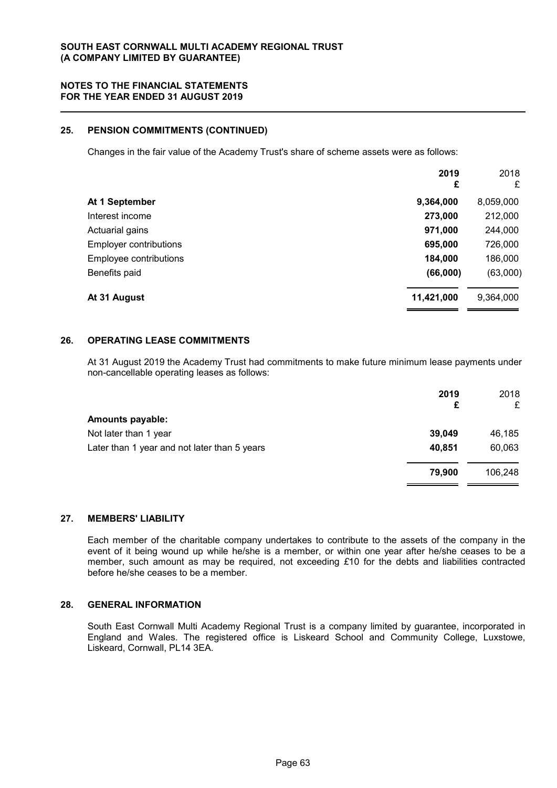# **25. PENSION COMMITMENTS (CONTINUED)**

Changes in the fair value of the Academy Trust's share of scheme assets were as follows:

|                               | 2019<br>£  | 2018<br>£ |
|-------------------------------|------------|-----------|
| At 1 September                | 9,364,000  | 8,059,000 |
| Interest income               | 273,000    | 212,000   |
| Actuarial gains               | 971,000    | 244,000   |
| <b>Employer contributions</b> | 695,000    | 726,000   |
| Employee contributions        | 184,000    | 186,000   |
| Benefits paid                 | (66,000)   | (63,000)  |
| At 31 August                  | 11,421,000 | 9,364,000 |

#### **26. OPERATING LEASE COMMITMENTS**

At 31 August 2019 the Academy Trust had commitments to make future minimum lease payments under non-cancellable operating leases as follows:

|                                              | 2019<br>£ | 2018<br>£ |
|----------------------------------------------|-----------|-----------|
| <b>Amounts payable:</b>                      |           |           |
| Not later than 1 year                        | 39,049    | 46,185    |
| Later than 1 year and not later than 5 years | 40,851    | 60,063    |
|                                              | 79,900    | 106,248   |

# **27. MEMBERS' LIABILITY**

Each member of the charitable company undertakes to contribute to the assets of the company in the event of it being wound up while he/she is a member, or within one year after he/she ceases to be a member, such amount as may be required, not exceeding *£*10 for the debts and liabilities contracted before he/she ceases to be a member.

### **28. GENERAL INFORMATION**

South East Cornwall Multi Academy Regional Trust is a company limited by guarantee, incorporated in England and Wales. The registered office is Liskeard School and Community College, Luxstowe, Liskeard, Cornwall, PL14 3EA.